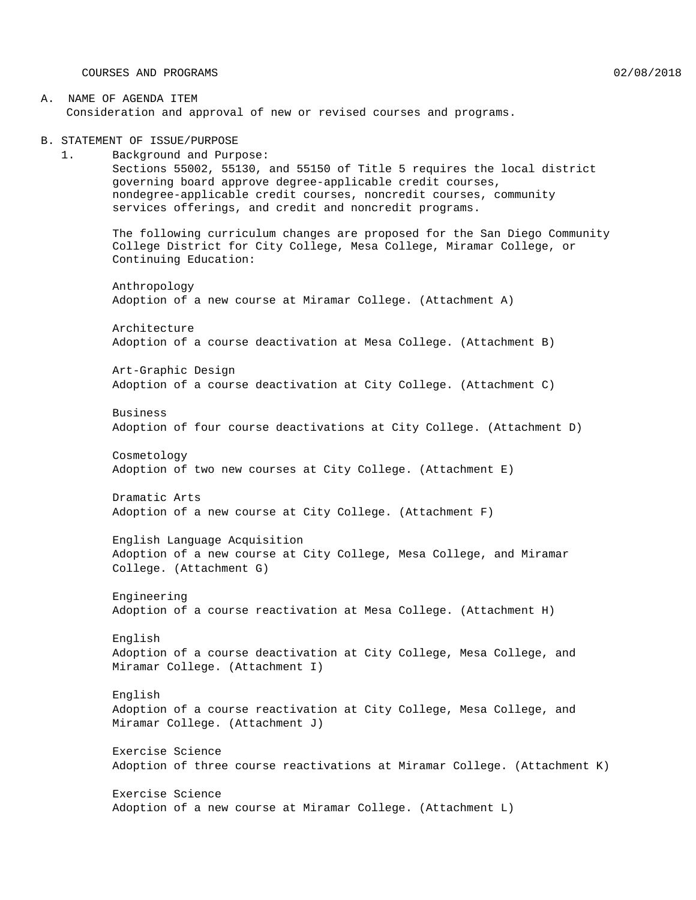COURSES AND PROGRAMS 02/08/2018

#### A. NAME OF AGENDA ITEM Consideration and approval of new or revised courses and programs.

B. STATEMENT OF ISSUE/PURPOSE

1. Background and Purpose: Sections 55002, 55130, and 55150 of Title 5 requires the local district governing board approve degree-applicable credit courses, nondegree-applicable credit courses, noncredit courses, community services offerings, and credit and noncredit programs.

The following curriculum changes are proposed for the San Diego Community College District for City College, Mesa College, Miramar College, or Continuing Education:

Anthropology Adoption of a new course at Miramar College. (Attachment A)

Architecture Adoption of a course deactivation at Mesa College. (Attachment B)

Art-Graphic Design Adoption of a course deactivation at City College. (Attachment C)

Business Adoption of four course deactivations at City College. (Attachment D)

Cosmetology Adoption of two new courses at City College. (Attachment E)

Dramatic Arts Adoption of a new course at City College. (Attachment F)

English Language Acquisition Adoption of a new course at City College, Mesa College, and Miramar College. (Attachment G)

Engineering Adoption of a course reactivation at Mesa College. (Attachment H)

English Adoption of a course deactivation at City College, Mesa College, and Miramar College. (Attachment I)

English Adoption of a course reactivation at City College, Mesa College, and Miramar College. (Attachment J)

Exercise Science Adoption of three course reactivations at Miramar College. (Attachment K)

Exercise Science Adoption of a new course at Miramar College. (Attachment L)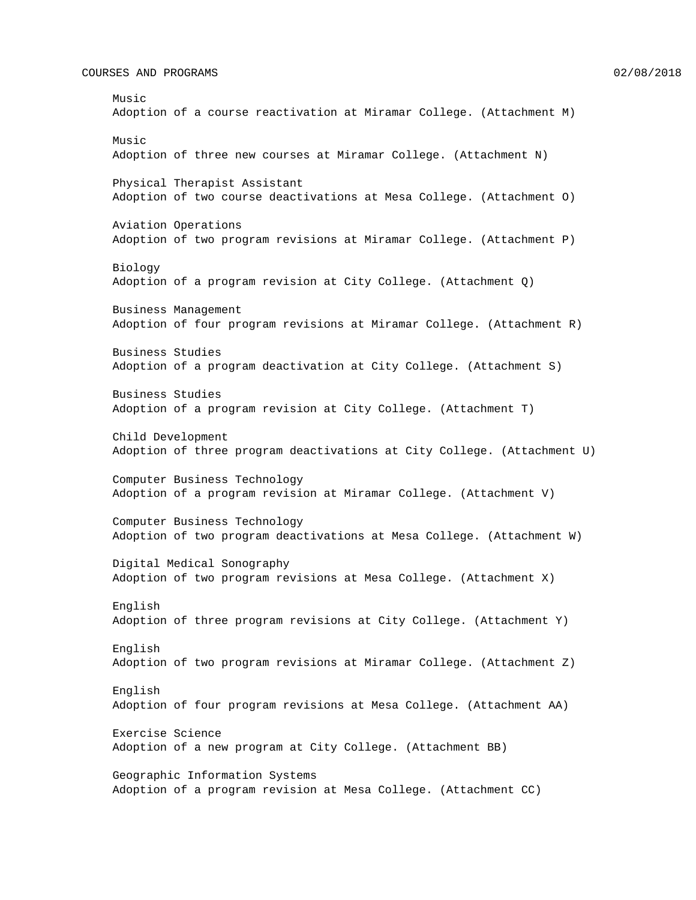#### COURSES AND PROGRAMS 02/08/2018

Music Adoption of a course reactivation at Miramar College. (Attachment M) Music Adoption of three new courses at Miramar College. (Attachment N) Physical Therapist Assistant Adoption of two course deactivations at Mesa College. (Attachment O) Aviation Operations Adoption of two program revisions at Miramar College. (Attachment P) Biology Adoption of a program revision at City College. (Attachment Q) Business Management Adoption of four program revisions at Miramar College. (Attachment R) Business Studies Adoption of a program deactivation at City College. (Attachment S) Business Studies Adoption of a program revision at City College. (Attachment T) Child Development Adoption of three program deactivations at City College. (Attachment U) Computer Business Technology Adoption of a program revision at Miramar College. (Attachment V) Computer Business Technology Adoption of two program deactivations at Mesa College. (Attachment W) Digital Medical Sonography Adoption of two program revisions at Mesa College. (Attachment X) English Adoption of three program revisions at City College. (Attachment Y) English Adoption of two program revisions at Miramar College. (Attachment Z) English Adoption of four program revisions at Mesa College. (Attachment AA) Exercise Science Adoption of a new program at City College. (Attachment BB) Geographic Information Systems

Adoption of a program revision at Mesa College. (Attachment CC)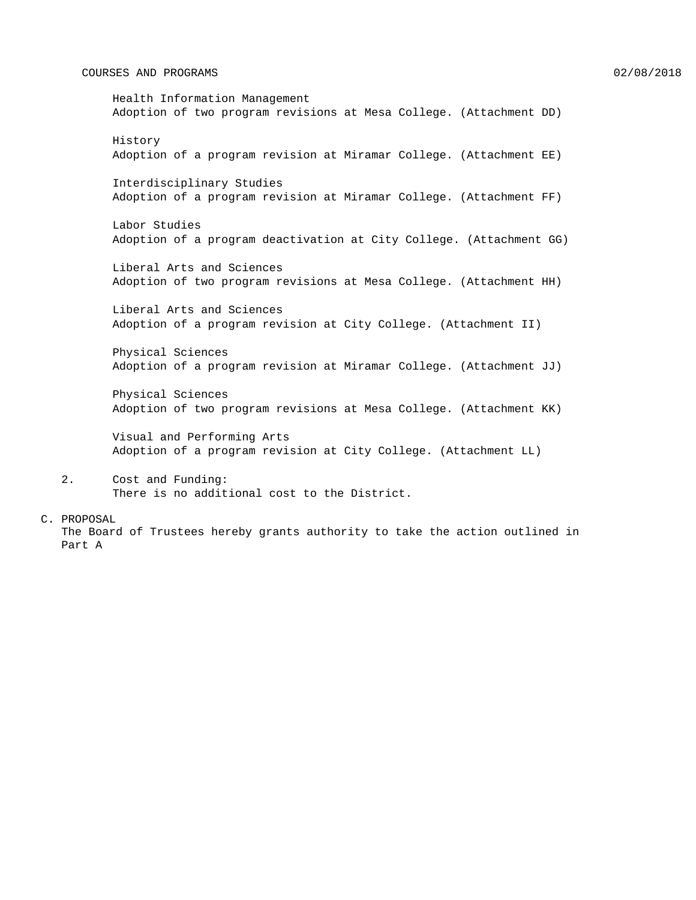#### COURSES AND PROGRAMS 8 (2018) 22/08/2018

# Health Information Management Adoption of two program revisions at Mesa College. (Attachment DD) History Adoption of a program revision at Miramar College. (Attachment EE) Interdisciplinary Studies Adoption of a program revision at Miramar College. (Attachment FF) Labor Studies Adoption of a program deactivation at City College. (Attachment GG) Liberal Arts and Sciences Adoption of two program revisions at Mesa College. (Attachment HH) Liberal Arts and Sciences Adoption of a program revision at City College. (Attachment II) Physical Sciences Adoption of a program revision at Miramar College. (Attachment JJ) Physical Sciences Adoption of two program revisions at Mesa College. (Attachment KK) Visual and Performing Arts Adoption of a program revision at City College. (Attachment LL)

2. Cost and Funding: There is no additional cost to the District.

#### C. PROPOSAL

The Board of Trustees hereby grants authority to take the action outlined in Part A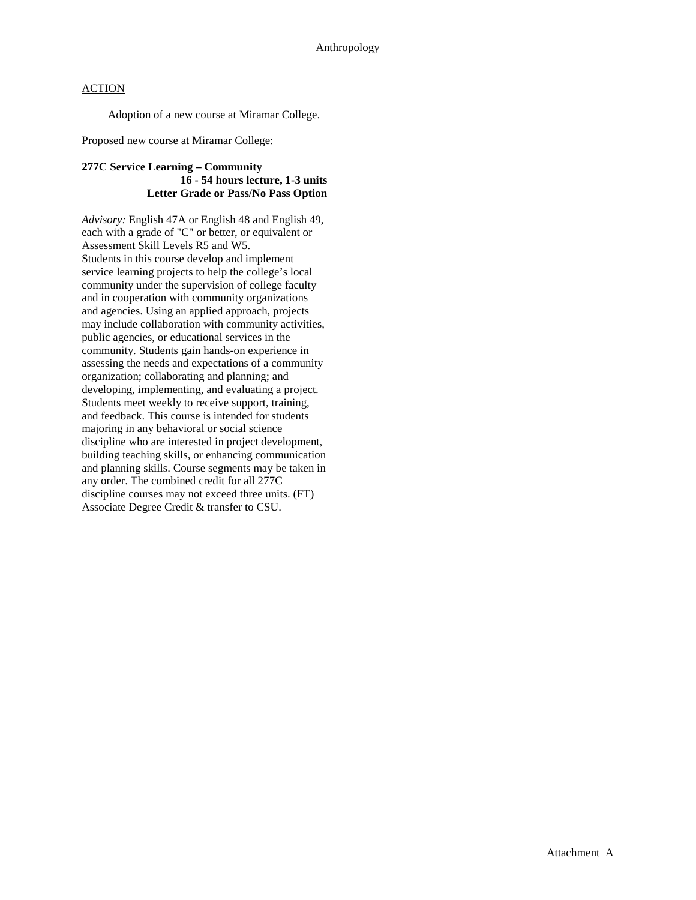Adoption of a new course at Miramar College.

Proposed new course at Miramar College:

#### **277C Service Learning – Community 16 - 54 hours lecture, 1-3 units Letter Grade or Pass/No Pass Option**

*Advisory:* English 47A or English 48 and English 49, each with a grade of "C" or better, or equivalent or Assessment Skill Levels R5 and W5. Students in this course develop and implement service learning projects to help the college's local community under the supervision of college faculty and in cooperation with community organizations and agencies. Using an applied approach, projects may include collaboration with community activities, public agencies, or educational services in the community. Students gain hands-on experience in assessing the needs and expectations of a community organization; collaborating and planning; and developing, implementing, and evaluating a project. Students meet weekly to receive support, training, and feedback. This course is intended for students majoring in any behavioral or social science discipline who are interested in project development, building teaching skills, or enhancing communication and planning skills. Course segments may be taken in any order. The combined credit for all 277C discipline courses may not exceed three units. (FT) Associate Degree Credit & transfer to CSU.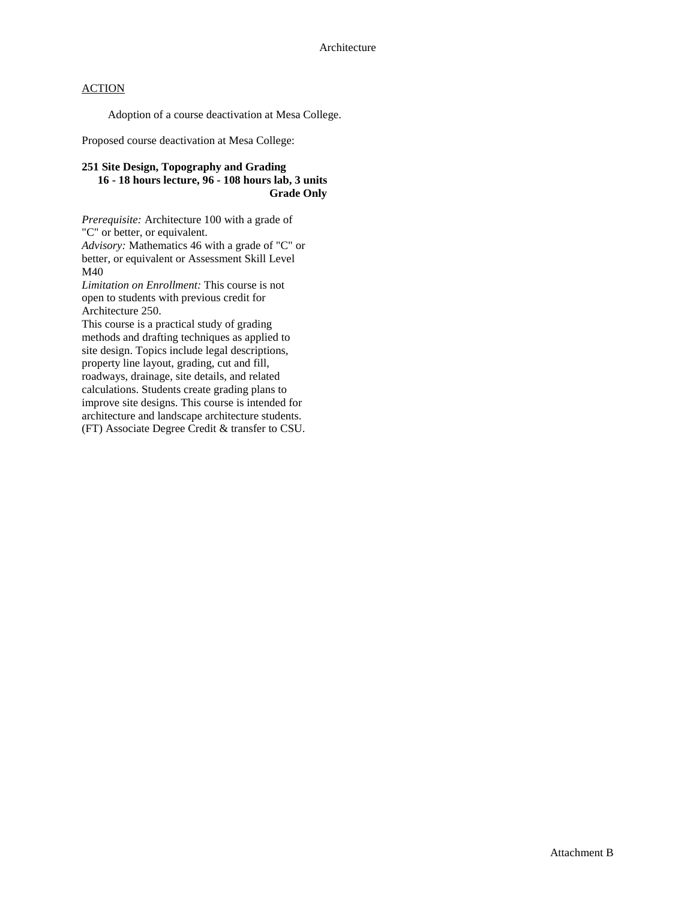Adoption of a course deactivation at Mesa College.

Proposed course deactivation at Mesa College:

#### **251 Site Design, Topography and Grading 16 - 18 hours lecture, 96 - 108 hours lab, 3 units Grade Only**

*Prerequisite:* Architecture 100 with a grade of "C" or better, or equivalent. *Advisory:* Mathematics 46 with a grade of "C" or better, or equivalent or Assessment Skill Level M40

*Limitation on Enrollment:* This course is not open to students with previous credit for Architecture 250.

This course is a practical study of grading methods and drafting techniques as applied to site design. Topics include legal descriptions, property line layout, grading, cut and fill, roadways, drainage, site details, and related calculations. Students create grading plans to improve site designs. This course is intended for architecture and landscape architecture students. (FT) Associate Degree Credit & transfer to CSU.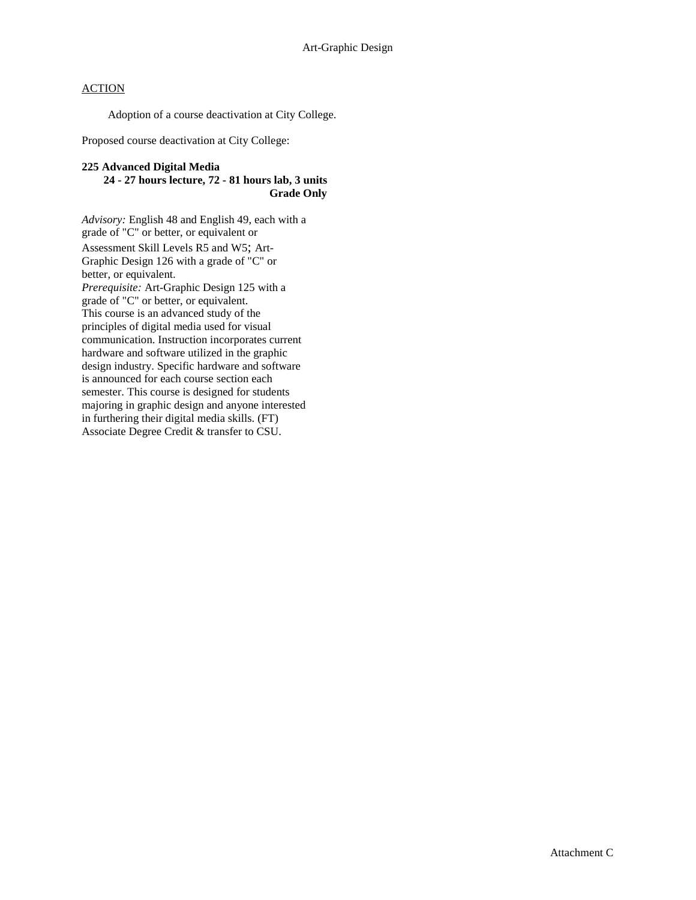Adoption of a course deactivation at City College.

Proposed course deactivation at City College:

### **225 Advanced Digital Media**

**24 - 27 hours lecture, 72 - 81 hours lab, 3 units Grade Only**

*Advisory:* English 48 and English 49, each with a grade of "C" or better, or equivalent or Assessment Skill Levels R5 and W5; Art-Graphic Design 126 with a grade of "C" or better, or equivalent. *Prerequisite:* Art-Graphic Design 125 with a grade of "C" or better, or equivalent. This course is an advanced study of the principles of digital media used for visual communication. Instruction incorporates current hardware and software utilized in the graphic design industry. Specific hardware and software is announced for each course section each semester. This course is designed for students majoring in graphic design and anyone interested in furthering their digital media skills. (FT) Associate Degree Credit & transfer to CSU.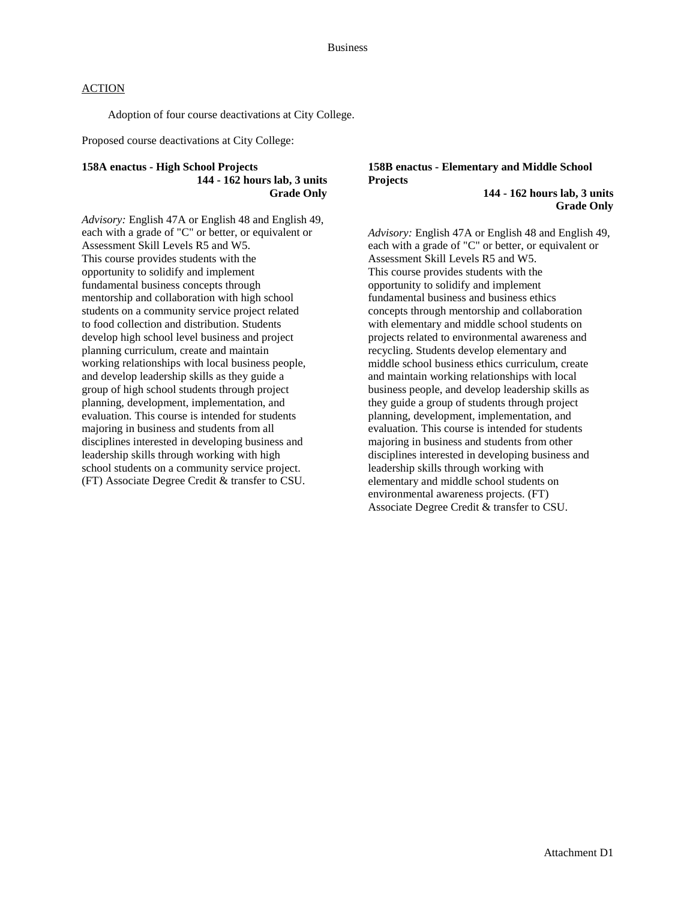Adoption of four course deactivations at City College.

Proposed course deactivations at City College:

#### **158A enactus - High School Projects 144 - 162 hours lab, 3 units Grade Only**

*Advisory:* English 47A or English 48 and English 49, each with a grade of "C" or better, or equivalent or Assessment Skill Levels R5 and W5. This course provides students with the opportunity to solidify and implement fundamental business concepts through mentorship and collaboration with high school students on a community service project related to food collection and distribution. Students develop high school level business and project planning curriculum, create and maintain working relationships with local business people, and develop leadership skills as they guide a group of high school students through project planning, development, implementation, and evaluation. This course is intended for students majoring in business and students from all disciplines interested in developing business and leadership skills through working with high school students on a community service project. (FT) Associate Degree Credit & transfer to CSU.

#### **158B enactus - Elementary and Middle School Projects**

**144 - 162 hours lab, 3 units Grade Only**

*Advisory:* English 47A or English 48 and English 49, each with a grade of "C" or better, or equivalent or Assessment Skill Levels R5 and W5. This course provides students with the opportunity to solidify and implement fundamental business and business ethics concepts through mentorship and collaboration with elementary and middle school students on projects related to environmental awareness and recycling. Students develop elementary and middle school business ethics curriculum, create and maintain working relationships with local business people, and develop leadership skills as they guide a group of students through project planning, development, implementation, and evaluation. This course is intended for students majoring in business and students from other disciplines interested in developing business and leadership skills through working with elementary and middle school students on environmental awareness projects. (FT) Associate Degree Credit & transfer to CSU.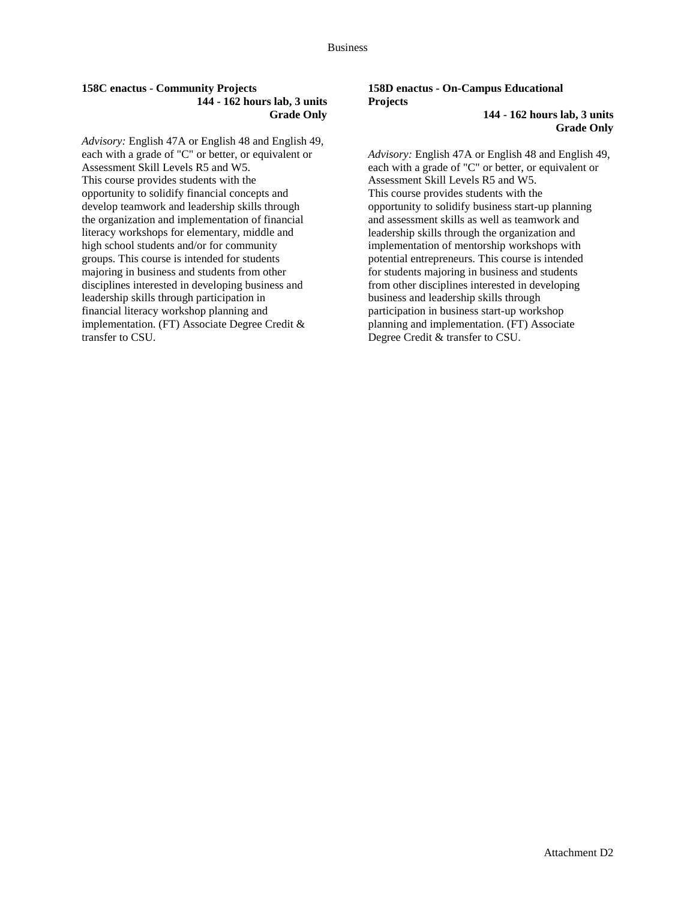#### **158C enactus - Community Projects 144 - 162 hours lab, 3 units Grade Only**

*Advisory:* English 47A or English 48 and English 49, each with a grade of "C" or better, or equivalent or Assessment Skill Levels R5 and W5. This course provides students with the opportunity to solidify financial concepts and develop teamwork and leadership skills through the organization and implementation of financial literacy workshops for elementary, middle and high school students and/or for community groups. This course is intended for students majoring in business and students from other disciplines interested in developing business and leadership skills through participation in financial literacy workshop planning and implementation. (FT) Associate Degree Credit & transfer to CSU.

# **158D enactus - On-Campus Educational Projects**

**144 - 162 hours lab, 3 units Grade Only**

*Advisory:* English 47A or English 48 and English 49, each with a grade of "C" or better, or equivalent or Assessment Skill Levels R5 and W5. This course provides students with the opportunity to solidify business start-up planning and assessment skills as well as teamwork and leadership skills through the organization and implementation of mentorship workshops with potential entrepreneurs. This course is intended for students majoring in business and students from other disciplines interested in developing business and leadership skills through participation in business start-up workshop planning and implementation. (FT) Associate Degree Credit & transfer to CSU.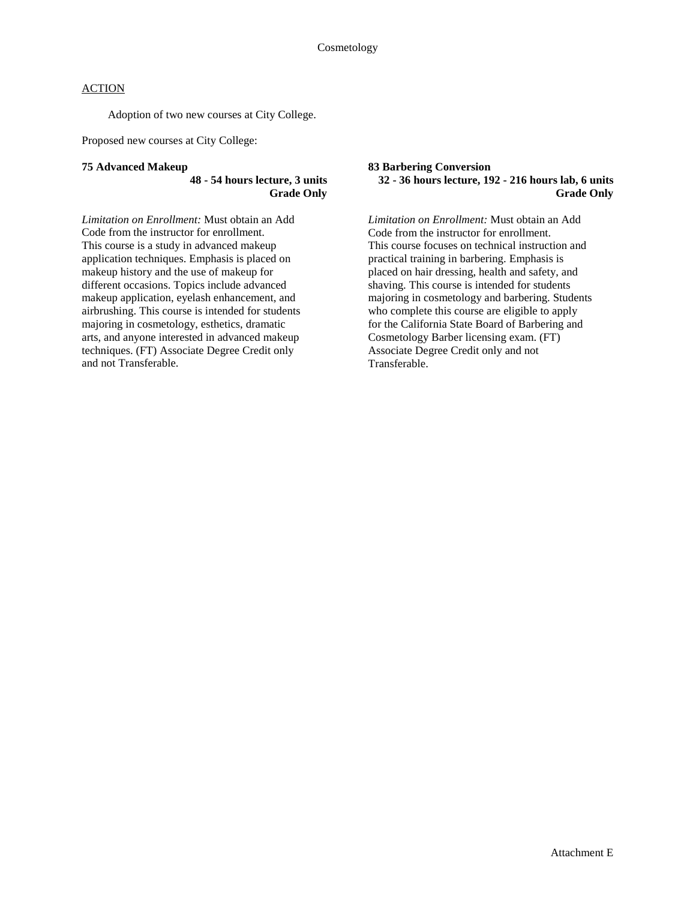Adoption of two new courses at City College.

Proposed new courses at City College:

#### **75 Advanced Makeup**

#### **48 - 54 hours lecture, 3 units Grade Only**

*Limitation on Enrollment:* Must obtain an Add Code from the instructor for enrollment. This course is a study in advanced makeup application techniques. Emphasis is placed on makeup history and the use of makeup for different occasions. Topics include advanced makeup application, eyelash enhancement, and airbrushing. This course is intended for students majoring in cosmetology, esthetics, dramatic arts, and anyone interested in advanced makeup techniques. (FT) Associate Degree Credit only and not Transferable.

#### **83 Barbering Conversion 32 - 36 hours lecture, 192 - 216 hours lab, 6 units Grade Only**

*Limitation on Enrollment:* Must obtain an Add Code from the instructor for enrollment. This course focuses on technical instruction and practical training in barbering. Emphasis is placed on hair dressing, health and safety, and shaving. This course is intended for students majoring in cosmetology and barbering. Students who complete this course are eligible to apply for the California State Board of Barbering and Cosmetology Barber licensing exam. (FT) Associate Degree Credit only and not Transferable.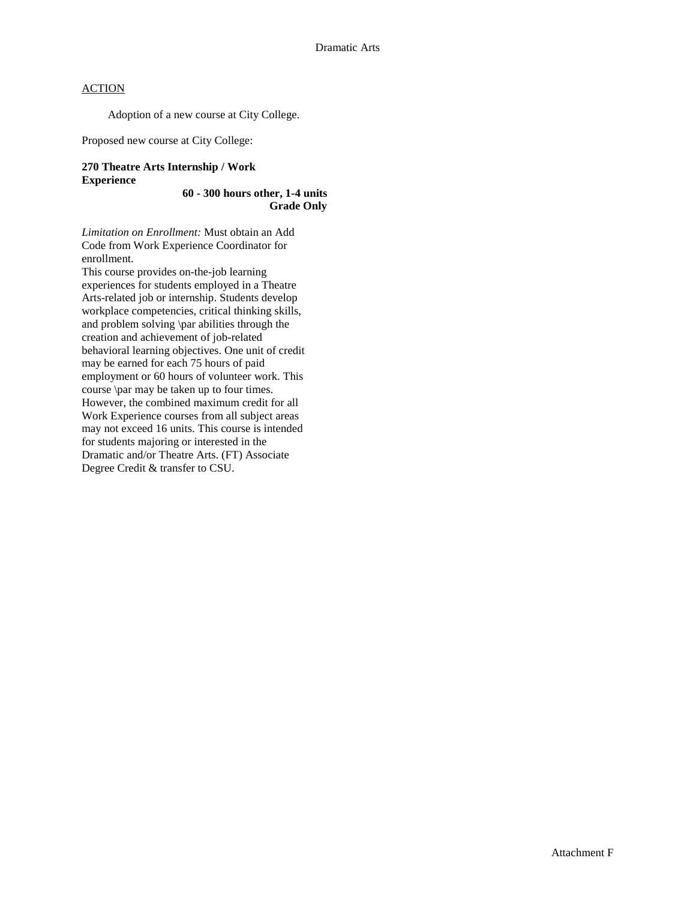Adoption of a new course at City College.

Proposed new course at City College:

### **270 Theatre Arts Internship / Work Experience**

#### **60 - 300 hours other, 1-4 units Grade Only**

*Limitation on Enrollment:* Must obtain an Add Code from Work Experience Coordinator for enrollment.

This course provides on-the-job learning experiences for students employed in a Theatre Arts-related job or internship. Students develop workplace competencies, critical thinking skills, and problem solving \par abilities through the creation and achievement of job-related behavioral learning objectives. One unit of credit may be earned for each 75 hours of paid employment or 60 hours of volunteer work. This course \par may be taken up to four times. However, the combined maximum credit for all Work Experience courses from all subject areas may not exceed 16 units. This course is intended for students majoring or interested in the Dramatic and/or Theatre Arts. (FT) Associate Degree Credit & transfer to CSU.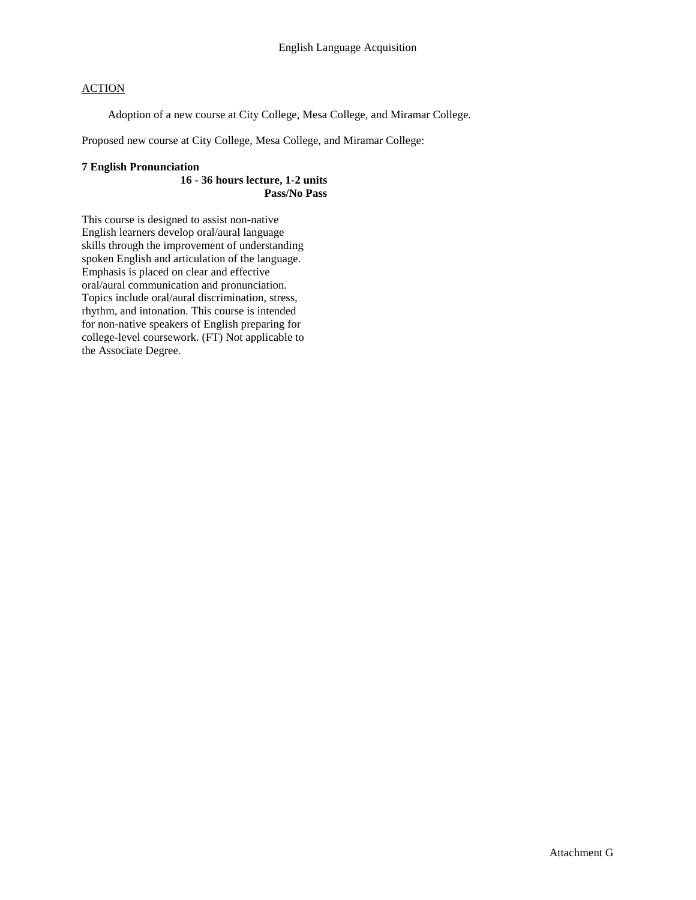Adoption of a new course at City College, Mesa College, and Miramar College.

Proposed new course at City College, Mesa College, and Miramar College:

#### **7 English Pronunciation**

**16 - 36 hours lecture, 1-2 units Pass/No Pass**

This course is designed to assist non-native English learners develop oral/aural language skills through the improvement of understanding spoken English and articulation of the language. Emphasis is placed on clear and effective oral/aural communication and pronunciation. Topics include oral/aural discrimination, stress, rhythm, and intonation. This course is intended for non-native speakers of English preparing for college-level coursework. (FT) Not applicable to the Associate Degree.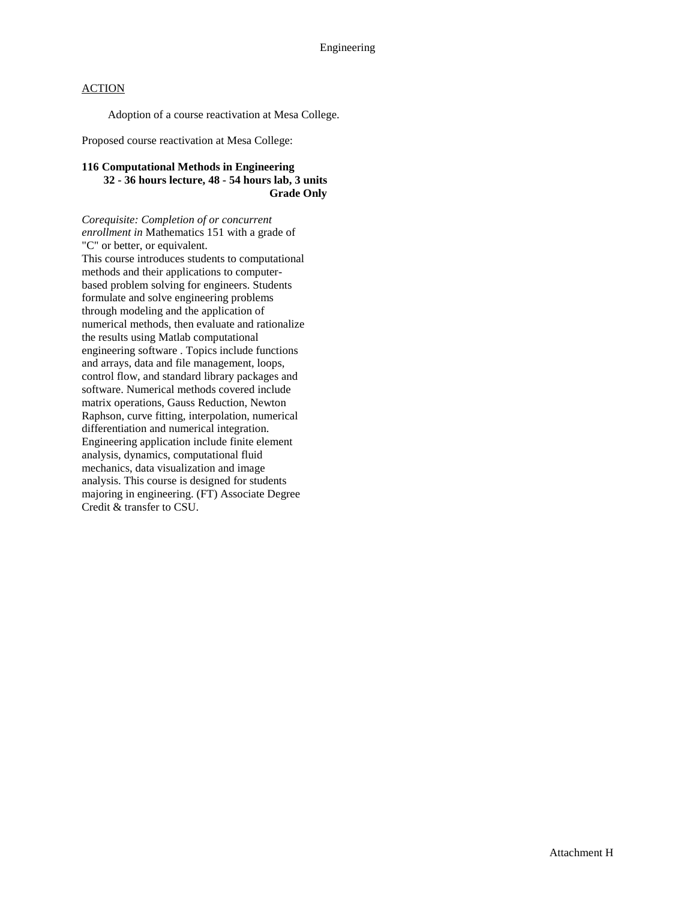Adoption of a course reactivation at Mesa College.

Proposed course reactivation at Mesa College:

#### **116 Computational Methods in Engineering 32 - 36 hours lecture, 48 - 54 hours lab, 3 units Grade Only**

*Corequisite: Completion of or concurrent enrollment in* Mathematics 151 with a grade of "C" or better, or equivalent. This course introduces students to computational methods and their applications to computerbased problem solving for engineers. Students formulate and solve engineering problems through modeling and the application of numerical methods, then evaluate and rationalize the results using Matlab computational engineering software . Topics include functions and arrays, data and file management, loops, control flow, and standard library packages and software. Numerical methods covered include matrix operations, Gauss Reduction, Newton Raphson, curve fitting, interpolation, numerical differentiation and numerical integration. Engineering application include finite element analysis, dynamics, computational fluid mechanics, data visualization and image analysis. This course is designed for students majoring in engineering. (FT) Associate Degree Credit & transfer to CSU.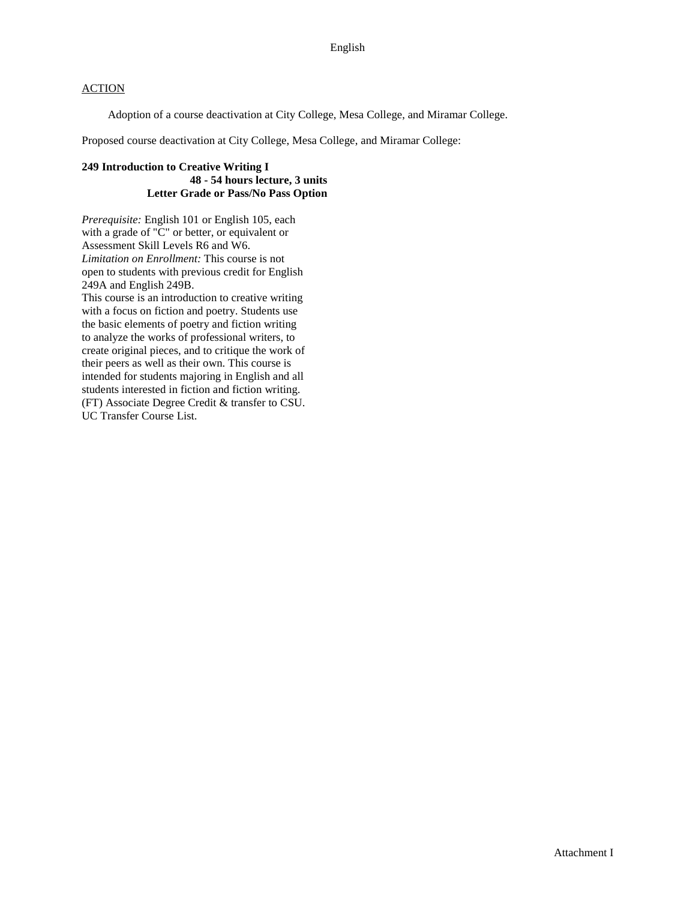Adoption of a course deactivation at City College, Mesa College, and Miramar College.

Proposed course deactivation at City College, Mesa College, and Miramar College:

#### **249 Introduction to Creative Writing I 48 - 54 hours lecture, 3 units Letter Grade or Pass/No Pass Option**

*Prerequisite:* English 101 or English 105, each with a grade of "C" or better, or equivalent or Assessment Skill Levels R6 and W6. *Limitation on Enrollment:* This course is not open to students with previous credit for English 249A and English 249B.

This course is an introduction to creative writing with a focus on fiction and poetry. Students use the basic elements of poetry and fiction writing to analyze the works of professional writers, to create original pieces, and to critique the work of their peers as well as their own. This course is intended for students majoring in English and all students interested in fiction and fiction writing. (FT) Associate Degree Credit & transfer to CSU. UC Transfer Course List.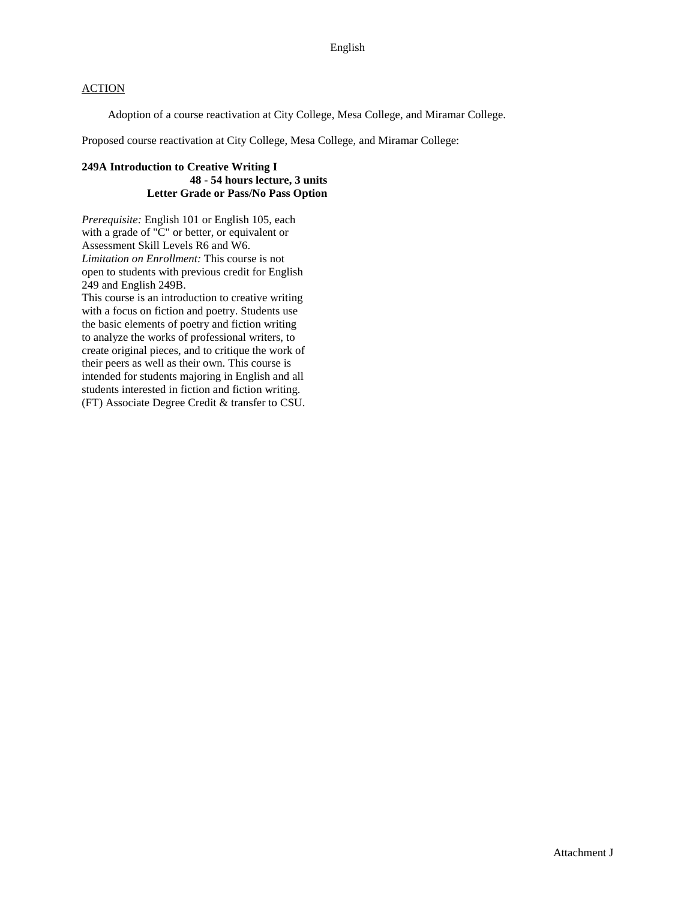Adoption of a course reactivation at City College, Mesa College, and Miramar College.

Proposed course reactivation at City College, Mesa College, and Miramar College:

#### **249A Introduction to Creative Writing I 48 - 54 hours lecture, 3 units Letter Grade or Pass/No Pass Option**

*Prerequisite:* English 101 or English 105, each with a grade of "C" or better, or equivalent or Assessment Skill Levels R6 and W6. *Limitation on Enrollment:* This course is not open to students with previous credit for English 249 and English 249B.

This course is an introduction to creative writing with a focus on fiction and poetry. Students use the basic elements of poetry and fiction writing to analyze the works of professional writers, to create original pieces, and to critique the work of their peers as well as their own. This course is intended for students majoring in English and all students interested in fiction and fiction writing. (FT) Associate Degree Credit & transfer to CSU.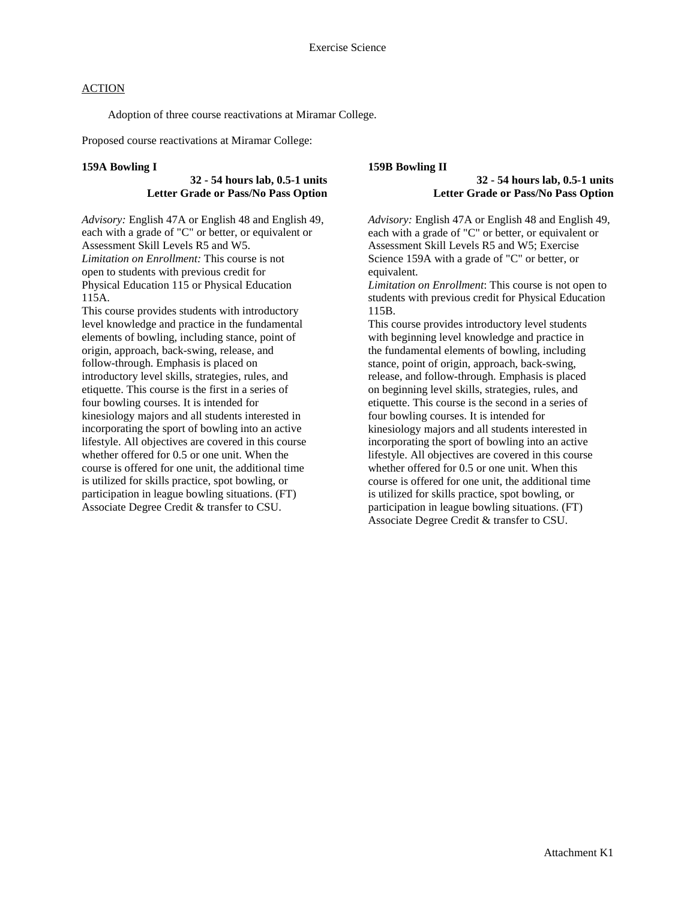Adoption of three course reactivations at Miramar College.

Proposed course reactivations at Miramar College:

#### **159A Bowling I**

#### **32 - 54 hours lab, 0.5-1 units Letter Grade or Pass/No Pass Option**

*Advisory:* English 47A or English 48 and English 49, each with a grade of "C" or better, or equivalent or Assessment Skill Levels R5 and W5. *Limitation on Enrollment:* This course is not open to students with previous credit for Physical Education 115 or Physical Education 115A.

This course provides students with introductory level knowledge and practice in the fundamental elements of bowling, including stance, point of origin, approach, back-swing, release, and follow-through. Emphasis is placed on introductory level skills, strategies, rules, and etiquette. This course is the first in a series of four bowling courses. It is intended for kinesiology majors and all students interested in incorporating the sport of bowling into an active lifestyle. All objectives are covered in this course whether offered for 0.5 or one unit. When the course is offered for one unit, the additional time is utilized for skills practice, spot bowling, or participation in league bowling situations. (FT) Associate Degree Credit & transfer to CSU.

#### **159B Bowling II**

#### **32 - 54 hours lab, 0.5-1 units Letter Grade or Pass/No Pass Option**

*Advisory:* English 47A or English 48 and English 49, each with a grade of "C" or better, or equivalent or Assessment Skill Levels R5 and W5; Exercise Science 159A with a grade of "C" or better, or equivalent.

*Limitation on Enrollment*: This course is not open to students with previous credit for Physical Education 115B.

This course provides introductory level students with beginning level knowledge and practice in the fundamental elements of bowling, including stance, point of origin, approach, back-swing, release, and follow-through. Emphasis is placed on beginning level skills, strategies, rules, and etiquette. This course is the second in a series of four bowling courses. It is intended for kinesiology majors and all students interested in incorporating the sport of bowling into an active lifestyle. All objectives are covered in this course whether offered for 0.5 or one unit. When this course is offered for one unit, the additional time is utilized for skills practice, spot bowling, or participation in league bowling situations. (FT) Associate Degree Credit & transfer to CSU.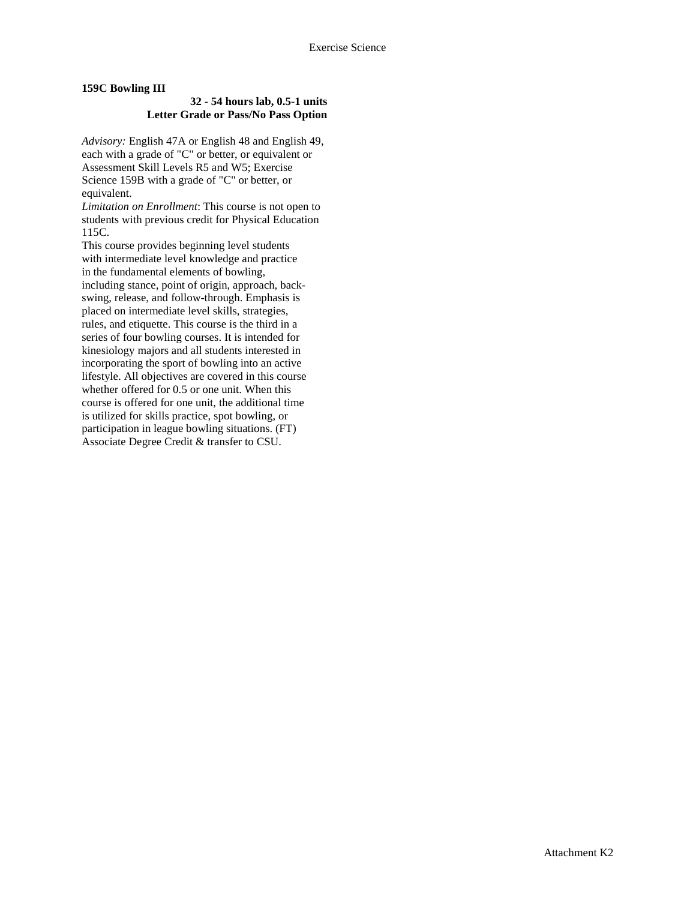#### **159C Bowling III**

#### **32 - 54 hours lab, 0.5-1 units Letter Grade or Pass/No Pass Option**

*Advisory:* English 47A or English 48 and English 49, each with a grade of "C" or better, or equivalent or Assessment Skill Levels R5 and W5; Exercise Science 159B with a grade of "C" or better, or equivalent.

*Limitation on Enrollment*: This course is not open to students with previous credit for Physical Education 115C.

This course provides beginning level students with intermediate level knowledge and practice in the fundamental elements of bowling, including stance, point of origin, approach, backswing, release, and follow-through. Emphasis is placed on intermediate level skills, strategies, rules, and etiquette. This course is the third in a series of four bowling courses. It is intended for kinesiology majors and all students interested in incorporating the sport of bowling into an active lifestyle. All objectives are covered in this course whether offered for 0.5 or one unit. When this course is offered for one unit, the additional time is utilized for skills practice, spot bowling, or participation in league bowling situations. (FT) Associate Degree Credit & transfer to CSU.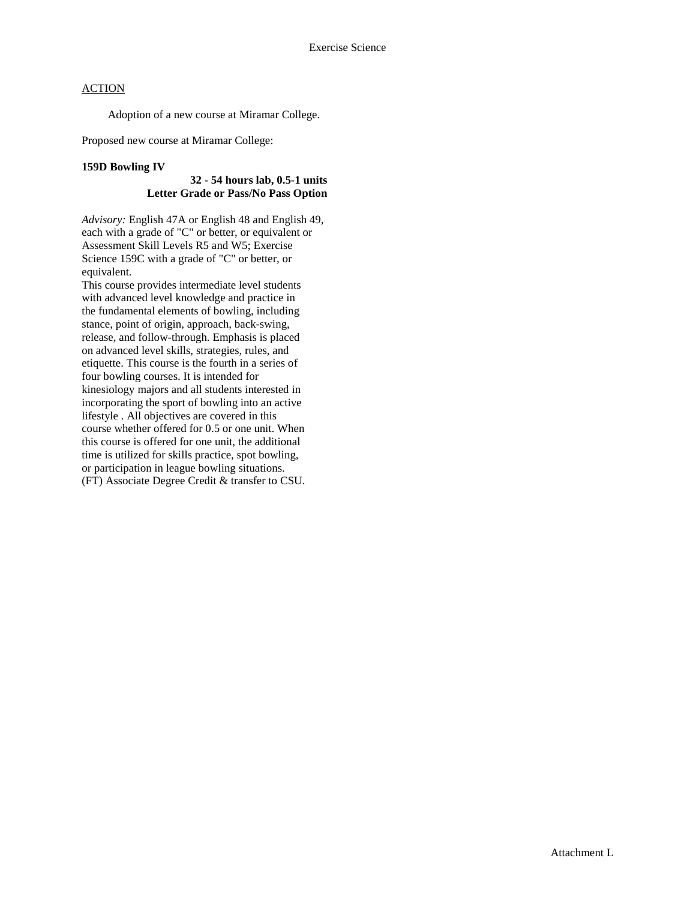Adoption of a new course at Miramar College.

Proposed new course at Miramar College:

#### **159D Bowling IV**

#### **32 - 54 hours lab, 0.5-1 units Letter Grade or Pass/No Pass Option**

*Advisory:* English 47A or English 48 and English 49, each with a grade of "C" or better, or equivalent or Assessment Skill Levels R5 and W5; Exercise Science 159C with a grade of "C" or better, or equivalent.

This course provides intermediate level students with advanced level knowledge and practice in the fundamental elements of bowling, including stance, point of origin, approach, back-swing, release, and follow-through. Emphasis is placed on advanced level skills, strategies, rules, and etiquette. This course is the fourth in a series of four bowling courses. It is intended for kinesiology majors and all students interested in incorporating the sport of bowling into an active lifestyle . All objectives are covered in this course whether offered for 0.5 or one unit. When this course is offered for one unit, the additional time is utilized for skills practice, spot bowling, or participation in league bowling situations. (FT) Associate Degree Credit & transfer to CSU.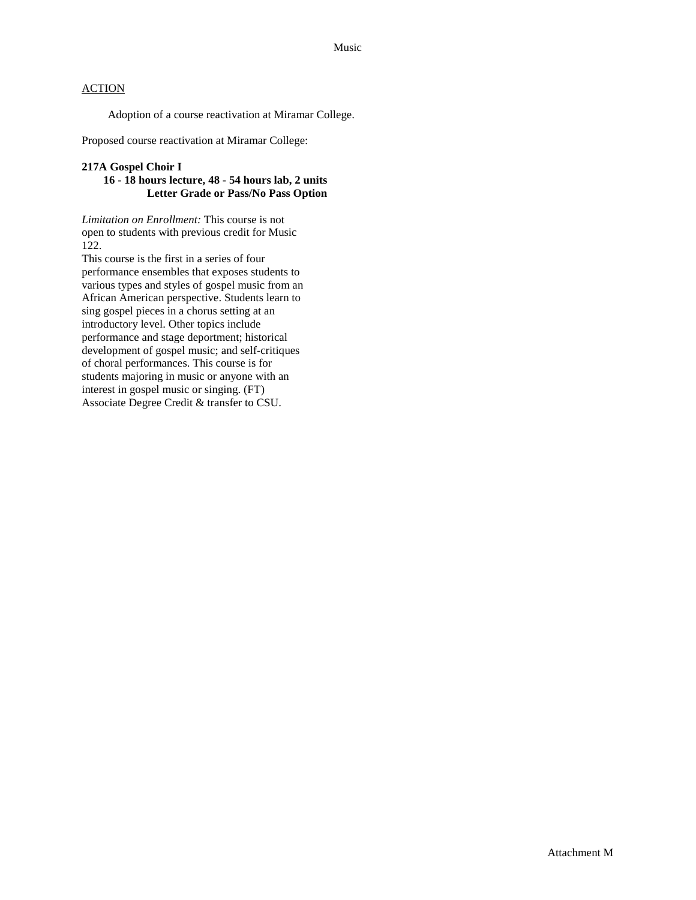Adoption of a course reactivation at Miramar College.

Proposed course reactivation at Miramar College:

#### **217A Gospel Choir I**

#### **16 - 18 hours lecture, 48 - 54 hours lab, 2 units Letter Grade or Pass/No Pass Option**

*Limitation on Enrollment:* This course is not open to students with previous credit for Music 122.

This course is the first in a series of four performance ensembles that exposes students to various types and styles of gospel music from an African American perspective. Students learn to sing gospel pieces in a chorus setting at an introductory level. Other topics include performance and stage deportment; historical development of gospel music; and self-critiques of choral performances. This course is for students majoring in music or anyone with an interest in gospel music or singing. (FT) Associate Degree Credit & transfer to CSU.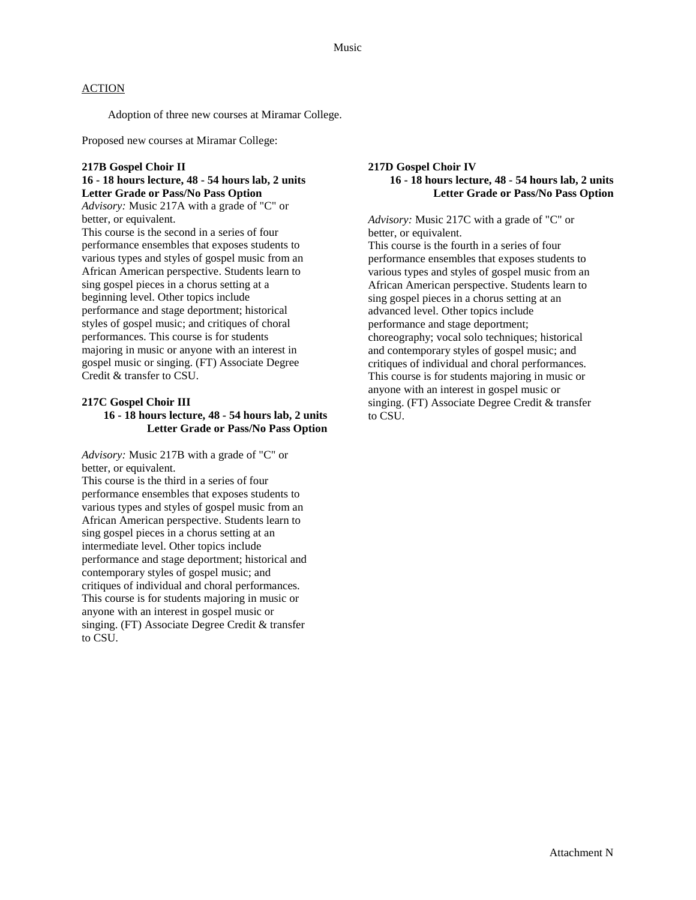Adoption of three new courses at Miramar College.

Proposed new courses at Miramar College:

#### **217B Gospel Choir II 16 - 18 hours lecture, 48 - 54 hours lab, 2 units Letter Grade or Pass/No Pass Option**

*Advisory:* Music 217A with a grade of "C" or better, or equivalent.

This course is the second in a series of four performance ensembles that exposes students to various types and styles of gospel music from an African American perspective. Students learn to sing gospel pieces in a chorus setting at a beginning level. Other topics include performance and stage deportment; historical styles of gospel music; and critiques of choral performances. This course is for students majoring in music or anyone with an interest in gospel music or singing. (FT) Associate Degree Credit & transfer to CSU.

#### **217C Gospel Choir III 16 - 18 hours lecture, 48 - 54 hours lab, 2 units Letter Grade or Pass/No Pass Option**

*Advisory:* Music 217B with a grade of "C" or better, or equivalent.

This course is the third in a series of four performance ensembles that exposes students to various types and styles of gospel music from an African American perspective. Students learn to sing gospel pieces in a chorus setting at an intermediate level. Other topics include performance and stage deportment; historical and contemporary styles of gospel music; and critiques of individual and choral performances. This course is for students majoring in music or anyone with an interest in gospel music or singing. (FT) Associate Degree Credit & transfer to CSU.

#### **217D Gospel Choir IV 16 - 18 hours lecture, 48 - 54 hours lab, 2 units Letter Grade or Pass/No Pass Option**

*Advisory:* Music 217C with a grade of "C" or better, or equivalent.

This course is the fourth in a series of four performance ensembles that exposes students to various types and styles of gospel music from an African American perspective. Students learn to sing gospel pieces in a chorus setting at an advanced level. Other topics include performance and stage deportment; choreography; vocal solo techniques; historical and contemporary styles of gospel music; and critiques of individual and choral performances. This course is for students majoring in music or anyone with an interest in gospel music or singing. (FT) Associate Degree Credit & transfer to CSU.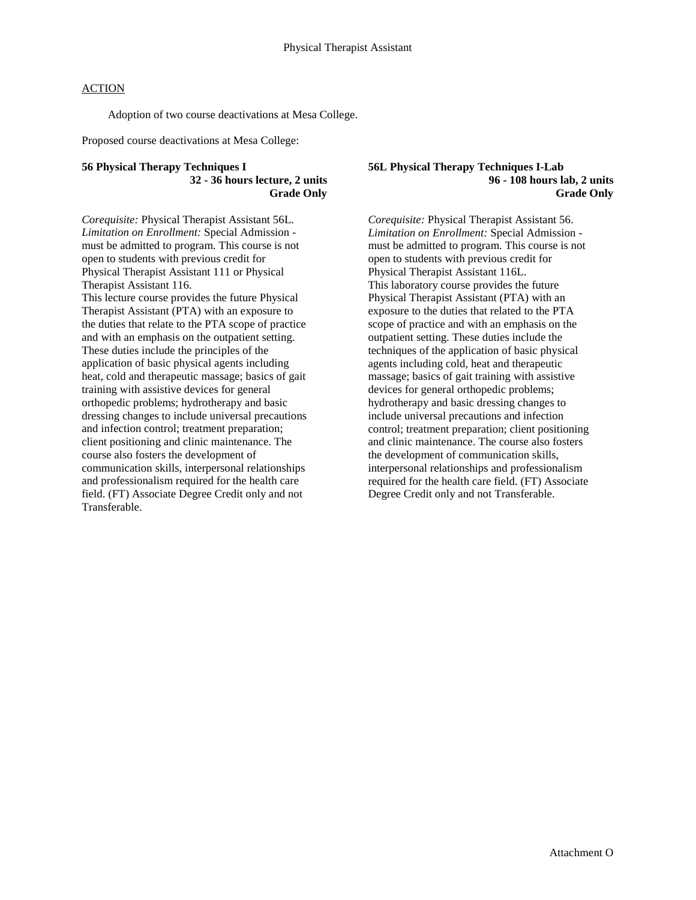Adoption of two course deactivations at Mesa College.

Proposed course deactivations at Mesa College:

#### **56 Physical Therapy Techniques I 32 - 36 hours lecture, 2 units Grade Only**

*Corequisite:* Physical Therapist Assistant 56L. *Limitation on Enrollment:* Special Admission must be admitted to program. This course is not open to students with previous credit for Physical Therapist Assistant 111 or Physical Therapist Assistant 116. This lecture course provides the future Physical Therapist Assistant (PTA) with an exposure to the duties that relate to the PTA scope of practice and with an emphasis on the outpatient setting. These duties include the principles of the application of basic physical agents including

heat, cold and therapeutic massage; basics of gait training with assistive devices for general orthopedic problems; hydrotherapy and basic dressing changes to include universal precautions and infection control; treatment preparation; client positioning and clinic maintenance. The course also fosters the development of communication skills, interpersonal relationships and professionalism required for the health care field. (FT) Associate Degree Credit only and not Transferable.

#### **56L Physical Therapy Techniques I-Lab 96 - 108 hours lab, 2 units Grade Only**

*Corequisite:* Physical Therapist Assistant 56. *Limitation on Enrollment:* Special Admission must be admitted to program. This course is not open to students with previous credit for Physical Therapist Assistant 116L. This laboratory course provides the future Physical Therapist Assistant (PTA) with an exposure to the duties that related to the PTA scope of practice and with an emphasis on the outpatient setting. These duties include the techniques of the application of basic physical agents including cold, heat and therapeutic massage; basics of gait training with assistive devices for general orthopedic problems; hydrotherapy and basic dressing changes to include universal precautions and infection control; treatment preparation; client positioning and clinic maintenance. The course also fosters the development of communication skills, interpersonal relationships and professionalism required for the health care field. (FT) Associate Degree Credit only and not Transferable.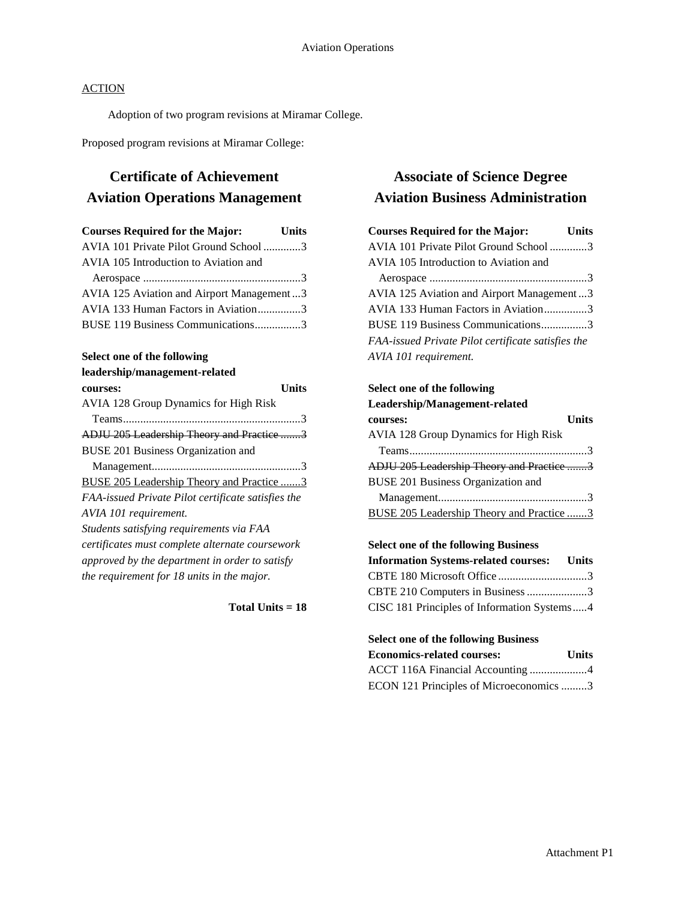Adoption of two program revisions at Miramar College.

Proposed program revisions at Miramar College:

# **Certificate of Achievement Aviation Operations Management**

| <b>Courses Required for the Major:</b>    | <b>Units</b> |
|-------------------------------------------|--------------|
| AVIA 101 Private Pilot Ground School 3    |              |
| AVIA 105 Introduction to Aviation and     |              |
|                                           |              |
| AVIA 125 Aviation and Airport Management3 |              |
| AVIA 133 Human Factors in Aviation3       |              |
| BUSE 119 Business Communications3         |              |

#### **Select one of the following**

| leadership/management-related                      |
|----------------------------------------------------|
| Units<br>courses:                                  |
| <b>AVIA 128 Group Dynamics for High Risk</b>       |
|                                                    |
| <b>ADJU 205 Leadership Theory and Practice 3</b>   |
| BUSE 201 Business Organization and                 |
|                                                    |
| <b>BUSE 205 Leadership Theory and Practice 3</b>   |
| FAA-issued Private Pilot certificate satisfies the |
| AVIA 101 requirement.                              |
| Students satisfying requirements via FAA           |
| certificates must complete alternate coursework    |
| approved by the department in order to satisfy     |
| the requirement for 18 units in the major.         |

**Total Units = 18**

# **Associate of Science Degree Aviation Business Administration**

| <b>Courses Required for the Major:</b>             | Units |
|----------------------------------------------------|-------|
| AVIA 101 Private Pilot Ground School 3             |       |
| AVIA 105 Introduction to Aviation and              |       |
|                                                    |       |
| AVIA 125 Aviation and Airport Management3          |       |
| AVIA 133 Human Factors in Aviation3                |       |
| BUSE 119 Business Communications3                  |       |
| FAA-issued Private Pilot certificate satisfies the |       |
| AVIA 101 requirement.                              |       |

### **Select one of the following Leadership/Management-related**

| courses:                                     | <b>Units</b> |
|----------------------------------------------|--------------|
| <b>AVIA 128 Group Dynamics for High Risk</b> |              |
|                                              |              |
| ADJU 205 Leadership Theory and Practice 3    |              |
| <b>BUSE 201 Business Organization and</b>    |              |
|                                              |              |
| BUSE 205 Leadership Theory and Practice 3    |              |
|                                              |              |

### **Select one of the following Business**

| <b>Information Systems-related courses:</b> Units |  |
|---------------------------------------------------|--|
| CBTE 180 Microsoft Office 3                       |  |
| CBTE 210 Computers in Business 3                  |  |
| CISC 181 Principles of Information Systems4       |  |

# **Select one of the following Business**

| <b>Economics-related courses:</b>       | <b>Units</b> |
|-----------------------------------------|--------------|
| ACCT 116A Financial Accounting 4        |              |
| ECON 121 Principles of Microeconomics 3 |              |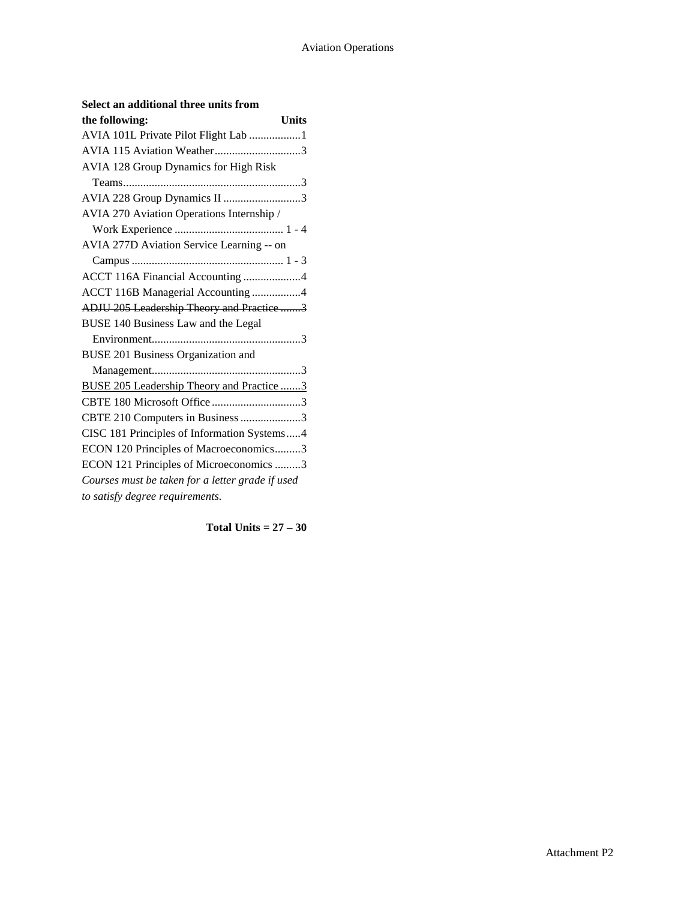| the following:<br><b>Units</b>                   |
|--------------------------------------------------|
| AVIA 101L Private Pilot Flight Lab 1             |
|                                                  |
| AVIA 128 Group Dynamics for High Risk            |
|                                                  |
| AVIA 228 Group Dynamics II 3                     |
| AVIA 270 Aviation Operations Internship /        |
|                                                  |
| AVIA 277D Aviation Service Learning -- on        |
|                                                  |
| ACCT 116A Financial Accounting 4                 |
| ACCT 116B Managerial Accounting 4                |
| ADJU 205 Leadership Theory and Practice 3        |
| BUSE 140 Business Law and the Legal              |
|                                                  |
| BUSE 201 Business Organization and               |
|                                                  |
| BUSE 205 Leadership Theory and Practice 3        |
| CBTE 180 Microsoft Office 3                      |
| CBTE 210 Computers in Business 3                 |
| CISC 181 Principles of Information Systems4      |
| ECON 120 Principles of Macroeconomics3           |
| ECON 121 Principles of Microeconomics 3          |
| Courses must be taken for a letter grade if used |
| to satisfy degree requirements.                  |

#### **Select an additional three units from**

**Total Units = 27 – 30**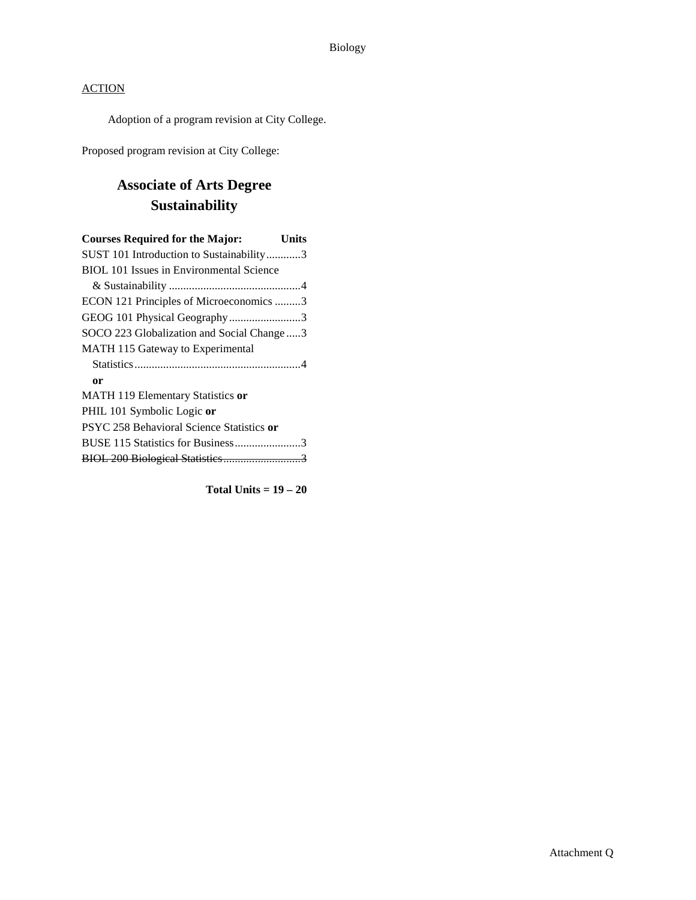Adoption of a program revision at City College.

Proposed program revision at City College:

# **Associate of Arts Degree Sustainability**

| <b>Courses Required for the Major:</b><br>Units |
|-------------------------------------------------|
| SUST 101 Introduction to Sustainability3        |
| BIOL 101 Issues in Environmental Science        |
|                                                 |
| ECON 121 Principles of Microeconomics 3         |
| GEOG 101 Physical Geography3                    |
| SOCO 223 Globalization and Social Change3       |
| MATH 115 Gateway to Experimental                |
|                                                 |
| 0r                                              |
| MATH 119 Elementary Statistics or               |
| PHIL 101 Symbolic Logic or                      |
| PSYC 258 Behavioral Science Statistics or       |
|                                                 |
|                                                 |

**Total Units = 19 – 20**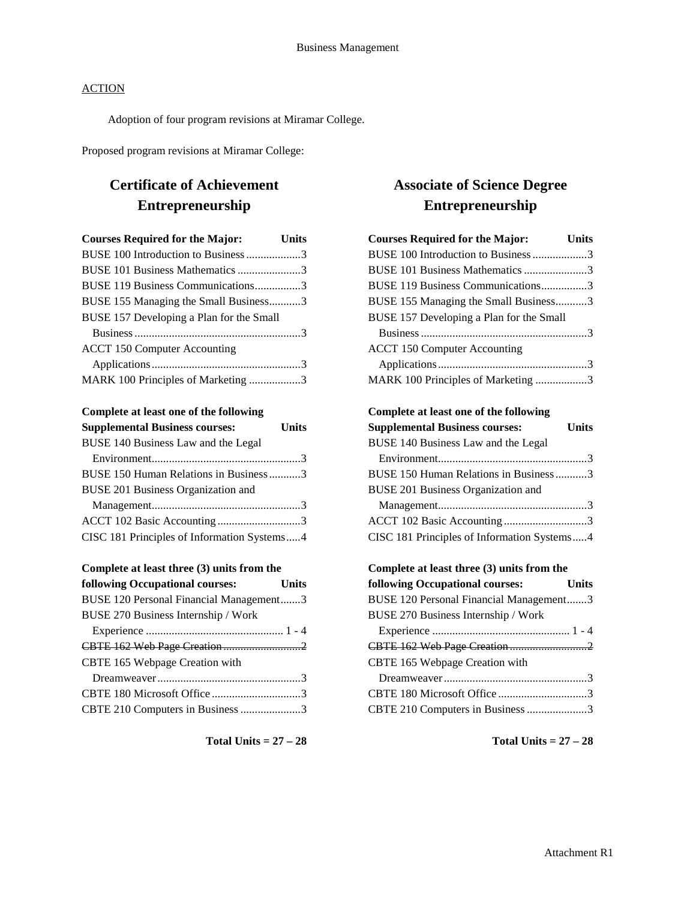Adoption of four program revisions at Miramar College.

Proposed program revisions at Miramar College:

# **Certificate of Achievement Entrepreneurship**

| <b>Courses Required for the Major:</b> Units |  |
|----------------------------------------------|--|
| BUSE 100 Introduction to Business 3          |  |
| BUSE 101 Business Mathematics 3              |  |
| BUSE 119 Business Communications3            |  |
| BUSE 155 Managing the Small Business3        |  |
| BUSE 157 Developing a Plan for the Small     |  |
|                                              |  |
| <b>ACCT 150 Computer Accounting</b>          |  |
|                                              |  |
| MARK 100 Principles of Marketing 3           |  |

#### **Complete at least one of the following**

| <b>Supplemental Business courses:</b>       | <b>Units</b> |
|---------------------------------------------|--------------|
| BUSE 140 Business Law and the Legal         |              |
|                                             |              |
| BUSE 150 Human Relations in Business 3      |              |
| <b>BUSE 201 Business Organization and</b>   |              |
|                                             |              |
|                                             |              |
| CISC 181 Principles of Information Systems4 |              |

| <b>Units</b>                            |
|-----------------------------------------|
| BUSE 120 Personal Financial Management3 |
|                                         |
|                                         |
|                                         |
|                                         |
|                                         |
| CBTE 180 Microsoft Office 3             |
| CBTE 210 Computers in Business 3        |
|                                         |

#### **Total Units = 27 – 28**

# **Associate of Science Degree Entrepreneurship**

| <b>Courses Required for the Major:</b>      | <b>Units</b> |
|---------------------------------------------|--------------|
| BUSE 100 Introduction to Business 3         |              |
| BUSE 101 Business Mathematics 3             |              |
| BUSE 119 Business Communications3           |              |
| BUSE 155 Managing the Small Business3       |              |
| BUSE 157 Developing a Plan for the Small    |              |
|                                             |              |
| <b>ACCT 150 Computer Accounting</b>         |              |
|                                             |              |
| MARK 100 Principles of Marketing 3          |              |
| Complete at least one of the following      |              |
| <b>Supplemental Business courses:</b>       | <b>Units</b> |
| BUSE 140 Business Law and the Legal         |              |
|                                             |              |
| BUSE 150 Human Relations in Business3       |              |
| BUSE 201 Business Organization and          |              |
|                                             |              |
| ACCT 102 Basic Accounting3                  |              |
| CISC 181 Principles of Information Systems4 |              |
| Complete at least three (3) units from the  |              |

# **following Occupational courses: Units** BUSE 120 Personal Financial Management.......3 BUSE 270 Business Internship / Work Experience ................................................ 1 - 4 CBTE 162 Web Page Creation ...........................2 CBTE 165 Webpage Creation with Dreamweaver..................................................3 CBTE 180 Microsoft Office ...............................3 CBTE 210 Computers in Business.....................3

**Total Units = 27 – 28**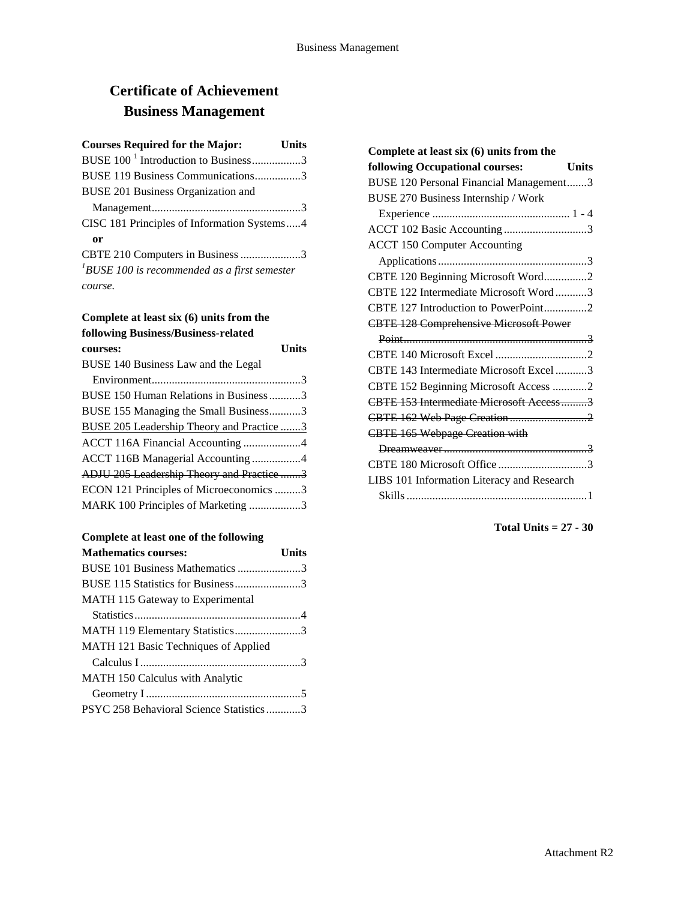# **Certificate of Achievement Business Management**

| <b>Courses Required for the Major:</b><br><b>Units</b> |
|--------------------------------------------------------|
| BUSE 100 <sup>-1</sup> Introduction to Business3       |
| BUSE 119 Business Communications3                      |
| BUSE 201 Business Organization and                     |
|                                                        |
| CISC 181 Principles of Information Systems4            |
| 0r                                                     |
| CBTE 210 Computers in Business 3                       |
| $1$ BUSE 100 is recommended as a first semester        |
| course.                                                |

# **Complete at least six (6) units from the following Business/Business-related**

| courses:                                         | Units |
|--------------------------------------------------|-------|
| BUSE 140 Business Law and the Legal              |       |
|                                                  |       |
| BUSE 150 Human Relations in Business3            |       |
| BUSE 155 Managing the Small Business3            |       |
| <b>BUSE 205 Leadership Theory and Practice 3</b> |       |
| ACCT 116A Financial Accounting 4                 |       |
| ACCT 116B Managerial Accounting 4                |       |
| ADJU 205 Leadership Theory and Practice 3        |       |
| ECON 121 Principles of Microeconomics 3          |       |
| MARK 100 Principles of Marketing 3               |       |
|                                                  |       |

### **Complete at least one of the following**

| <b>Mathematics courses:</b>             | Units |
|-----------------------------------------|-------|
| BUSE 101 Business Mathematics 3         |       |
| BUSE 115 Statistics for Business3       |       |
| MATH 115 Gateway to Experimental        |       |
|                                         |       |
| MATH 119 Elementary Statistics3         |       |
| MATH 121 Basic Techniques of Applied    |       |
|                                         |       |
| <b>MATH 150 Calculus with Analytic</b>  |       |
|                                         |       |
| PSYC 258 Behavioral Science Statistics3 |       |
|                                         |       |

| Complete at least six (6) units from the        |  |
|-------------------------------------------------|--|
| following Occupational courses:<br><b>Units</b> |  |
| BUSE 120 Personal Financial Management3         |  |
| BUSE 270 Business Internship / Work             |  |
|                                                 |  |
| ACCT 102 Basic Accounting 3                     |  |
| <b>ACCT 150 Computer Accounting</b>             |  |
|                                                 |  |
| CBTE 120 Beginning Microsoft Word2              |  |
| CBTE 122 Intermediate Microsoft Word3           |  |
| CBTE 127 Introduction to PowerPoint2            |  |
| <b>CBTE 128 Comprehensive Microsoft Power</b>   |  |
|                                                 |  |
|                                                 |  |
| CBTE 143 Intermediate Microsoft Excel 3         |  |
| CBTE 152 Beginning Microsoft Access 2           |  |
| CBTE 153 Intermediate Microsoft Access3         |  |
| CBTE 162 Web Page Creation2                     |  |
| <b>CBTE 165 Webpage Creation with</b>           |  |
|                                                 |  |
| CBTE 180 Microsoft Office 3                     |  |
| LIBS 101 Information Literacy and Research      |  |
|                                                 |  |

**Total Units = 27 - 30**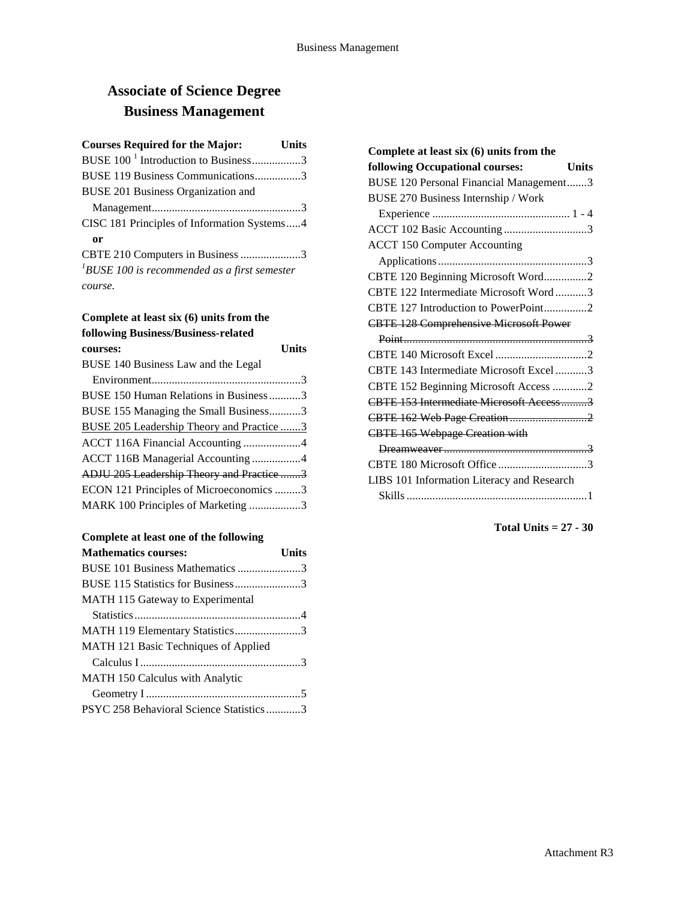# **Associate of Science Degree Business Management**

| <b>Courses Required for the Major:</b><br><b>Units</b> |  |
|--------------------------------------------------------|--|
| BUSE 100 <sup>-1</sup> Introduction to Business3       |  |
| BUSE 119 Business Communications3                      |  |
| BUSE 201 Business Organization and                     |  |
|                                                        |  |
| CISC 181 Principles of Information Systems4            |  |
| 0r                                                     |  |
| CBTE 210 Computers in Business 3                       |  |
| ${}^{1}$ BUSE 100 is recommended as a first semester   |  |
| course.                                                |  |

# **Complete at least six (6) units from the following Business/Business-related**

| courses:                                         | Units |
|--------------------------------------------------|-------|
| BUSE 140 Business Law and the Legal              |       |
|                                                  |       |
| BUSE 150 Human Relations in Business3            |       |
| BUSE 155 Managing the Small Business3            |       |
| <b>BUSE 205 Leadership Theory and Practice 3</b> |       |
| ACCT 116A Financial Accounting 4                 |       |
| ACCT 116B Managerial Accounting 4                |       |
| ADJU 205 Leadership Theory and Practice 3        |       |
| ECON 121 Principles of Microeconomics 3          |       |
| MARK 100 Principles of Marketing 3               |       |
|                                                  |       |

### **Complete at least one of the following**

| <b>Mathematics courses:</b>             | Units |
|-----------------------------------------|-------|
| BUSE 101 Business Mathematics 3         |       |
| BUSE 115 Statistics for Business3       |       |
| MATH 115 Gateway to Experimental        |       |
|                                         |       |
| MATH 119 Elementary Statistics3         |       |
| MATH 121 Basic Techniques of Applied    |       |
|                                         |       |
| <b>MATH 150 Calculus with Analytic</b>  |       |
|                                         |       |
| PSYC 258 Behavioral Science Statistics3 |       |
|                                         |       |

| Complete at least six (6) units from the        |
|-------------------------------------------------|
| following Occupational courses:<br><b>Units</b> |
| BUSE 120 Personal Financial Management3         |
| BUSE 270 Business Internship / Work             |
|                                                 |
| ACCT 102 Basic Accounting 3                     |
| <b>ACCT 150 Computer Accounting</b>             |
|                                                 |
| CBTE 120 Beginning Microsoft Word2              |
| CBTE 122 Intermediate Microsoft Word3           |
| CBTE 127 Introduction to PowerPoint2            |
| <b>CBTE 128 Comprehensive Microsoft Power</b>   |
|                                                 |
|                                                 |
| CBTE 143 Intermediate Microsoft Excel 3         |
| CBTE 152 Beginning Microsoft Access 2           |
| CBTE 153 Intermediate Microsoft Access3         |
|                                                 |
| <b>CBTE 165 Webpage Creation with</b>           |
|                                                 |
| CBTE 180 Microsoft Office 3                     |
| LIBS 101 Information Literacy and Research      |
|                                                 |

**Total Units = 27 - 30**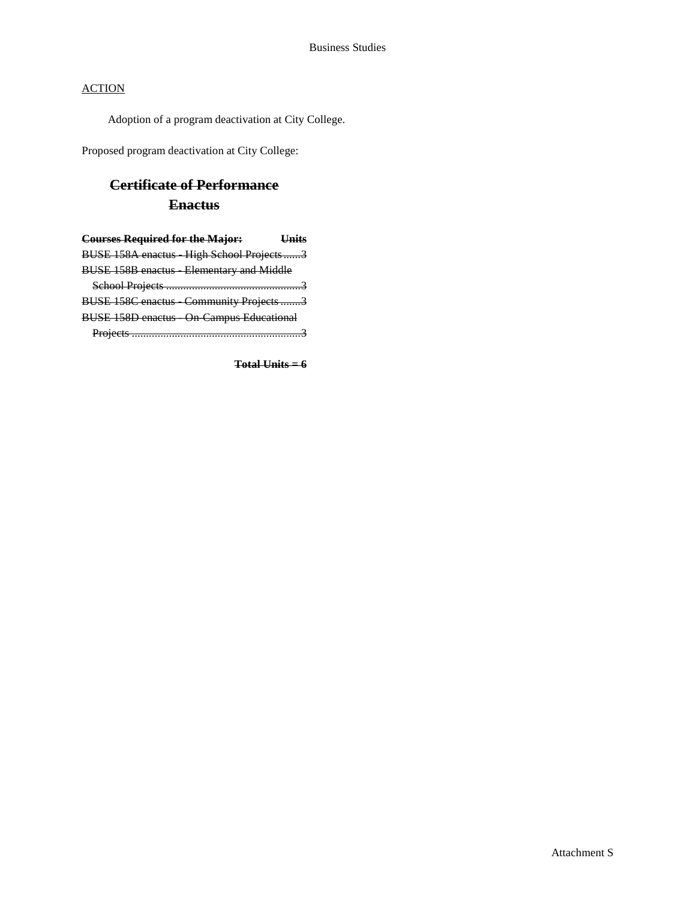Adoption of a program deactivation at City College.

Proposed program deactivation at City College:

# **Certificate of Performance Enactus**

| <b>Courses Required for the Major:</b> Units   |
|------------------------------------------------|
| BUSE 158A enactus High School Projects3        |
| <b>BUSE 158B enactus Elementary and Middle</b> |
|                                                |
| BUSE 158C enactus Community Projects 3         |
| <b>BUSE 158D enactus</b> On Campus Educational |
|                                                |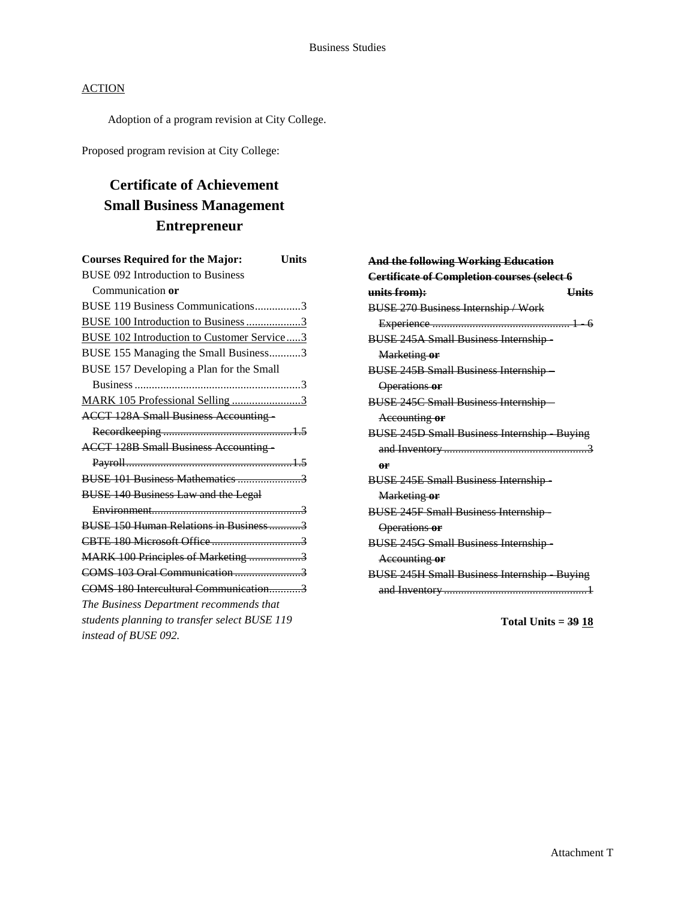Adoption of a program revision at City College.

Proposed program revision at City College:

# **Certificate of Achievement Small Business Management Entrepreneur**

| <b>Courses Required for the Major:</b><br>Units   |  |
|---------------------------------------------------|--|
| <b>BUSE 092 Introduction to Business</b>          |  |
| Communication or                                  |  |
| BUSE 119 Business Communications3                 |  |
| BUSE 100 Introduction to Business 3               |  |
| <b>BUSE 102 Introduction to Customer Service3</b> |  |
| BUSE 155 Managing the Small Business3             |  |
| BUSE 157 Developing a Plan for the Small          |  |
|                                                   |  |
| MARK 105 Professional Selling 3                   |  |
| <b>ACCT 128A Small Business Accounting</b>        |  |
|                                                   |  |
| <b>ACCT 128B Small Business Accounting -</b>      |  |
|                                                   |  |
|                                                   |  |
| <b>BUSE 140 Business Law and the Legal</b>        |  |
|                                                   |  |
| BUSE 150 Human Relations in Business3             |  |
|                                                   |  |
| MARK 100 Principles of Marketing 3                |  |
|                                                   |  |
| COMS 180 Intercultural Communication3             |  |
| The Business Department recommends that           |  |
| students planning to transfer select BUSE 119     |  |
| instead of BUSE 092.                              |  |
|                                                   |  |

| <b>And the following Working Education</b>        |  |
|---------------------------------------------------|--|
| Certificate of Completion courses (select 6       |  |
| units from):<br><b>Units</b>                      |  |
| <b>BUSE 270 Business Internship / Work</b>        |  |
|                                                   |  |
| <b>BUSE 245A Small Business Internship-</b>       |  |
| Marketing or                                      |  |
| <b>BUSE 245B Small Business Internship-</b>       |  |
| Operations or                                     |  |
| <b>BUSE 245C Small Business Internship-</b>       |  |
| Accounting or                                     |  |
| <b>BUSE 245D Small Business Internship Buying</b> |  |
|                                                   |  |
| <b>Ar</b>                                         |  |
| <b>BUSE 245E Small Business Internship-</b>       |  |
| Marketing or                                      |  |
| <b>BUSE 245F Small Business Internship-</b>       |  |
| Operations or                                     |  |
| <b>BUSE 245G Small Business Internship-</b>       |  |
| Accounting or                                     |  |
| <b>BUSE 245H Small Business Internship Buying</b> |  |
|                                                   |  |
|                                                   |  |

**Total Units = 39 18**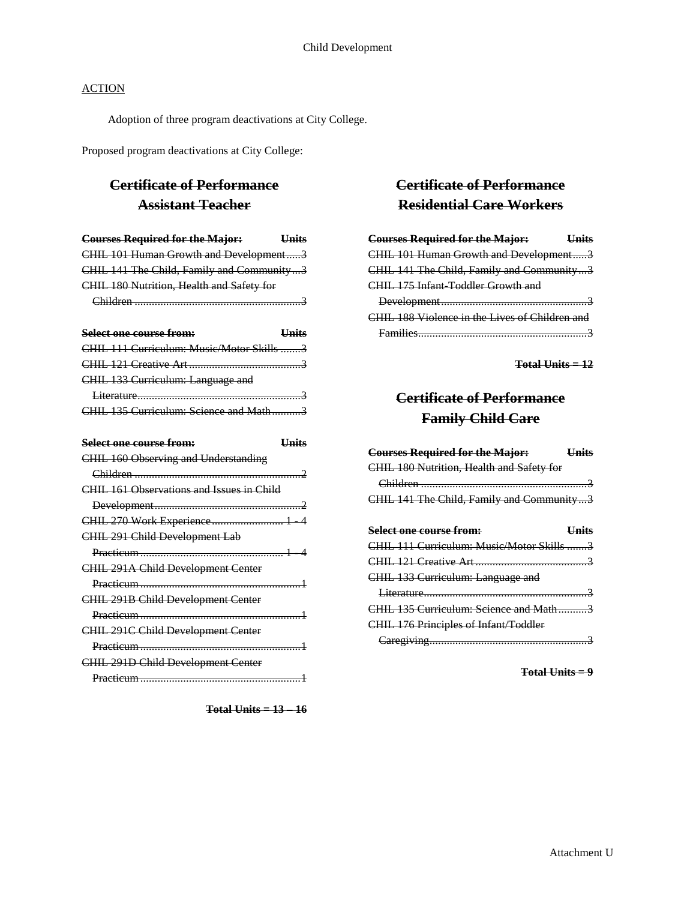Adoption of three program deactivations at City College.

Proposed program deactivations at City College:

# **Certificate of Performance Assistant Teacher**

| <b>Courses Required for the Major:</b>    | <b>Units</b> |
|-------------------------------------------|--------------|
| CHIL 101 Human Growth and Development3    |              |
| CHIL 141 The Child, Family and Community3 |              |
| CHIL 180 Nutrition, Health and Safety for |              |
|                                           |              |

| Select one course from:                   | LInite |
|-------------------------------------------|--------|
| CHIL 111 Curriculum: Music/Motor Skills 3 |        |
|                                           |        |
| CHIL 133 Curriculum: Language and         |        |
|                                           |        |
| CHIL 135 Curriculum: Science and Math3    |        |

| Select one course from:                          | Llnife |
|--------------------------------------------------|--------|
| CHIL 160 Observing and Understanding             |        |
|                                                  |        |
| <b>CHIL 161 Observations and Issues in Child</b> |        |
|                                                  |        |
| CHIL 270 Work Experience 1 4                     |        |
| CHIL 291 Child Development Lab                   |        |
|                                                  |        |
| <b>CHIL 291A Child Development Center</b>        |        |
|                                                  |        |
| <b>CHIL 291B Child Development Center</b>        |        |
|                                                  |        |
| CHIL 291C Child Development Center               |        |
|                                                  |        |
| CHIL 291D Child Development Center               |        |
|                                                  |        |

**Total Units = 13 – 16**

# **Certificate of Performance Residential Care Workers**

| <b>Courses Required for the Major:</b><br><b>Example 1</b> |
|------------------------------------------------------------|
| CHIL 101 Human Growth and Development3                     |
| CHIL 141 The Child, Family and Community3                  |
| CHIL 175 Infant Toddler Growth and                         |
|                                                            |
| CHIL 188 Violence in the Lives of Children and             |
| <b>Eamilies</b>                                            |

**Total Units = 12**

# **Certificate of Performance Family Child Care**

| <b>Courses Required for the Major:</b>       | Hnits        |
|----------------------------------------------|--------------|
| CHIL 180 Nutrition, Health and Safety for    |              |
|                                              |              |
| CHIL 141 The Child, Family and Community3    |              |
|                                              |              |
| Select one course from:                      | <b>Units</b> |
| CHIL 111 Curriculum: Music/Motor Skills 3    |              |
|                                              |              |
| CHIL 133 Curriculum: Language and            |              |
|                                              |              |
| CHIL 135 Curriculum: Science and Math3       |              |
| <b>CHIL 176 Principles of Infant/Toddler</b> |              |
|                                              |              |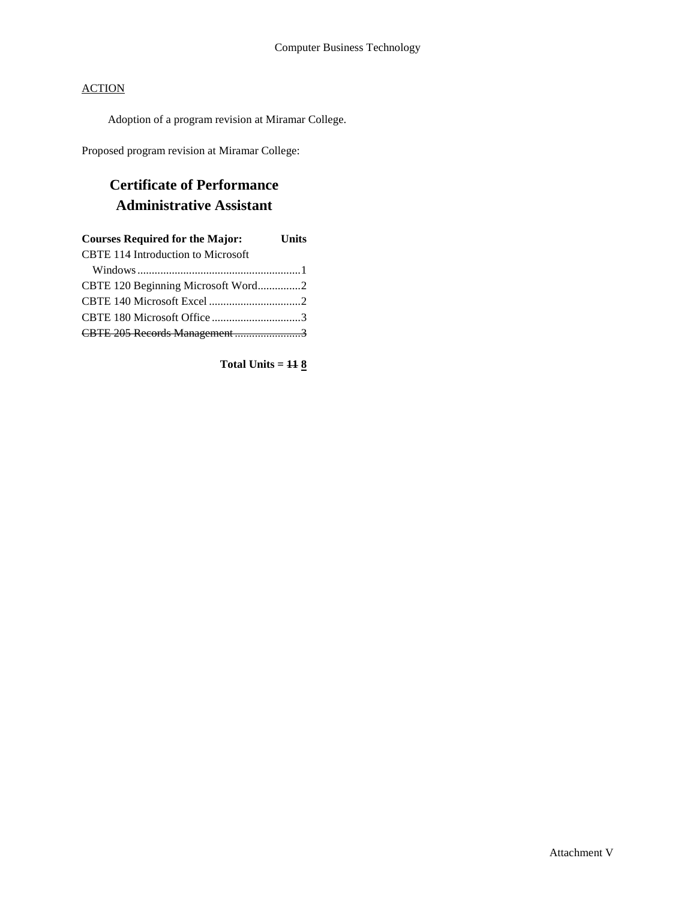Adoption of a program revision at Miramar College.

Proposed program revision at Miramar College:

# **Certificate of Performance Administrative Assistant**

| <b>Courses Required for the Major:</b>    | <b>Units</b> |
|-------------------------------------------|--------------|
| <b>CBTE 114 Introduction to Microsoft</b> |              |
|                                           |              |
| CBTE 120 Beginning Microsoft Word2        |              |
|                                           |              |
|                                           |              |
| CBTE 205 Records Management3              |              |

**Total Units = 11 8**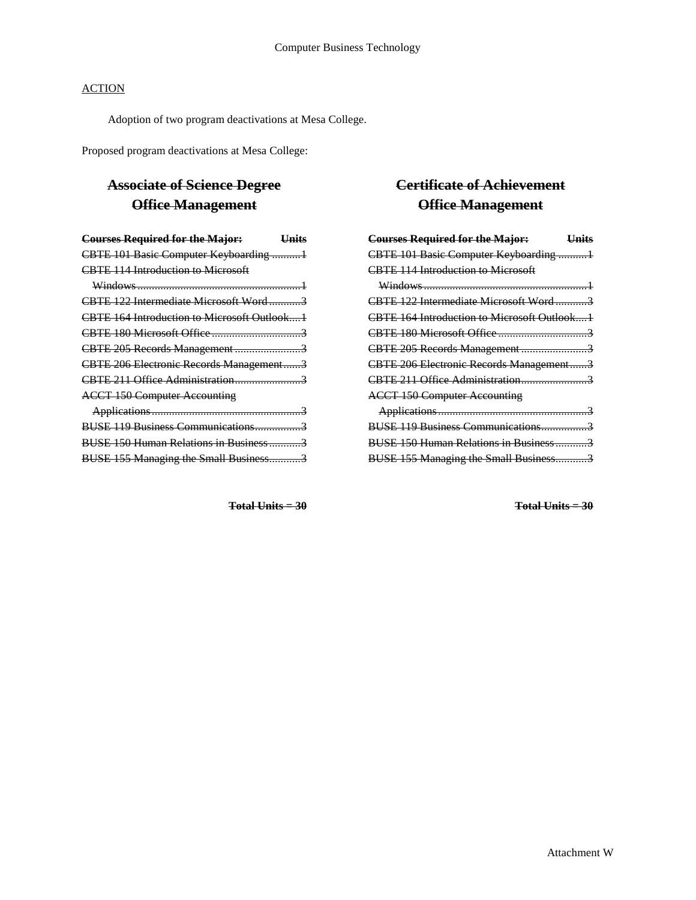Adoption of two program deactivations at Mesa College.

Proposed program deactivations at Mesa College:

# **Associate of Science Degree Office Management**

| <b>Courses Required for the Major:</b>      | <del>Units</del> |
|---------------------------------------------|------------------|
| CBTE 101 Basic Computer Keyboarding 1       |                  |
| <b>CBTE 114 Introduction to Microsoft</b>   |                  |
|                                             |                  |
| CBTE 122 Intermediate Microsoft Word3       |                  |
| CBTE 164 Introduction to Microsoft Outlook1 |                  |
|                                             |                  |
| CBTE 205 Records Management3                |                  |
| CBTE 206 Electronic Records Management3     |                  |
| CBTE 211 Office Administration3             |                  |
| <b>ACCT 150 Computer Accounting</b>         |                  |
|                                             |                  |
| BUSE 119 Business Communications3           |                  |
| BUSE 150 Human Relations in Business3       |                  |
| BUSE 155 Managing the Small Business3       |                  |

**Total Units = 30**

# **Certificate of Achievement Office Management**

| <b>Courses Required for the Major:</b>      | Hnits |
|---------------------------------------------|-------|
| CBTE 101 Basic Computer Keyboarding 1       |       |
| <b>CBTE 114 Introduction to Microsoft</b>   |       |
|                                             |       |
| CBTE 122 Intermediate Microsoft Word3       |       |
| CBTE 164 Introduction to Microsoft Outlook1 |       |
|                                             |       |
| CBTE 205 Records Management3                |       |
| CBTE 206 Electronic Records Management3     |       |
| CBTE 211 Office Administration3             |       |
| <b>ACCT 150 Computer Accounting</b>         |       |
|                                             |       |
| BUSE 119 Business Communications3           |       |
| BUSE 150 Human Relations in Business3       |       |
| BUSE 155 Managing the Small Business3       |       |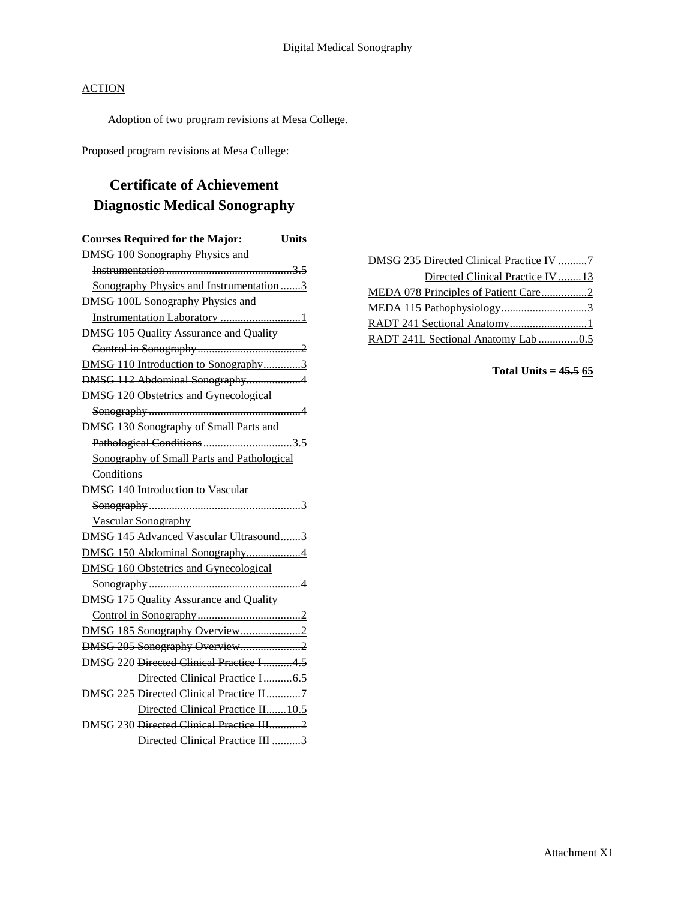Adoption of two program revisions at Mesa College.

Proposed program revisions at Mesa College:

# **Certificate of Achievement Diagnostic Medical Sonography**

| <b>Courses Required for the Major:</b><br><b>Units</b> |
|--------------------------------------------------------|
| DMSG 100 Sonography Physics and                        |
|                                                        |
| Sonography Physics and Instrumentation3                |
| <b>DMSG 100L Sonography Physics and</b>                |
| Instrumentation Laboratory 1                           |
| <b>DMSG 105 Quality Assurance and Quality</b>          |
|                                                        |
| DMSG 110 Introduction to Sonography3                   |
| DMSG 112 Abdominal Sonography4                         |
| <b>DMSG 120 Obstetrics and Gynecological</b>           |
|                                                        |
| DMSG 130 Sonography of Small Parts and                 |
| Pathological Conditions3.5                             |
| Sonography of Small Parts and Pathological             |
| Conditions                                             |
| DMSG 140 Introduction to Vascular                      |
|                                                        |
| <b>Vascular Sonography</b>                             |
| DMSG 145 Advanced Vascular Ultrasound3                 |
| DMSG 150 Abdominal Sonography4                         |
| <b>DMSG 160 Obstetrics and Gynecological</b>           |
|                                                        |
| <b>DMSG 175 Quality Assurance and Quality</b>          |
|                                                        |
|                                                        |
| DMSG 205 Sonography Overview2                          |
| DMSG 220 Directed Clinical Practice I 4.5              |
| Directed Clinical Practice I6.5                        |
| DMSG 225 Directed Clinical Practice II7                |
| Directed Clinical Practice II 10.5                     |
| DMSG 230 Directed Clinical Practice III2               |
| Directed Clinical Practice III 3                       |

| Directed Clinical Practice IV 13     |  |
|--------------------------------------|--|
| MEDA 078 Principles of Patient Care2 |  |
|                                      |  |
| RADT 241 Sectional Anatomy1          |  |
| RADT 241L Sectional Anatomy Lab 0.5  |  |

**Total Units = 45.5 65**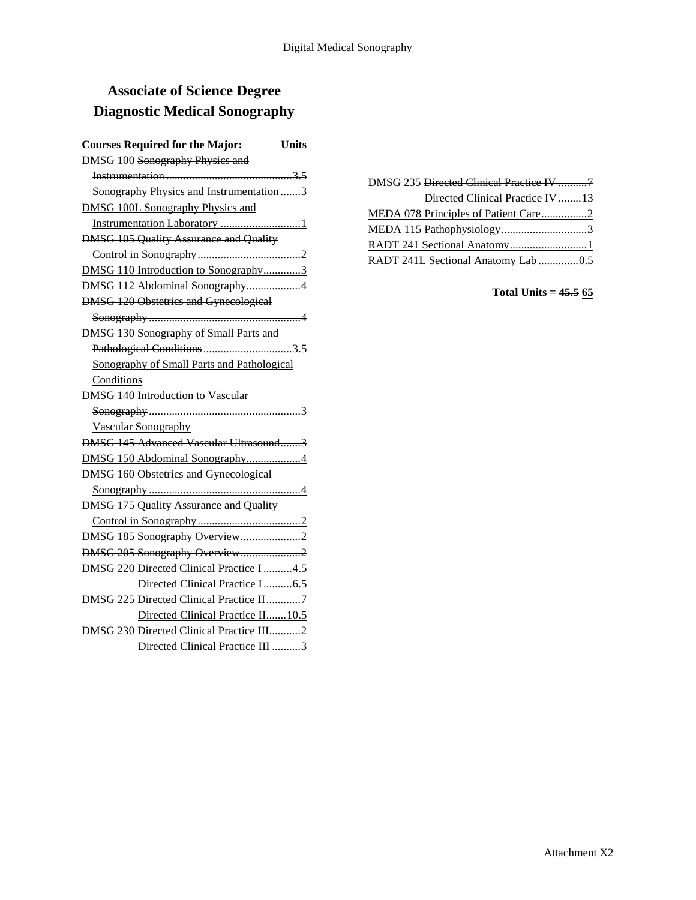# **Associate of Science Degree Diagnostic Medical Sonography**

| <b>Courses Required for the Major:</b><br><b>Units</b> |
|--------------------------------------------------------|
| DMSG 100 Sonography Physics and                        |
|                                                        |
| Sonography Physics and Instrumentation3                |
| <b>DMSG 100L Sonography Physics and</b>                |
| Instrumentation Laboratory 1                           |
| <b>DMSG 105 Quality Assurance and Quality</b>          |
|                                                        |
| DMSG 110 Introduction to Sonography3                   |
| DMSG 112 Abdominal Sonography4                         |
| <b>DMSG 120 Obstetrics and Gynecological</b>           |
|                                                        |
| DMSG 130 Sonography of Small Parts and                 |
| Pathological Conditions3.5                             |
| Sonography of Small Parts and Pathological             |
| Conditions                                             |
| DMSG 140 Introduction to Vascular                      |
|                                                        |
| <b>Vascular Sonography</b>                             |
| DMSG 145 Advanced Vascular Ultrasound3                 |
| DMSG 150 Abdominal Sonography4                         |
| <b>DMSG 160 Obstetrics and Gynecological</b>           |
|                                                        |
| <b>DMSG 175 Quality Assurance and Quality</b>          |
|                                                        |
|                                                        |
| DMSG 205 Sonography Overview2                          |
| DMSG 220 Directed Clinical Practice I 4.5              |
| Directed Clinical Practice I6.5                        |
| DMSG 225 Directed Clinical Practice II7                |
| Directed Clinical Practice II 10.5                     |
| DMSG 230 Directed Clinical Practice III2               |
| Directed Clinical Practice III 3                       |

DMSG 235 Directed Clinical Practice IV ..........7 Directed Clinical Practice IV ........13 MEDA 078 Principles of Patient Care.................2 MEDA 115 Pathophysiology..............................3 RADT 241 Sectional Anatomy.............................1 RADT 241L Sectional Anatomy Lab ..............0.5

**Total Units = 45.5 65**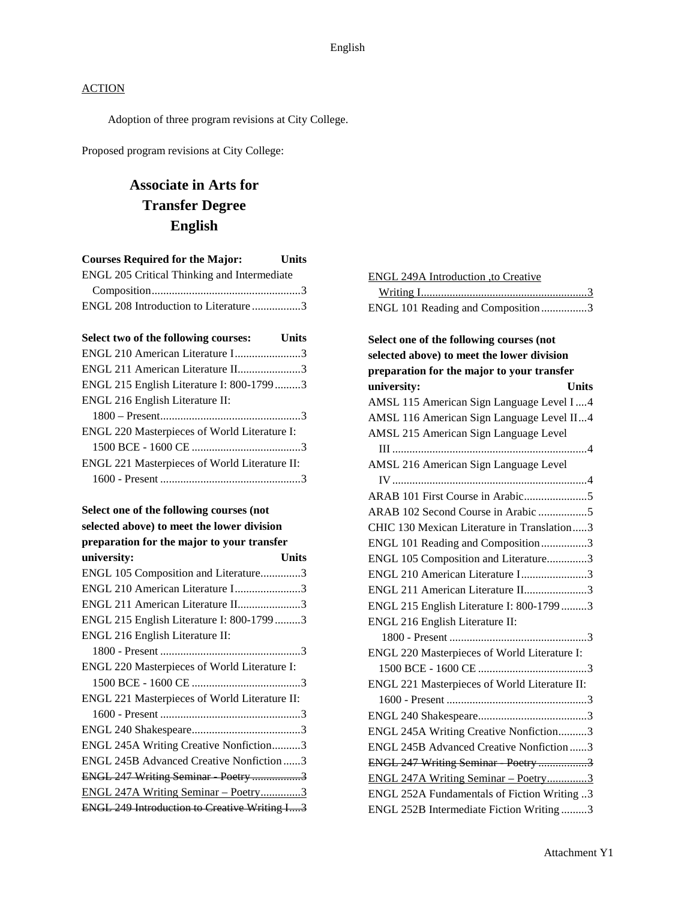Adoption of three program revisions at City College.

Proposed program revisions at City College:

# **Associate in Arts for Transfer Degree English**

| <b>Courses Required for the Major:</b><br><b>Units</b> |
|--------------------------------------------------------|
| ENGL 205 Critical Thinking and Intermediate            |
|                                                        |
| ENGL 208 Introduction to Literature 3                  |
| Select two of the following courses: Units             |
| ENGL 210 American Literature I3                        |
| ENGL 211 American Literature II3                       |
| ENGL 215 English Literature I: 800-1799 3              |
| ENGL 216 English Literature II:                        |
|                                                        |
| ENGL 220 Masterpieces of World Literature I:           |
|                                                        |
| ENGL 221 Masterpieces of World Literature II:          |
|                                                        |
| Select one of the following courses (not               |
| selected above) to meet the lower division             |
| preparation for the major to your transfer             |
| university:<br><b>Units</b>                            |
| ENGL 105 Composition and Literature3                   |
| ENGL 210 American Literature I3                        |
| ENGL 211 American Literature II3                       |
| ENGL 215 English Literature I: 800-17993               |
| ENGL 216 English Literature II:                        |
|                                                        |
| $FMT$ $2201$ $F$ $F$ $27$ $F$ $F$                      |

| ENGL 220 Masterpieces of World Literature I:        |  |
|-----------------------------------------------------|--|
|                                                     |  |
| ENGL 221 Masterpieces of World Literature II:       |  |
|                                                     |  |
|                                                     |  |
| ENGL 245A Writing Creative Nonfiction3              |  |
| ENGL 245B Advanced Creative Nonfiction3             |  |
| ENGL 247 Writing Seminar Poetry 3                   |  |
| ENGL 247A Writing Seminar - Poetry3                 |  |
| <b>ENGL 249 Introduction to Creative Writing I3</b> |  |

| ENGL 249A Introduction .to Creative |  |
|-------------------------------------|--|
|                                     |  |
| ENGL 101 Reading and Composition3   |  |

# **Select one of the following courses (not selected above) to meet the lower division preparation for the major to your transfer university: Units** AMSL 115 American Sign Language Level I....4 AMSL 116 American Sign Language Level II...4 AMSL 215 American Sign Language Level III ....................................................................4 AMSL 216 American Sign Language Level IV....................................................................4 ARAB 101 First Course in Arabic......................5 ARAB 102 Second Course in Arabic .................5 CHIC 130 Mexican Literature in Translation.....3 ENGL 101 Reading and Composition................3 ENGL 105 Composition and Literature..............3 ENGL 210 American Literature I.......................3 ENGL 211 American Literature II......................3 ENGL 215 English Literature I: 800-1799 .........3 ENGL 216 English Literature II: 1800 - Present ................................................3 ENGL 220 Masterpieces of World Literature I: 1500 BCE - 1600 CE ......................................3 ENGL 221 Masterpieces of World Literature II: 1600 - Present .................................................3 ENGL 240 Shakespeare......................................3 ENGL 245A Writing Creative Nonfiction..........3 ENGL 245B Advanced Creative Nonfiction ......3 ENGL 247 Writing Seminar Poetry ..................3 ENGL 247A Writing Seminar – Poetry..............3 ENGL 252A Fundamentals of Fiction Writing ..3 ENGL 252B Intermediate Fiction Writing .........3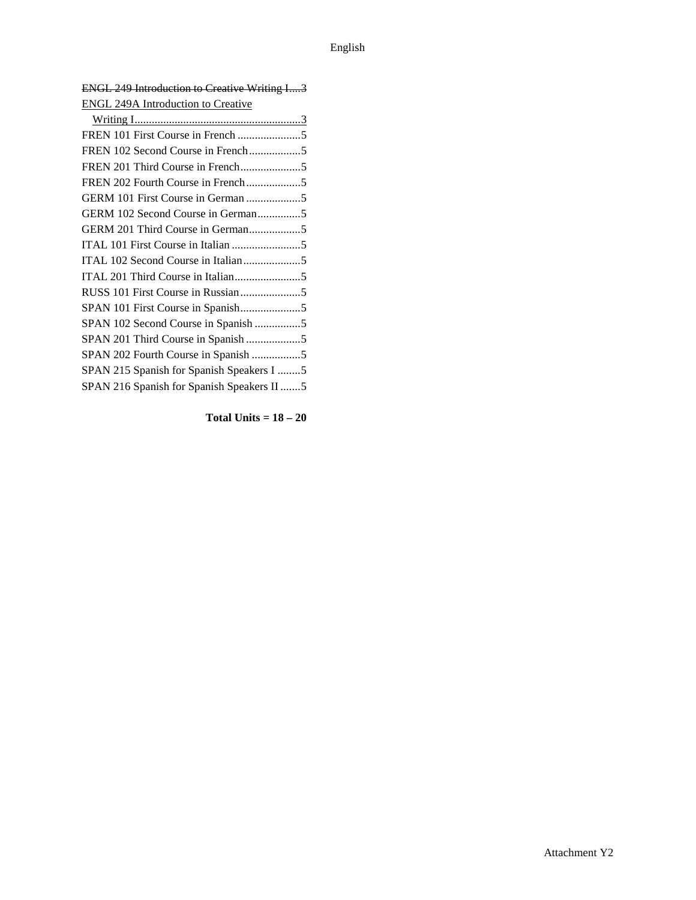| <b>ENGL 249 Introduction to Creative Writing I3</b> |
|-----------------------------------------------------|
| <b>ENGL 249A Introduction to Creative</b>           |
|                                                     |
|                                                     |
| FREN 102 Second Course in French5                   |
|                                                     |
| FREN 202 Fourth Course in French5                   |
| GERM 101 First Course in German 5                   |
| GERM 102 Second Course in German5                   |
| GERM 201 Third Course in German5                    |
|                                                     |
| ITAL 102 Second Course in Italian5                  |
|                                                     |
|                                                     |
| SPAN 101 First Course in Spanish5                   |
| SPAN 102 Second Course in Spanish 5                 |
|                                                     |
| SPAN 202 Fourth Course in Spanish 5                 |
| SPAN 215 Spanish for Spanish Speakers I 5           |
| SPAN 216 Spanish for Spanish Speakers II 5          |

**Total Units = 18 – 20**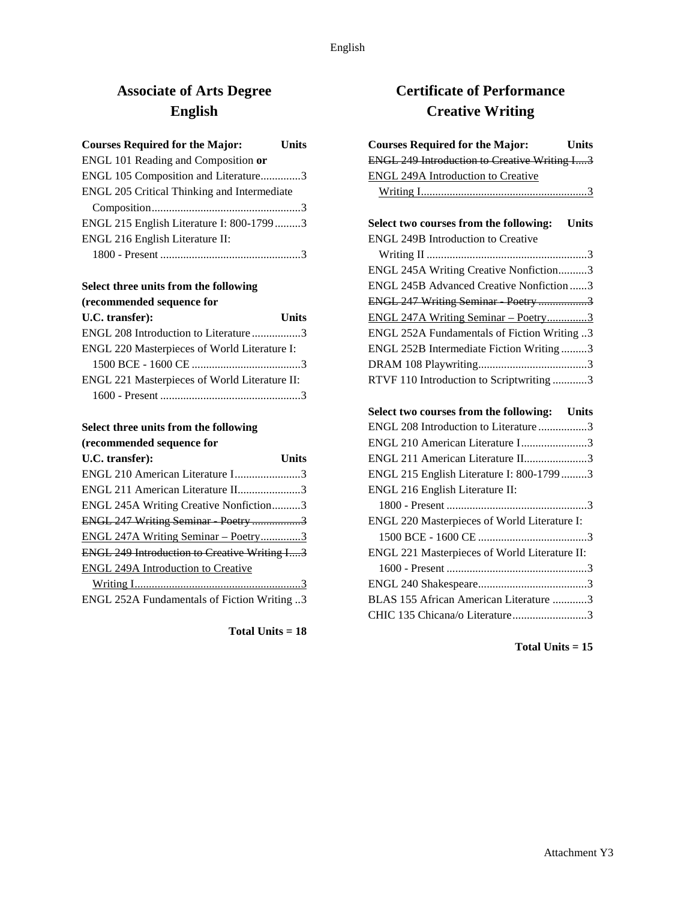# **Associate of Arts Degree English**

| <b>Courses Required for the Major:</b>      | <b>Units</b> |
|---------------------------------------------|--------------|
| ENGL 101 Reading and Composition or         |              |
| ENGL 105 Composition and Literature3        |              |
| ENGL 205 Critical Thinking and Intermediate |              |
|                                             |              |
| ENGL 215 English Literature I: 800-17993    |              |
| ENGL 216 English Literature II:             |              |
|                                             |              |

### **Select three units from the following (recommended sequence for**

| U.C. transfer):                               | <b>Units</b> |
|-----------------------------------------------|--------------|
| ENGL 208 Introduction to Literature 3         |              |
| ENGL 220 Masterpieces of World Literature I:  |              |
|                                               |              |
| ENGL 221 Masterpieces of World Literature II: |              |
|                                               |              |

### **Select three units from the following (recommended sequence for**

| U.C. transfer):                                     | Units |
|-----------------------------------------------------|-------|
| ENGL 210 American Literature I3                     |       |
| ENGL 211 American Literature II3                    |       |
| ENGL 245A Writing Creative Nonfiction3              |       |
| ENGL 247 Writing Seminar Poetry 3                   |       |
| ENGL 247A Writing Seminar - Poetry3                 |       |
| <b>ENGL 249 Introduction to Creative Writing I3</b> |       |
| ENGL 249A Introduction to Creative                  |       |
|                                                     |       |
| ENGL 252A Fundamentals of Fiction Writing 3         |       |

### **Total Units = 18**

# **Certificate of Performance Creative Writing**

| <b>Courses Required for the Major:</b><br><b>Units</b> |
|--------------------------------------------------------|
| <b>ENGL 249 Introduction to Creative Writing I3</b>    |
| <b>ENGL 249A Introduction to Creative</b>              |
|                                                        |
| Select two courses from the following:<br><b>Units</b> |
| <b>ENGL 249B Introduction to Creative</b>              |
|                                                        |
| ENGL 245A Writing Creative Nonfiction3                 |
| ENGL 245B Advanced Creative Nonfiction 3               |
| ENGL 247 Writing Seminar Poetry 3                      |
| ENGL 247A Writing Seminar - Poetry3                    |
| ENGL 252A Fundamentals of Fiction Writing 3            |
| ENGL 252B Intermediate Fiction Writing 3               |
|                                                        |
| RTVF 110 Introduction to Scriptwriting 3               |
|                                                        |
| Select two courses from the following: Units           |
| ENGL 208 Introduction to Literature 3                  |
| ENGL 210 American Literature I3                        |
| ENGL 211 American Literature II3                       |
| ENGL 215 English Literature I: 800-17993               |
| ENGL 216 English Literature II:                        |

| BLAS 155 African American Literature 3 |  |
|----------------------------------------|--|
|                                        |  |

1800 - Present .................................................3 ENGL 220 Masterpieces of World Literature I: 1500 BCE - 1600 CE ......................................3 ENGL 221 Masterpieces of World Literature II: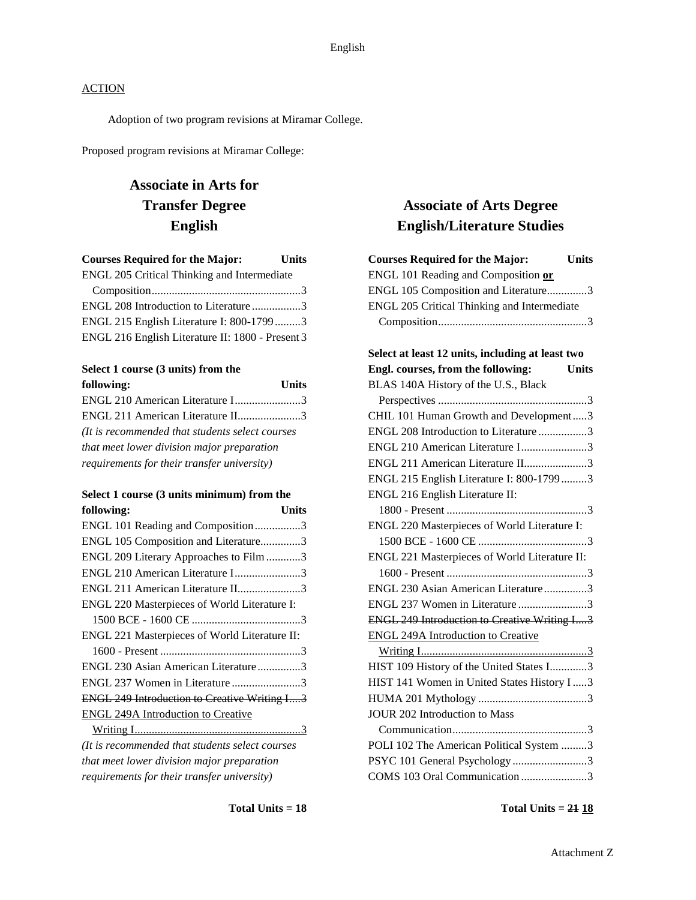Adoption of two program revisions at Miramar College.

Proposed program revisions at Miramar College:

# **Associate in Arts for Transfer Degree English**

| <b>Courses Required for the Major:</b>           | <b>Units</b> |
|--------------------------------------------------|--------------|
| ENGL 205 Critical Thinking and Intermediate      |              |
|                                                  |              |
| ENGL 208 Introduction to Literature 3            |              |
| ENGL 215 English Literature I: 800-17993         |              |
| ENGL 216 English Literature II: 1800 - Present 3 |              |
|                                                  |              |

# **Select 1 course (3 units) from the**

| following:                                       | <b>Units</b> |
|--------------------------------------------------|--------------|
| ENGL 210 American Literature I3                  |              |
| ENGL 211 American Literature II3                 |              |
| (It is recommended that students select courses) |              |
| that meet lower division major preparation       |              |
| requirements for their transfer university)      |              |

#### **Select 1 course (3 units minimum) from the following: Units**

| ENGL 101 Reading and Composition3                   |
|-----------------------------------------------------|
| ENGL 105 Composition and Literature3                |
| ENGL 209 Literary Approaches to Film 3              |
| ENGL 210 American Literature I3                     |
| ENGL 211 American Literature II3                    |
|                                                     |
|                                                     |
|                                                     |
|                                                     |
| ENGL 230 Asian American Literature3                 |
| ENGL 237 Women in Literature 3                      |
| <b>ENGL 249 Introduction to Creative Writing I3</b> |
|                                                     |
|                                                     |
|                                                     |
|                                                     |
|                                                     |

*requirements for their transfer university)*

# **Associate of Arts Degree English/Literature Studies**

| <b>Courses Required for the Major:</b><br><b>Units</b> |
|--------------------------------------------------------|
| ENGL 101 Reading and Composition or                    |
| ENGL 105 Composition and Literature3                   |
| ENGL 205 Critical Thinking and Intermediate            |
|                                                        |
| Select at least 12 units, including at least two       |
| Engl. courses, from the following:<br><b>Units</b>     |
| BLAS 140A History of the U.S., Black                   |
|                                                        |
| CHIL 101 Human Growth and Development3                 |
| ENGL 208 Introduction to Literature3                   |
| ENGL 210 American Literature I3                        |
| ENGL 211 American Literature II3                       |
| ENGL 215 English Literature I: 800-1799 3              |
| ENGL 216 English Literature II:                        |
|                                                        |
| ENGL 220 Masterpieces of World Literature I:           |
|                                                        |
| ENGL 221 Masterpieces of World Literature II:          |
|                                                        |
| ENGL 230 Asian American Literature3                    |
| ENGL 237 Women in Literature 3                         |
| <b>ENGL 249 Introduction to Creative Writing I3</b>    |
| <b>ENGL 249A Introduction to Creative</b>              |
|                                                        |
| HIST 109 History of the United States I3               |
| HIST 141 Women in United States History I3             |
|                                                        |
| <b>JOUR 202 Introduction to Mass</b>                   |
|                                                        |
| POLI 102 The American Political System 3               |
| PSYC 101 General Psychology 3                          |
| COMS 103 Oral Communication 3                          |

**Total Units = 21 18**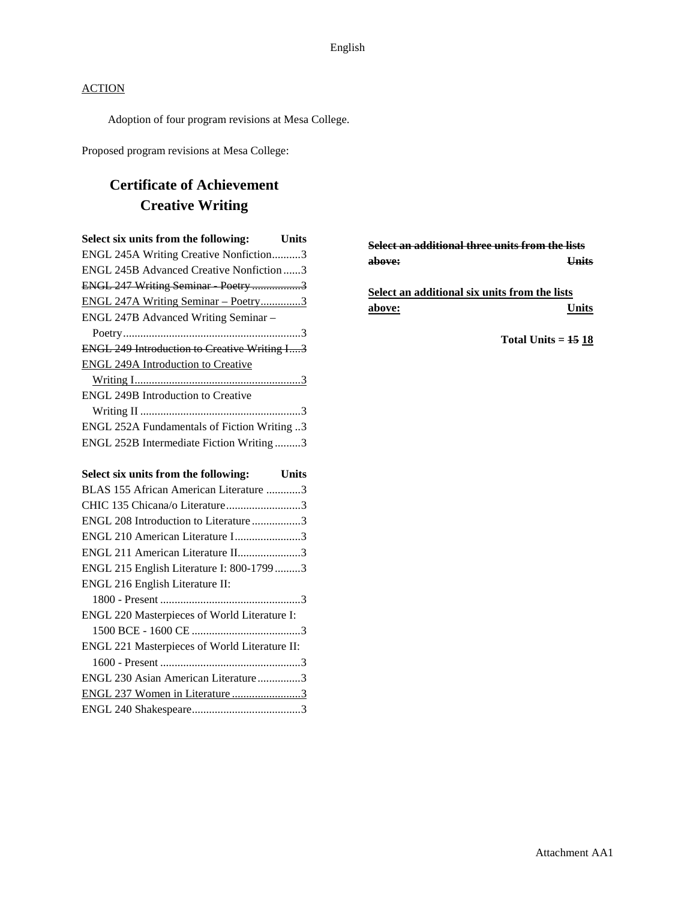Adoption of four program revisions at Mesa College.

Proposed program revisions at Mesa College:

# **Certificate of Achievement Creative Writing**

| Select six units from the following:<br><b>Units</b> |
|------------------------------------------------------|
| ENGL 245A Writing Creative Nonfiction3               |
| ENGL 245B Advanced Creative Nonfiction 3             |
| ENGL 247 Writing Seminar Poetry 3                    |
| ENGL 247A Writing Seminar - Poetry3                  |
| ENGL 247B Advanced Writing Seminar -                 |
|                                                      |
| <b>ENGL 249 Introduction to Creative Writing I3</b>  |
| <b>ENGL 249A Introduction to Creative</b>            |
|                                                      |
| <b>ENGL 249B Introduction to Creative</b>            |
|                                                      |
| ENGL 252A Fundamentals of Fiction Writing 3          |
| ENGL 252B Intermediate Fiction Writing3              |
| Select six units from the following:<br><b>Units</b> |
| BLAS 155 African American Literature 3               |
| CHIC 135 Chicana/o Literature3                       |
| ENGL 208 Introduction to Literature 3                |

| ENGL 210 American Literature I3               |  |
|-----------------------------------------------|--|
| ENGL 211 American Literature II3              |  |
| ENGL 215 English Literature I: 800-17993      |  |
| ENGL 216 English Literature II:               |  |
|                                               |  |
| ENGL 220 Masterpieces of World Literature I:  |  |
|                                               |  |
| ENGL 221 Masterpieces of World Literature II: |  |
|                                               |  |
| ENGL 230 Asian American Literature3           |  |
| ENGL 237 Women in Literature 3                |  |
|                                               |  |

**Select an additional three units from the lists above: Units**

**Select an additional six units from the lists above: Units**

**Total Units = 15 18**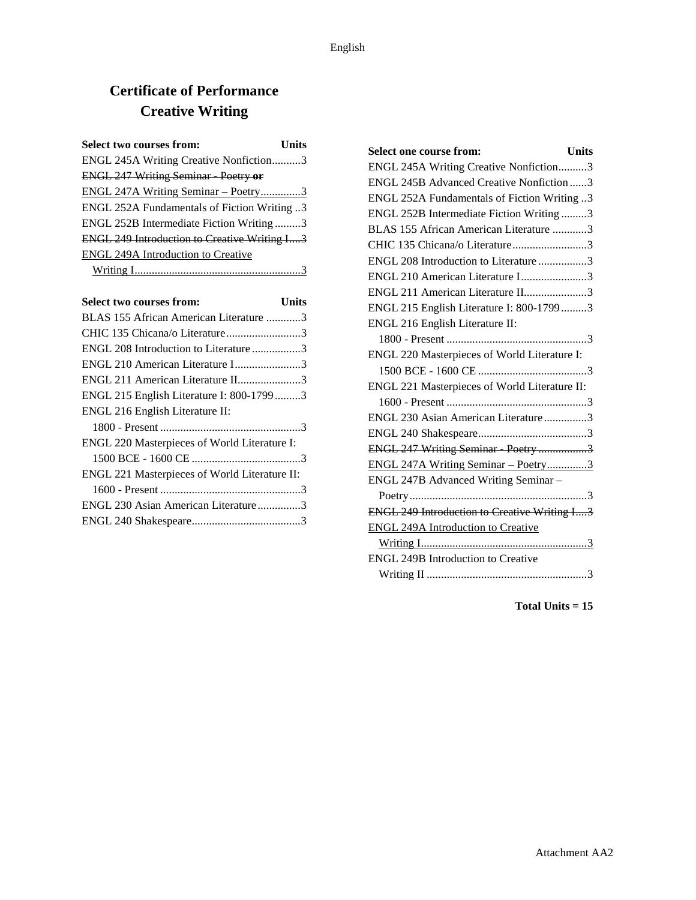# **Certificate of Performance Creative Writing**

| Select two courses from:                            | Units |
|-----------------------------------------------------|-------|
| ENGL 245A Writing Creative Nonfiction3              |       |
| <b>ENGL 247 Writing Seminar Poetry or</b>           |       |
| <u>ENGL 247A Writing Seminar – Poetry3</u>          |       |
| ENGL 252A Fundamentals of Fiction Writing 3         |       |
| ENGL 252B Intermediate Fiction Writing3             |       |
| <b>ENGL 249 Introduction to Creative Writing I3</b> |       |
| <b>ENGL 249A Introduction to Creative</b>           |       |
|                                                     |       |

| <b>Select two courses from:</b>               | Units |
|-----------------------------------------------|-------|
| BLAS 155 African American Literature 3        |       |
| CHIC 135 Chicana/o Literature3                |       |
| ENGL 208 Introduction to Literature 3         |       |
| ENGL 210 American Literature I3               |       |
| ENGL 211 American Literature II3              |       |
| ENGL 215 English Literature I: 800-17993      |       |
| ENGL 216 English Literature II:               |       |
|                                               |       |
| ENGL 220 Masterpieces of World Literature I:  |       |
|                                               |       |
| ENGL 221 Masterpieces of World Literature II: |       |
|                                               |       |
| ENGL 230 Asian American Literature3           |       |
|                                               |       |

| <b>Select one course from:</b><br><b>Units</b>      |
|-----------------------------------------------------|
| ENGL 245A Writing Creative Nonfiction3              |
| ENGL 245B Advanced Creative Nonfiction 3            |
| ENGL 252A Fundamentals of Fiction Writing 3         |
| ENGL 252B Intermediate Fiction Writing3             |
| BLAS 155 African American Literature 3              |
| CHIC 135 Chicana/o Literature3                      |
| ENGL 208 Introduction to Literature 3               |
| ENGL 210 American Literature I3                     |
| ENGL 211 American Literature II3                    |
| ENGL 215 English Literature I: 800-1799 3           |
| ENGL 216 English Literature II:                     |
|                                                     |
| ENGL 220 Masterpieces of World Literature I:        |
|                                                     |
| ENGL 221 Masterpieces of World Literature II:       |
|                                                     |
| ENGL 230 Asian American Literature3                 |
|                                                     |
| ENGL 247 Writing Seminar Poetry 3                   |
| ENGL 247A Writing Seminar - Poetry3                 |
| ENGL 247B Advanced Writing Seminar -                |
|                                                     |
| <b>ENGL 249 Introduction to Creative Writing I3</b> |
| <b>ENGL 249A Introduction to Creative</b>           |
|                                                     |
| <b>ENGL 249B Introduction to Creative</b>           |
|                                                     |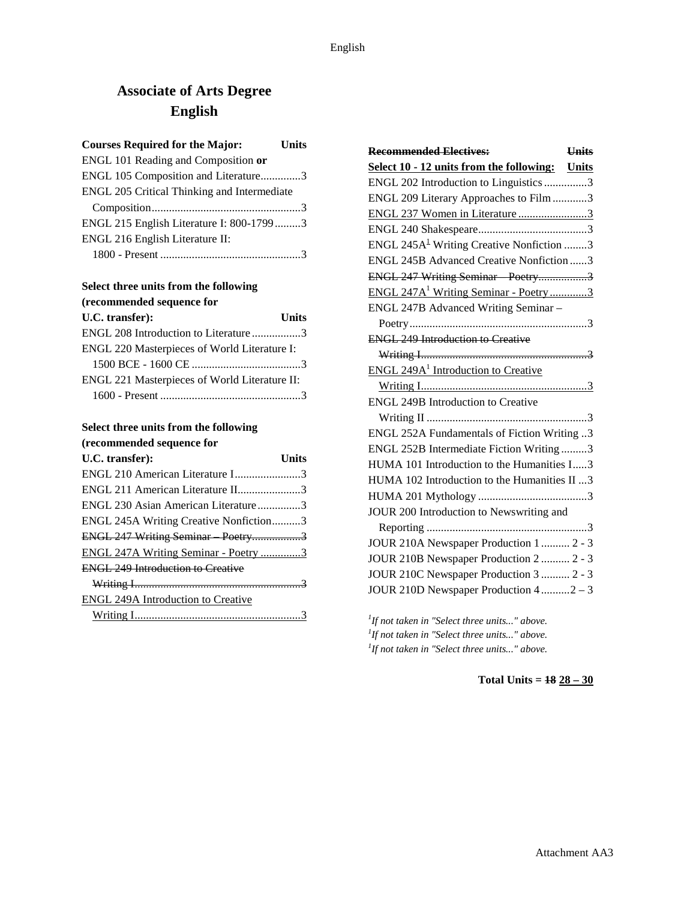# **Associate of Arts Degree English**

| <b>Courses Required for the Major:</b>      | <b>Units</b> |
|---------------------------------------------|--------------|
| ENGL 101 Reading and Composition or         |              |
| ENGL 105 Composition and Literature3        |              |
| ENGL 205 Critical Thinking and Intermediate |              |
|                                             |              |
| ENGL 215 English Literature I: 800-17993    |              |
| ENGL 216 English Literature II:             |              |
|                                             |              |

### **Select three units from the following (recommended sequence for**

| U.C. transfer):                               | <b>Units</b> |
|-----------------------------------------------|--------------|
| ENGL 208 Introduction to Literature 3         |              |
| ENGL 220 Masterpieces of World Literature I:  |              |
|                                               |              |
| ENGL 221 Masterpieces of World Literature II: |              |
|                                               |              |

### **Select three units from the following (recommended sequence for**

| U.C. transfer):                           | <b>Units</b> |
|-------------------------------------------|--------------|
| ENGL 210 American Literature I3           |              |
| ENGL 211 American Literature II3          |              |
| ENGL 230 Asian American Literature3       |              |
| ENGL 245A Writing Creative Nonfiction3    |              |
| ENGL 247 Writing Seminar Poetry3          |              |
| ENGL 247A Writing Seminar - Poetry 3      |              |
| <b>ENGL 249 Introduction to Creative</b>  |              |
|                                           |              |
| <b>ENGL 249A Introduction to Creative</b> |              |
|                                           |              |

| <b>Recommended Electives:</b>                         | <b>Units</b> |
|-------------------------------------------------------|--------------|
| Select 10 - 12 units from the following: Units        |              |
| ENGL 202 Introduction to Linguistics 3                |              |
| ENGL 209 Literary Approaches to Film3                 |              |
| ENGL 237 Women in Literature 3                        |              |
|                                                       |              |
| ENGL 245A <sup>1</sup> Writing Creative Nonfiction 3  |              |
| ENGL 245B Advanced Creative Nonfiction 3              |              |
| ENGL 247 Writing Seminar Poetry3                      |              |
| ENGL 247A <sup>1</sup> Writing Seminar - Poetry3      |              |
| ENGL 247B Advanced Writing Seminar -                  |              |
|                                                       |              |
| <b>ENGL 249 Introduction to Creative</b>              |              |
|                                                       |              |
| <b>ENGL 249A<sup>1</sup></b> Introduction to Creative |              |
|                                                       |              |
| <b>ENGL 249B Introduction to Creative</b>             |              |
|                                                       |              |
| ENGL 252A Fundamentals of Fiction Writing 3           |              |
| ENGL 252B Intermediate Fiction Writing3               |              |
| HUMA 101 Introduction to the Humanities I3            |              |
| HUMA 102 Introduction to the Humanities II 3          |              |
|                                                       |              |
| JOUR 200 Introduction to Newswriting and              |              |
|                                                       |              |
| JOUR 210A Newspaper Production 1  2 - 3               |              |
| JOUR 210B Newspaper Production 2  2 - 3               |              |
| JOUR 210C Newspaper Production 3  2 - 3               |              |
| JOUR 210D Newspaper Production 4 2 - 3                |              |
|                                                       |              |

*1 If not taken in "Select three units..." above. 1 If not taken in "Select three units..." above. 1 If not taken in "Select three units..." above.*

**Total Units = 18 28 – 30**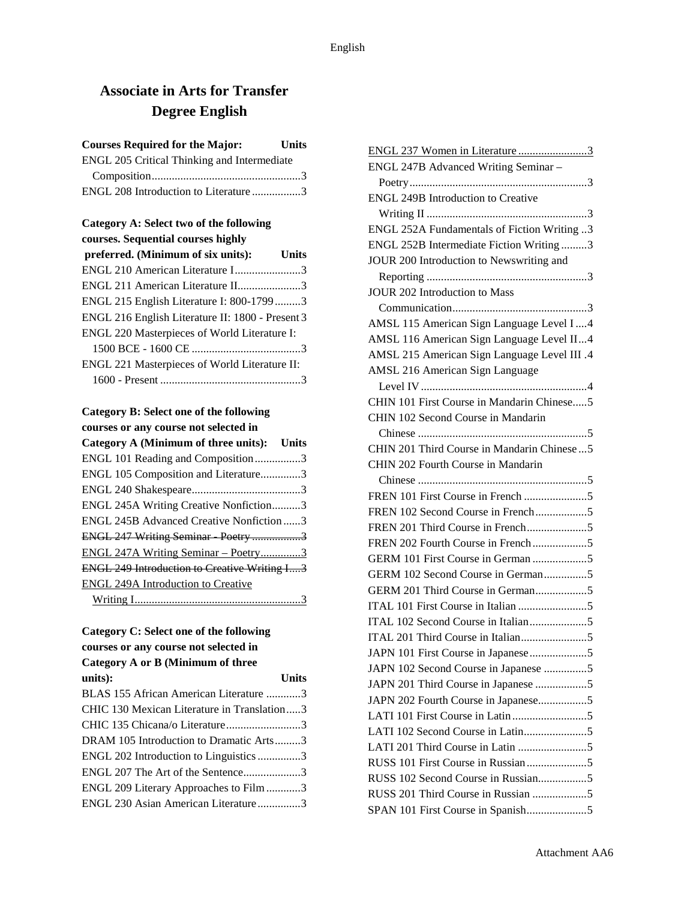# **Associate in Arts for Transfer Degree English**

| <b>Courses Required for the Major:</b>      | <b>Units</b> |
|---------------------------------------------|--------------|
| ENGL 205 Critical Thinking and Intermediate |              |
|                                             |              |
| ENGL 208 Introduction to Literature 3       |              |

| Category A: Select two of the following          |       |
|--------------------------------------------------|-------|
| courses. Sequential courses highly               |       |
| preferred. (Minimum of six units):               | Units |
| ENGL 210 American Literature I3                  |       |
| ENGL 211 American Literature II3                 |       |
| ENGL 215 English Literature I: 800-17993         |       |
| ENGL 216 English Literature II: 1800 - Present 3 |       |
| ENGL 220 Masterpieces of World Literature I:     |       |
|                                                  |       |
| ENGL 221 Masterpieces of World Literature II:    |       |
|                                                  |       |

# **Category B: Select one of the following**

| courses or any course not selected in               |  |
|-----------------------------------------------------|--|
| Category A (Minimum of three units): Units          |  |
| ENGL 101 Reading and Composition3                   |  |
| ENGL 105 Composition and Literature3                |  |
|                                                     |  |
| ENGL 245A Writing Creative Nonfiction3              |  |
| <b>ENGL 245B Advanced Creative Nonfiction 3</b>     |  |
| ENGL 247 Writing Seminar Poetry 3                   |  |
| ENGL 247A Writing Seminar - Poetry3                 |  |
| <b>ENGL 249 Introduction to Creative Writing I3</b> |  |
| <b>ENGL 249A Introduction to Creative</b>           |  |
|                                                     |  |

### **Category C: Select one of the following courses or any course not selected in Category A or B (Minimum of three**

| $Cauchy A$ of $D$ ( <i>i</i> teration of three |              |
|------------------------------------------------|--------------|
| units):                                        | <b>Units</b> |
| BLAS 155 African American Literature 3         |              |
| CHIC 130 Mexican Literature in Translation3    |              |
| CHIC 135 Chicana/o Literature3                 |              |
| DRAM 105 Introduction to Dramatic Arts3        |              |
| ENGL 202 Introduction to Linguistics 3         |              |
| ENGL 207 The Art of the Sentence3              |              |
| ENGL 209 Literary Approaches to Film3          |              |
| ENGL 230 Asian American Literature3            |              |
|                                                |              |

| ENGL 237 Women in Literature 3               |
|----------------------------------------------|
| ENGL 247B Advanced Writing Seminar -         |
|                                              |
| <b>ENGL 249B Introduction to Creative</b>    |
|                                              |
| ENGL 252A Fundamentals of Fiction Writing 3  |
| ENGL 252B Intermediate Fiction Writing3      |
| JOUR 200 Introduction to Newswriting and     |
|                                              |
| <b>JOUR 202 Introduction to Mass</b>         |
|                                              |
| AMSL 115 American Sign Language Level I4     |
| AMSL 116 American Sign Language Level II4    |
| AMSL 215 American Sign Language Level III .4 |
| AMSL 216 American Sign Language              |
|                                              |
| CHIN 101 First Course in Mandarin Chinese5   |
| CHIN 102 Second Course in Mandarin           |
|                                              |
| CHIN 201 Third Course in Mandarin Chinese5   |
| CHIN 202 Fourth Course in Mandarin           |
|                                              |
|                                              |
| FREN 102 Second Course in French5            |
|                                              |
|                                              |
|                                              |
| GERM 102 Second Course in German5            |
| GERM 201 Third Course in German5             |
|                                              |
|                                              |
|                                              |
|                                              |
| JAPN 102 Second Course in Japanese 5         |
| JAPN 201 Third Course in Japanese 5          |
| JAPN 202 Fourth Course in Japanese5          |
|                                              |
| LATI 102 Second Course in Latin5             |
|                                              |
|                                              |
| RUSS 102 Second Course in Russian5           |
| RUSS 201 Third Course in Russian 5           |
|                                              |
|                                              |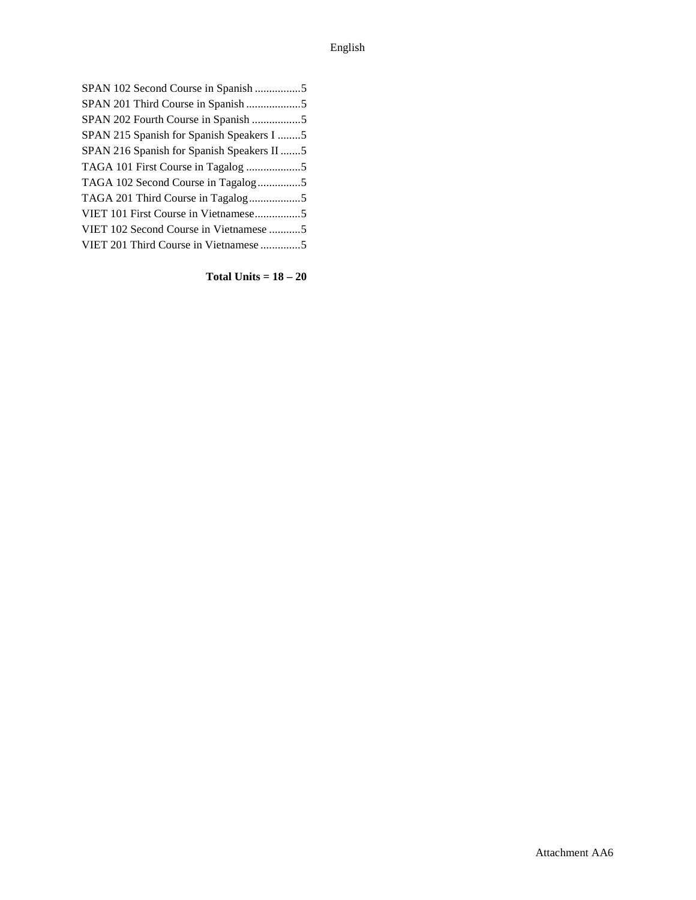| SPAN 102 Second Course in Spanish 5        |  |
|--------------------------------------------|--|
| SPAN 201 Third Course in Spanish 5         |  |
| SPAN 202 Fourth Course in Spanish 5        |  |
| SPAN 215 Spanish for Spanish Speakers I 5  |  |
| SPAN 216 Spanish for Spanish Speakers II 5 |  |
|                                            |  |
| TAGA 102 Second Course in Tagalog5         |  |
|                                            |  |
| VIET 101 First Course in Vietnamese5       |  |
| VIET 102 Second Course in Vietnamese 5     |  |
| VIET 201 Third Course in Vietnamese 5      |  |

**Total Units = 18 – 20**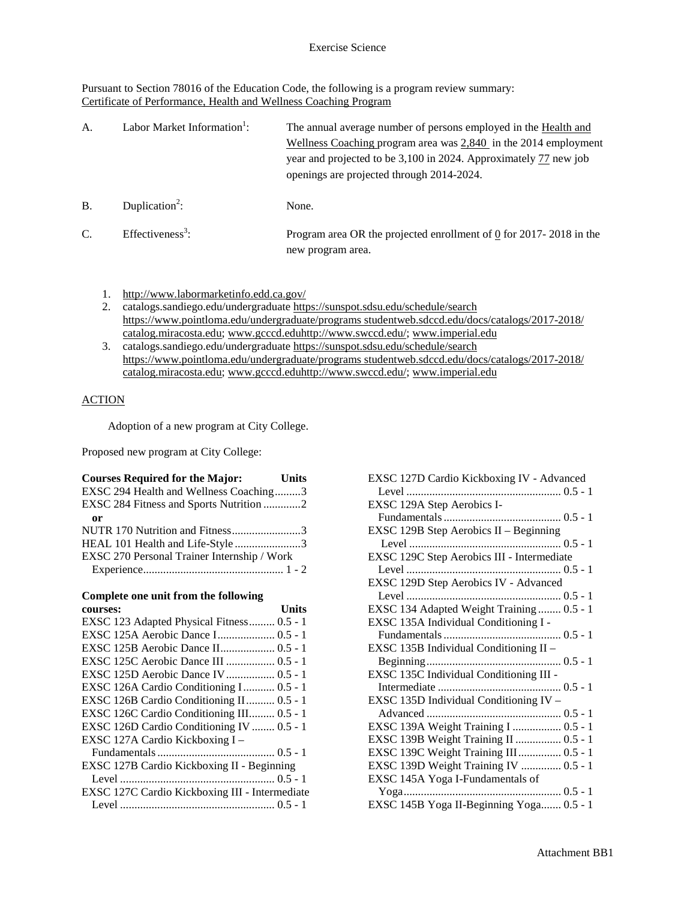Pursuant to Section 78016 of the Education Code, the following is a program review summary: Certificate of Performance, Health and Wellness Coaching Program

| А.            | Labor Market Information <sup>1</sup> : | The annual average number of persons employed in the Health and<br>Wellness Coaching program area was $2,840$ in the 2014 employment<br>year and projected to be 3,100 in 2024. Approximately 77 new job<br>openings are projected through 2014-2024. |
|---------------|-----------------------------------------|-------------------------------------------------------------------------------------------------------------------------------------------------------------------------------------------------------------------------------------------------------|
| <b>B.</b>     | Duplication <sup>2</sup> :              | None.                                                                                                                                                                                                                                                 |
| $\mathcal{C}$ | Effectiveness <sup>3</sup> :            | Program area OR the projected enrollment of $Q$ for 2017-2018 in the<br>new program area.                                                                                                                                                             |

- 1. <http://www.labormarketinfo.edd.ca.gov/>
- 2. catalogs.sandiego.edu/undergraduate<https://sunspot.sdsu.edu/schedule/search> [https://www.pointloma.edu/undergraduate/programs studentweb.sdccd.edu/docs/catalogs/2017-2018/](https://www.pointloma.edu/undergraduate/programs%20studentweb.sdccd.edu/docs/catalogs/2017-2018/%20catalog.miracosta.edu)  [catalog.miracosta.edu;](https://www.pointloma.edu/undergraduate/programs%20studentweb.sdccd.edu/docs/catalogs/2017-2018/%20catalog.miracosta.edu) [www.gcccd.eduhttp://www.swccd.edu/;](http://www.gcccd.edu/) [www.imperial.edu](http://www.imperial.edu/)
- 3. catalogs.sandiego.edu/undergraduate<https://sunspot.sdsu.edu/schedule/search> [https://www.pointloma.edu/undergraduate/programs studentweb.sdccd.edu/docs/catalogs/2017-2018/](https://www.pointloma.edu/undergraduate/programs%20studentweb.sdccd.edu/docs/catalogs/2017-2018/%20catalog.miracosta.edu)  [catalog.miracosta.edu;](https://www.pointloma.edu/undergraduate/programs%20studentweb.sdccd.edu/docs/catalogs/2017-2018/%20catalog.miracosta.edu) [www.gcccd.eduhttp://www.swccd.edu/;](http://www.gcccd.edu/) [www.imperial.edu](http://www.imperial.edu/)

### **ACTION**

Adoption of a new program at City College.

Proposed new program at City College:

| <b>Courses Required for the Major:</b>      | <b>Units</b> |
|---------------------------------------------|--------------|
| EXSC 294 Health and Wellness Coaching3      |              |
| EXSC 284 Fitness and Sports Nutrition 2     |              |
| or                                          |              |
| NUTR 170 Nutrition and Fitness3             |              |
| HEAL 101 Health and Life-Style 3            |              |
| EXSC 270 Personal Trainer Internship / Work |              |
|                                             |              |

#### **Complete one unit from the following courses: Units**

| EXSC 123 Adapted Physical Fitness 0.5 - 1      |  |
|------------------------------------------------|--|
| EXSC 125A Aerobic Dance I 0.5 - 1              |  |
| EXSC 125B Aerobic Dance II 0.5 - 1             |  |
| EXSC 125C Aerobic Dance III  0.5 - 1           |  |
| EXSC 125D Aerobic Dance IV 0.5 - 1             |  |
| EXSC 126A Cardio Conditioning I 0.5 - 1        |  |
| EXSC 126B Cardio Conditioning II 0.5 - 1       |  |
| EXSC 126C Cardio Conditioning III 0.5 - 1      |  |
| EXSC 126D Cardio Conditioning IV  0.5 - 1      |  |
| EXSC 127A Cardio Kickboxing I -                |  |
|                                                |  |
| EXSC 127B Cardio Kickboxing II - Beginning     |  |
|                                                |  |
| EXSC 127C Cardio Kickboxing III - Intermediate |  |
|                                                |  |
|                                                |  |

| EXSC 127D Cardio Kickboxing IV - Advanced  |
|--------------------------------------------|
|                                            |
| EXSC 129A Step Aerobics I-                 |
|                                            |
| EXSC 129B Step Aerobics II – Beginning     |
|                                            |
| EXSC 129C Step Aerobics III - Intermediate |
|                                            |
| EXSC 129D Step Aerobics IV - Advanced      |
|                                            |
| EXSC 134 Adapted Weight Training  0.5 - 1  |
| EXSC 135A Individual Conditioning I -      |
|                                            |
| EXSC 135B Individual Conditioning II -     |
|                                            |
| EXSC 135C Individual Conditioning III -    |
|                                            |
| EXSC 135D Individual Conditioning IV -     |
|                                            |
| EXSC 139A Weight Training I  0.5 - 1       |
| EXSC 139B Weight Training II  0.5 - 1      |
| EXSC 139C Weight Training III 0.5 - 1      |
| EXSC 139D Weight Training IV  0.5 - 1      |
| EXSC 145A Yoga I-Fundamentals of           |
|                                            |
| EXSC 145B Yoga II-Beginning Yoga 0.5 - 1   |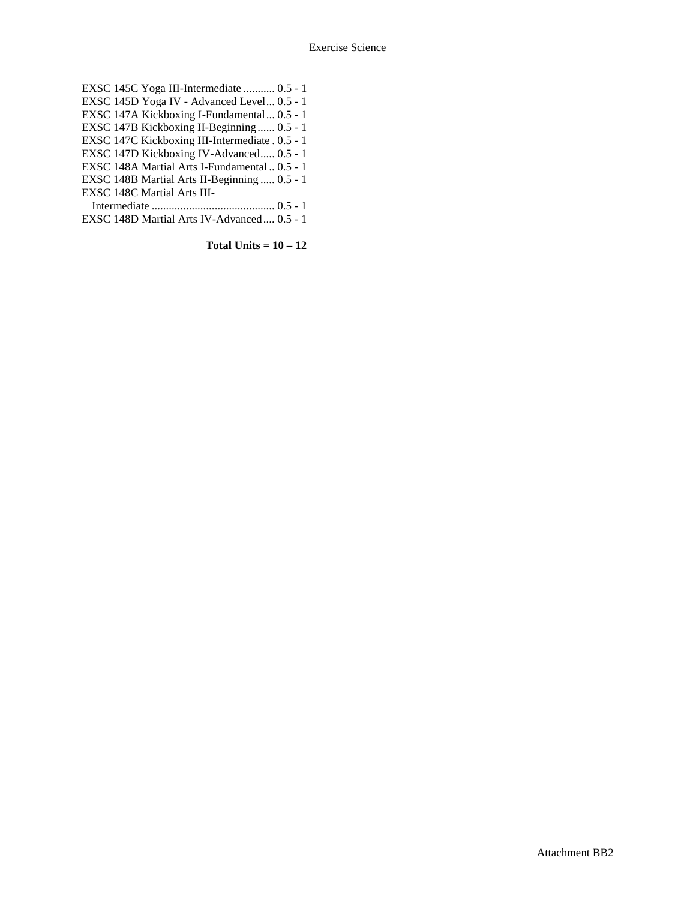EXSC 145C Yoga III-Intermediate ........... 0.5 - 1 EXSC 145D Yoga IV - Advanced Level... 0.5 - 1 EXSC 147A Kickboxing I-Fundamental... 0.5 - 1 EXSC 147B Kickboxing II-Beginning ...... 0.5 - 1 EXSC 147C Kickboxing III-Intermediate . 0.5 - 1 EXSC 147D Kickboxing IV-Advanced..... 0.5 - 1 EXSC 148A Martial Arts I-Fundamental .. 0.5 - 1 EXSC 148B Martial Arts II-Beginning ..... 0.5 - 1 EXSC 148C Martial Arts III-Intermediate ........................................... 0.5 - 1 EXSC 148D Martial Arts IV-Advanced.... 0.5 - 1

**Total Units = 10 – 12**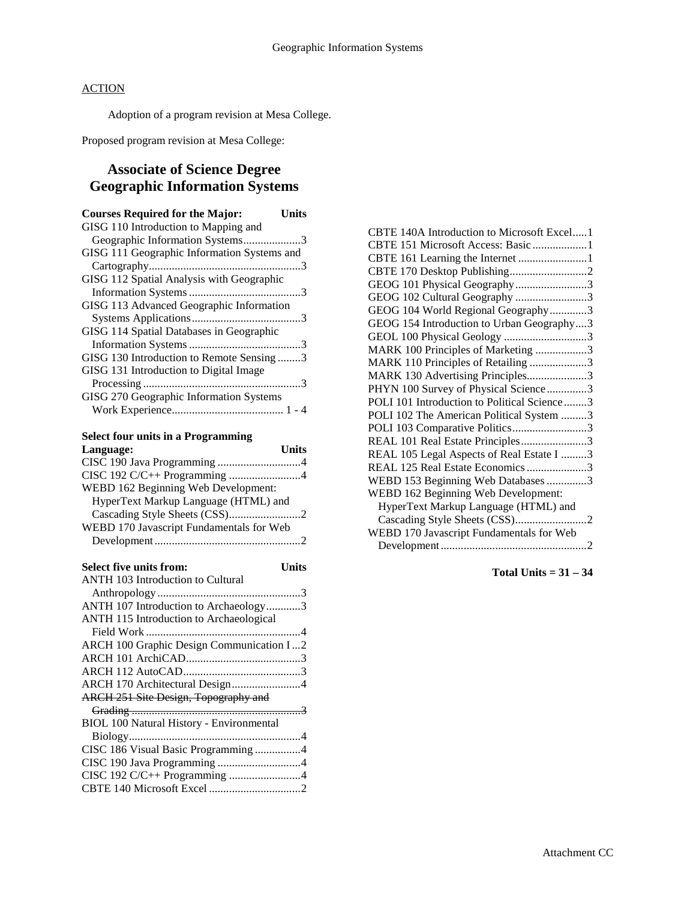Adoption of a program revision at Mesa College.

Proposed program revision at Mesa College:

# **Associate of Science Degree Geographic Information Systems**

| <b>Courses Required for the Major:</b><br>Units |
|-------------------------------------------------|
| GISG 110 Introduction to Mapping and            |
| Geographic Information Systems3                 |
| GISG 111 Geographic Information Systems and     |
|                                                 |
| GISG 112 Spatial Analysis with Geographic       |
|                                                 |
| GISG 113 Advanced Geographic Information        |
|                                                 |
| GISG 114 Spatial Databases in Geographic        |
|                                                 |
| GISG 130 Introduction to Remote Sensing3        |
| GISG 131 Introduction to Digital Image          |
|                                                 |
| GISG 270 Geographic Information Systems         |
|                                                 |

#### **Select four units in a Programming**

| Select four units in a Programming       |
|------------------------------------------|
| <b>Units</b><br>Language:                |
| CISC 190 Java Programming 4              |
| CISC 192 C/C++ Programming 4             |
| WEBD 162 Beginning Web Development:      |
| HyperText Markup Language (HTML) and     |
|                                          |
| WEBD 170 Javascript Fundamentals for Web |
|                                          |
| <b>Select five units from:</b><br>Units  |

| ANTH 103 Introduction to Cultural               |  |
|-------------------------------------------------|--|
|                                                 |  |
| ANTH 107 Introduction to Archaeology3           |  |
| ANTH 115 Introduction to Archaeological         |  |
|                                                 |  |
| ARCH 100 Graphic Design Communication I2        |  |
|                                                 |  |
|                                                 |  |
| ARCH 170 Architectural Design4                  |  |
| ARCH 251 Site Design, Topography and            |  |
|                                                 |  |
| <b>BIOL 100 Natural History - Environmental</b> |  |
|                                                 |  |
| CISC 186 Visual Basic Programming 4             |  |
|                                                 |  |
| CISC 192 C/C++ Programming 4                    |  |
|                                                 |  |
|                                                 |  |

| CBTE 140A Introduction to Microsoft Excel1  |
|---------------------------------------------|
| CBTE 151 Microsoft Access: Basic 1          |
| CBTE 161 Learning the Internet 1            |
| CBTE 170 Desktop Publishing2                |
| GEOG 101 Physical Geography3                |
| GEOG 102 Cultural Geography 3               |
| GEOG 104 World Regional Geography3          |
| GEOG 154 Introduction to Urban Geography3   |
| GEOL 100 Physical Geology 3                 |
| MARK 100 Principles of Marketing 3          |
| MARK 110 Principles of Retailing 3          |
| MARK 130 Advertising Principles3            |
| PHYN 100 Survey of Physical Science3        |
| POLI 101 Introduction to Political Science3 |
| POLI 102 The American Political System 3    |
| POLI 103 Comparative Politics3              |
| REAL 101 Real Estate Principles3            |
| REAL 105 Legal Aspects of Real Estate I 3   |
| REAL 125 Real Estate Economics 3            |
| WEBD 153 Beginning Web Databases 3          |
| WEBD 162 Beginning Web Development:         |
| HyperText Markup Language (HTML) and        |
|                                             |
| WEBD 170 Javascript Fundamentals for Web    |
|                                             |

**Total Units = 31 – 34**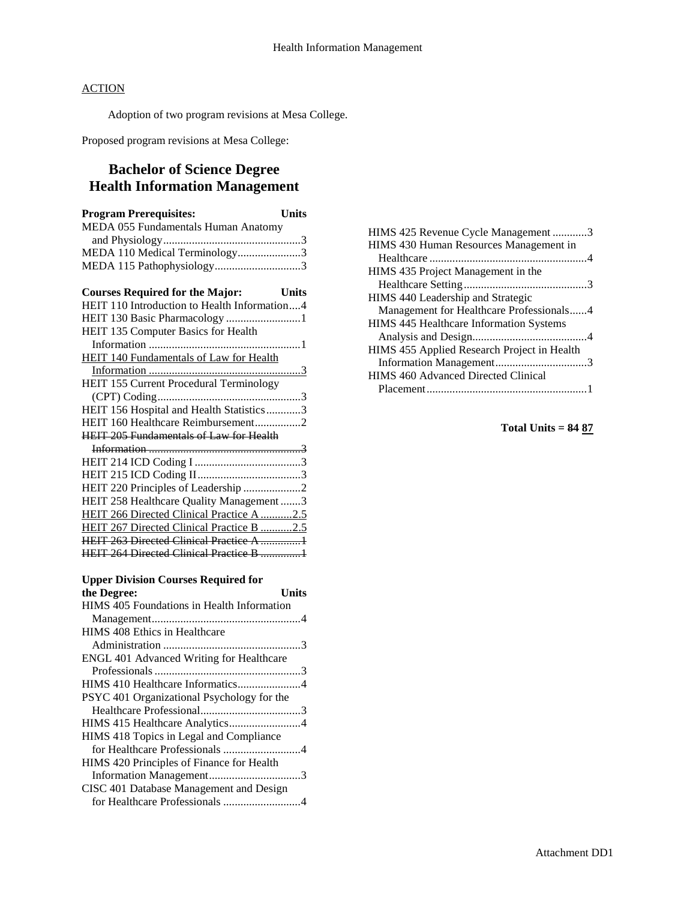Adoption of two program revisions at Mesa College.

Proposed program revisions at Mesa College:

# **Bachelor of Science Degree Health Information Management**

| <b>Program Prerequisites:</b><br><b>Units</b>  |  |
|------------------------------------------------|--|
| MEDA 055 Fundamentals Human Anatomy            |  |
|                                                |  |
| MEDA 110 Medical Terminology3                  |  |
| MEDA 115 Pathophysiology3                      |  |
|                                                |  |
| <b>Courses Required for the Major:</b> Units   |  |
| HEIT 110 Introduction to Health Information4   |  |
| HEIT 130 Basic Pharmacology 1                  |  |
| HEIT 135 Computer Basics for Health            |  |
|                                                |  |
| <b>HEIT 140 Fundamentals of Law for Health</b> |  |
|                                                |  |
| HEIT 155 Current Procedural Terminology        |  |
|                                                |  |
| HEIT 156 Hospital and Health Statistics3       |  |
| HEIT 160 Healthcare Reimbursement2             |  |
| <b>HEIT 205 Fundamentals of Law for Health</b> |  |
|                                                |  |
|                                                |  |
|                                                |  |
| HEIT 220 Principles of Leadership 2            |  |
| HEIT 258 Healthcare Quality Management3        |  |
| HEIT 266 Directed Clinical Practice A 2.5      |  |
| HEIT 267 Directed Clinical Practice B 2.5      |  |
| <b>HEIT 263 Directed Clinical Practice A 1</b> |  |
| HEIT 264 Directed Clinical Practice B 1        |  |

#### **Upper Division Courses Required for the Degree: Units** HIMS 405 Foundations in Health Information Management....................................................4 HIMS 408 Ethics in Healthcare Administration ................................................3 ENGL 401 Advanced Writing for Healthcare Professionals...................................................3 HIMS 410 Healthcare Informatics......................4

| PSYC 401 Organizational Psychology for the |  |
|--------------------------------------------|--|
|                                            |  |
| HIMS 415 Healthcare Analytics4             |  |
| HIMS 418 Topics in Legal and Compliance    |  |
|                                            |  |
| HIMS 420 Principles of Finance for Health  |  |
|                                            |  |
| CISC 401 Database Management and Design    |  |
| for Healthcare Professionals 4             |  |

| HIMS 425 Revenue Cycle Management 3            |
|------------------------------------------------|
| HIMS 430 Human Resources Management in         |
|                                                |
| HIMS 435 Project Management in the             |
|                                                |
| HIMS 440 Leadership and Strategic              |
| Management for Healthcare Professionals4       |
| <b>HIMS</b> 445 Healthcare Information Systems |
|                                                |
| HIMS 455 Applied Research Project in Health    |
|                                                |
| <b>HIMS</b> 460 Advanced Directed Clinical     |
|                                                |
|                                                |

**Total Units = 84 87**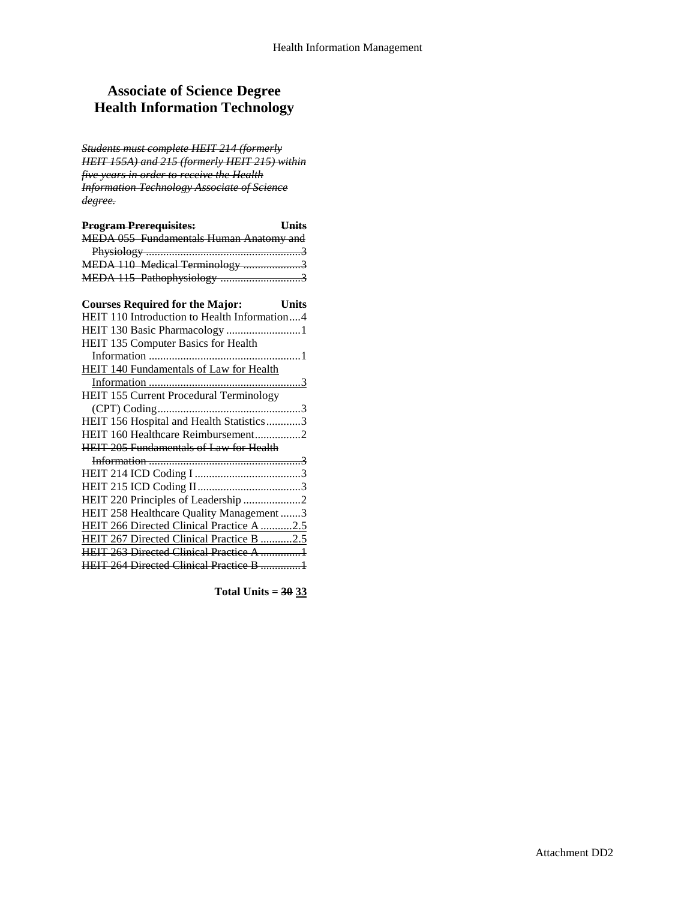# **Associate of Science Degree Health Information Technology**

*Students must complete HEIT 214 (formerly HEIT 155A) and 215 (formerly HEIT 215) within five years in order to receive the Health Information Technology Associate of Science degree.* 

| <b>Program Prerequisites:</b>           | Hnits |
|-----------------------------------------|-------|
| MEDA 055 Fundamentals Human Anatomy and |       |
|                                         |       |
| MEDA 110 Medical Terminology 3          |       |
| MEDA 115 Pathophysiology 3              |       |
|                                         |       |

| <b>Courses Required for the Major:</b>         | Units |
|------------------------------------------------|-------|
| HEIT 110 Introduction to Health Information4   |       |
| HEIT 130 Basic Pharmacology 1                  |       |
| HEIT 135 Computer Basics for Health            |       |
|                                                |       |
| <b>HEIT 140 Fundamentals of Law for Health</b> |       |
|                                                |       |
| <b>HEIT 155 Current Procedural Terminology</b> |       |
|                                                |       |
| HEIT 156 Hospital and Health Statistics3       |       |
| HEIT 160 Healthcare Reimbursement2             |       |
| <b>HEIT 205 Fundamentals of Law for Health</b> |       |
|                                                |       |
|                                                |       |
|                                                |       |
| HEIT 220 Principles of Leadership 2            |       |
| HEIT 258 Healthcare Quality Management 3       |       |
| HEIT 266 Directed Clinical Practice A 2.5      |       |
| HEIT 267 Directed Clinical Practice B 2.5      |       |
| <b>HEIT 263 Directed Clinical Practice A 1</b> |       |
| <b>HEIT 264 Directed Clinical Practice B 1</b> |       |
|                                                |       |

**Total Units = 30 33**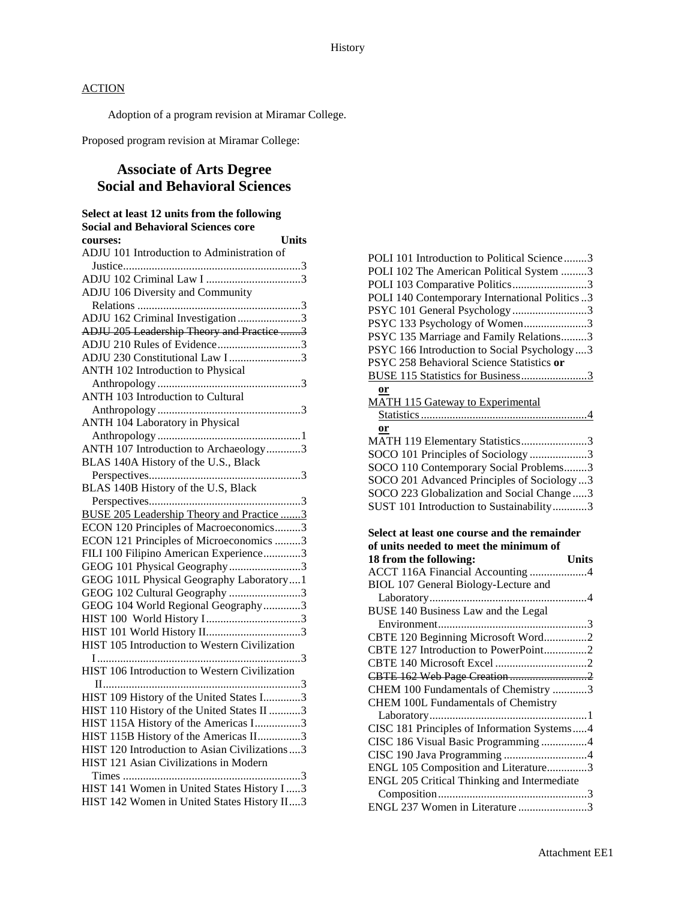Adoption of a program revision at Miramar College.

Proposed program revision at Miramar College:

# **Associate of Arts Degree Social and Behavioral Sciences**

| Select at least 12 units from the following<br><b>Social and Behavioral Sciences core</b> |
|-------------------------------------------------------------------------------------------|
| <b>Units</b><br>courses:                                                                  |
| ADJU 101 Introduction to Administration of                                                |
|                                                                                           |
|                                                                                           |
| ADJU 106 Diversity and Community                                                          |
|                                                                                           |
| ADJU 162 Criminal Investigation 3                                                         |
| ADJU 205 Leadership Theory and Practice 3                                                 |
| ADJU 210 Rules of Evidence3                                                               |
| ADJU 230 Constitutional Law I3                                                            |
|                                                                                           |
| ANTH 102 Introduction to Physical                                                         |
|                                                                                           |
| <b>ANTH 103 Introduction to Cultural</b>                                                  |
|                                                                                           |
| ANTH 104 Laboratory in Physical                                                           |
|                                                                                           |
| ANTH 107 Introduction to Archaeology3                                                     |
| BLAS 140A History of the U.S., Black                                                      |
|                                                                                           |
| BLAS 140B History of the U.S, Black                                                       |
|                                                                                           |
| <b>BUSE 205 Leadership Theory and Practice 3</b>                                          |
| ECON 120 Principles of Macroeconomics3                                                    |
| ECON 121 Principles of Microeconomics 3                                                   |
|                                                                                           |
| FILI 100 Filipino American Experience3                                                    |
| GEOG 101 Physical Geography3                                                              |
| GEOG 101L Physical Geography Laboratory1                                                  |
| GEOG 102 Cultural Geography 3                                                             |
| GEOG 104 World Regional Geography3                                                        |
|                                                                                           |
|                                                                                           |
| HIST 105 Introduction to Western Civilization                                             |
|                                                                                           |
| HIST 106 Introduction to Western Civilization                                             |
|                                                                                           |
| HIST 109 History of the United States I3                                                  |
| HIST 110 History of the United States II 3                                                |
|                                                                                           |
| HIST 115A History of the Americas I3                                                      |
| HIST 115B History of the Americas II3                                                     |
| HIST 120 Introduction to Asian Civilizations  3                                           |
| HIST 121 Asian Civilizations in Modern                                                    |
|                                                                                           |
| HIST 141 Women in United States History I3                                                |
| HIST 142 Women in United States History II3                                               |

| POLI 101 Introduction to Political Science3    |
|------------------------------------------------|
| POLI 102 The American Political System 3       |
| POLI 103 Comparative Politics3                 |
| POLI 140 Contemporary International Politics 3 |
| PSYC 101 General Psychology 3                  |
| PSYC 133 Psychology of Women3                  |
| PSYC 135 Marriage and Family Relations3        |
| PSYC 166 Introduction to Social Psychology  3  |
| PSYC 258 Behavioral Science Statistics or      |
| BUSE 115 Statistics for Business3              |
| $or$                                           |
| <b>MATH 115 Gateway to Experimental</b>        |
|                                                |
| or                                             |
| MATH 119 Elementary Statistics3                |
| SOCO 101 Principles of Sociology 3             |
| SOCO 110 Contemporary Social Problems3         |
| SOCO 201 Advanced Principles of Sociology 3    |
| SOCO 223 Globalization and Social Change3      |
| SUST 101 Introduction to Sustainability3       |
|                                                |
| Select at least one course and the remainder   |
| of units needed to meet the minimum of         |
| 18 from the following:<br><b>Units</b>         |
| ACCT 116A Financial Accounting 4               |
| BIOL 107 General Biology-Lecture and           |
|                                                |
| BUSE 140 Business Law and the Legal            |
|                                                |
| CBTE 120 Beginning Microsoft Word2             |

CBTE 127 Introduction to PowerPoint...............2 CBTE 140 Microsoft Excel ................................2 CBTE 162 Web Page Creation ...........................2 CHEM 100 Fundamentals of Chemistry ............3 CHEM 100L Fundamentals of Chemistry

Laboratory.......................................................1 CISC 181 Principles of Information Systems.....4 CISC 186 Visual Basic Programming ................4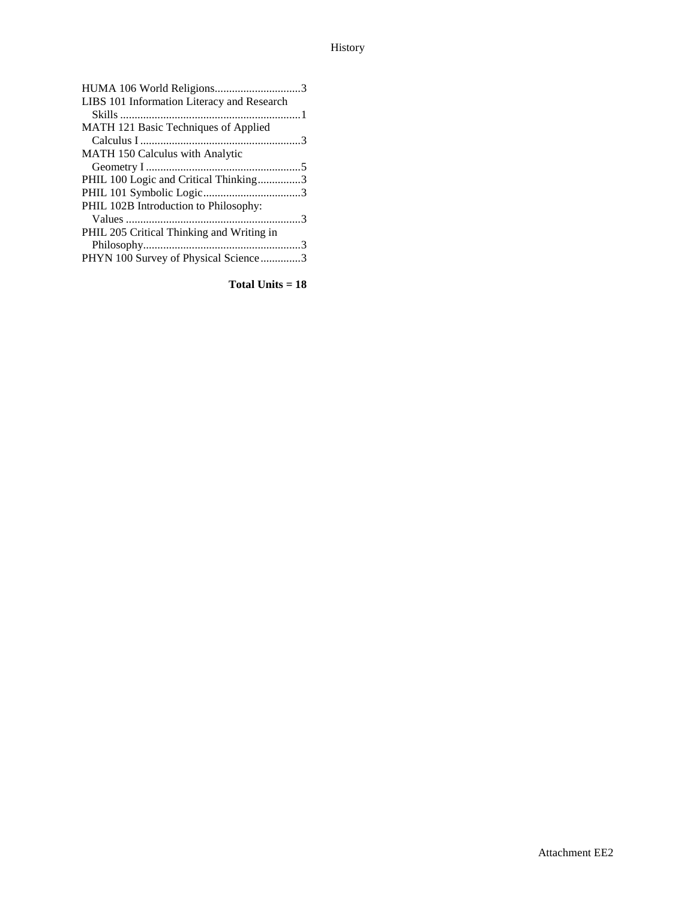# History

| HUMA 106 World Religions3                  |  |
|--------------------------------------------|--|
| LIBS 101 Information Literacy and Research |  |
|                                            |  |
| MATH 121 Basic Techniques of Applied       |  |
|                                            |  |
| <b>MATH 150 Calculus with Analytic</b>     |  |
|                                            |  |
| PHIL 100 Logic and Critical Thinking3      |  |
|                                            |  |
| PHIL 102B Introduction to Philosophy:      |  |
|                                            |  |
| PHIL 205 Critical Thinking and Writing in  |  |
|                                            |  |
| PHYN 100 Survey of Physical Science3       |  |
|                                            |  |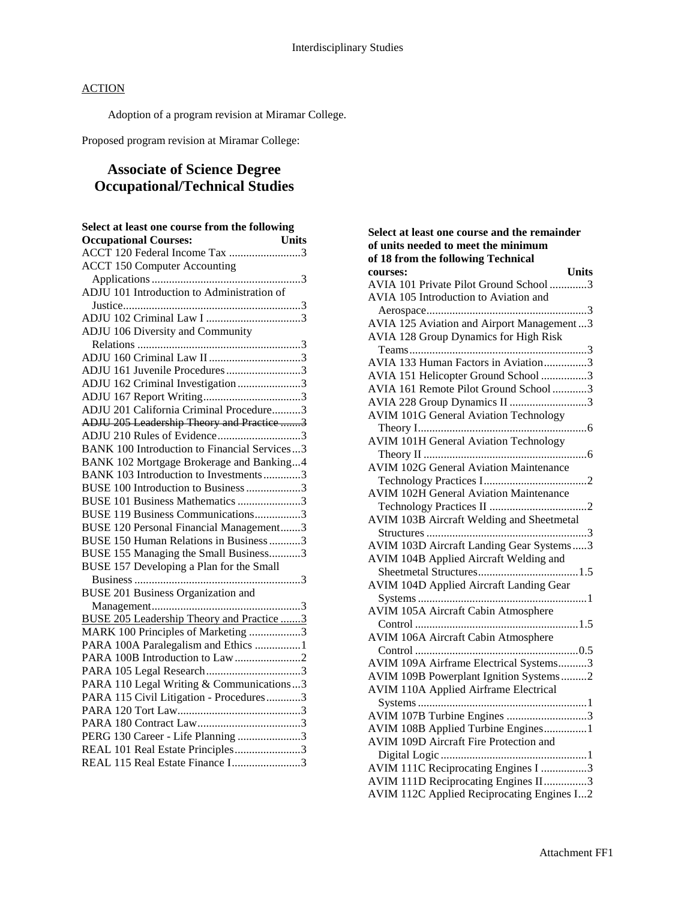Adoption of a program revision at Miramar College.

Proposed program revision at Miramar College:

# **Associate of Science Degree Occupational/Technical Studies**

| Select at least one course from the following                       |
|---------------------------------------------------------------------|
| <b>Occupational Courses:</b><br><b>Units</b>                        |
|                                                                     |
| <b>ACCT 150 Computer Accounting</b>                                 |
|                                                                     |
| ADJU 101 Introduction to Administration of                          |
|                                                                     |
|                                                                     |
| ADJU 106 Diversity and Community                                    |
|                                                                     |
|                                                                     |
| ADJU 161 Juvenile Procedures3                                       |
| ADJU 162 Criminal Investigation 3                                   |
|                                                                     |
| ADJU 201 California Criminal Procedure3                             |
| ADJU 205 Leadership Theory and Practice 3                           |
| ADJU 210 Rules of Evidence3                                         |
| <b>BANK 100 Introduction to Financial Services3</b>                 |
| BANK 102 Mortgage Brokerage and Banking4                            |
| BANK 103 Introduction to Investments3                               |
| BUSE 100 Introduction to Business 3                                 |
| BUSE 101 Business Mathematics 3                                     |
| BUSE 119 Business Communications3                                   |
| BUSE 120 Personal Financial Management3                             |
| BUSE 150 Human Relations in Business3                               |
| BUSE 155 Managing the Small Business3                               |
| BUSE 157 Developing a Plan for the Small                            |
|                                                                     |
| <b>BUSE 201 Business Organization and</b>                           |
|                                                                     |
| <b>BUSE 205 Leadership Theory and Practice 3</b>                    |
| MARK 100 Principles of Marketing 3                                  |
| PARA 100A Paralegalism and Ethics 1                                 |
| PARA 100B Introduction to Law 2                                     |
|                                                                     |
| PARA 110 Legal Writing & Communications3                            |
| PARA 115 Civil Litigation - Procedures3                             |
|                                                                     |
|                                                                     |
| PERG 130 Career - Life Planning 3                                   |
| REAL 101 Real Estate Principles3<br>REAL 115 Real Estate Finance I3 |
|                                                                     |

| Select at least one course and the remainder   |
|------------------------------------------------|
| of units needed to meet the minimum            |
| of 18 from the following Technical             |
| <b>Units</b><br>courses:                       |
| AVIA 101 Private Pilot Ground School 3         |
| AVIA 105 Introduction to Aviation and          |
|                                                |
| AVIA 125 Aviation and Airport Management3      |
| AVIA 128 Group Dynamics for High Risk          |
|                                                |
| AVIA 133 Human Factors in Aviation3            |
| AVIA 151 Helicopter Ground School 3            |
| AVIA 161 Remote Pilot Ground School 3          |
| AVIA 228 Group Dynamics II 3                   |
| <b>AVIM 101G General Aviation Technology</b>   |
|                                                |
| <b>AVIM 101H General Aviation Technology</b>   |
|                                                |
| <b>AVIM 102G General Aviation Maintenance</b>  |
|                                                |
| <b>AVIM 102H General Aviation Maintenance</b>  |
|                                                |
| AVIM 103B Aircraft Welding and Sheetmetal      |
|                                                |
| AVIM 103D Aircraft Landing Gear Systems3       |
| AVIM 104B Applied Aircraft Welding and         |
|                                                |
| <b>AVIM 104D Applied Aircraft Landing Gear</b> |
|                                                |
| <b>AVIM 105A Aircraft Cabin Atmosphere</b>     |
|                                                |
| <b>AVIM 106A Aircraft Cabin Atmosphere</b>     |
|                                                |
| AVIM 109A Airframe Electrical Systems3         |
| AVIM 109B Powerplant Ignition Systems2         |
| <b>AVIM 110A Applied Airframe Electrical</b>   |
|                                                |
| AVIM 107B Turbine Engines 3                    |
| AVIM 108B Applied Turbine Engines1             |
| AVIM 109D Aircraft Fire Protection and         |
|                                                |
| AVIM 111C Reciprocating Engines I 3            |
| AVIM 111D Reciprocating Engines II3            |
| AVIM 112C Applied Reciprocating Engines I2     |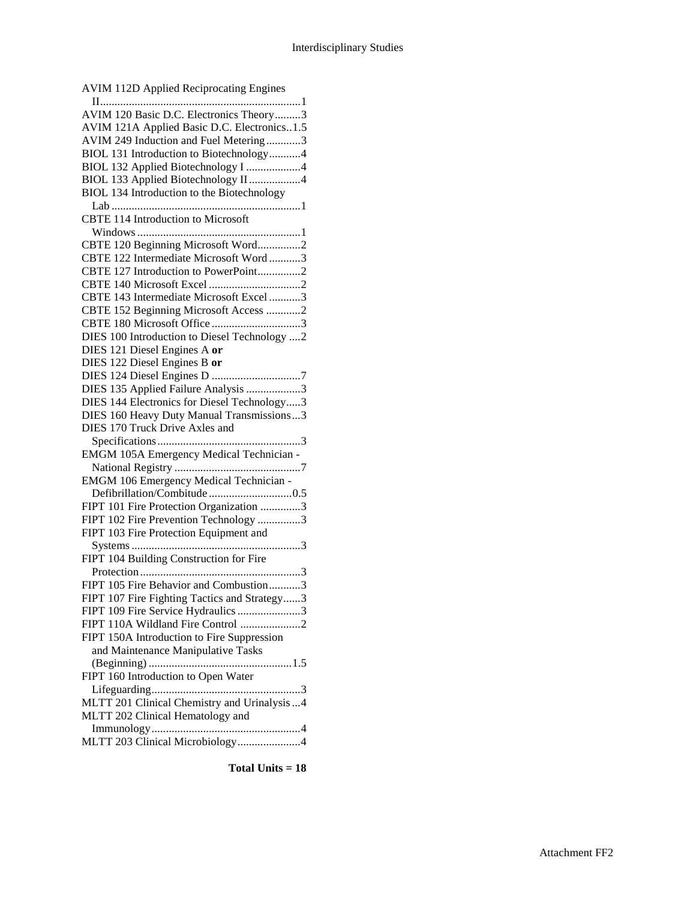| <b>AVIM 112D Applied Reciprocating Engines</b> |
|------------------------------------------------|
|                                                |
| AVIM 120 Basic D.C. Electronics Theory3        |
| AVIM 121A Applied Basic D.C. Electronics1.5    |
| AVIM 249 Induction and Fuel Metering3          |
| BIOL 131 Introduction to Biotechnology4        |
| BIOL 132 Applied Biotechnology I 4             |
| BIOL 133 Applied Biotechnology II 4            |
| BIOL 134 Introduction to the Biotechnology     |
|                                                |
| <b>CBTE 114 Introduction to Microsoft</b>      |
|                                                |
| CBTE 120 Beginning Microsoft Word2             |
| CBTE 122 Intermediate Microsoft Word3          |
| CBTE 127 Introduction to PowerPoint2           |
|                                                |
| CBTE 143 Intermediate Microsoft Excel 3        |
| CBTE 152 Beginning Microsoft Access 2          |
| CBTE 180 Microsoft Office 3                    |
| DIES 100 Introduction to Diesel Technology 2   |
| DIES 121 Diesel Engines A or                   |
| DIES 122 Diesel Engines B or                   |
|                                                |
| DIES 135 Applied Failure Analysis 3            |
| DIES 144 Electronics for Diesel Technology3    |
| DIES 160 Heavy Duty Manual Transmissions3      |
|                                                |
|                                                |
| EMGM 105A Emergency Medical Technician -       |
|                                                |
| EMGM 106 Emergency Medical Technician -        |
|                                                |
| FIPT 101 Fire Protection Organization 3        |
| FIPT 102 Fire Prevention Technology 3          |
| FIPT 103 Fire Protection Equipment and         |
|                                                |
| FIPT 104 Building Construction for Fire        |
|                                                |
| FIPT 105 Fire Behavior and Combustion3         |
| FIPT 107 Fire Fighting Tactics and Strategy3   |
| FIPT 109 Fire Service Hydraulics 3             |
| FIPT 110A Wildland Fire Control 2              |
| FIPT 150A Introduction to Fire Suppression     |
| and Maintenance Manipulative Tasks             |
|                                                |
| FIPT 160 Introduction to Open Water            |
|                                                |
| MLTT 201 Clinical Chemistry and Urinalysis  4  |
| MLTT 202 Clinical Hematology and               |
|                                                |
| MLTT 203 Clinical Microbiology4                |
|                                                |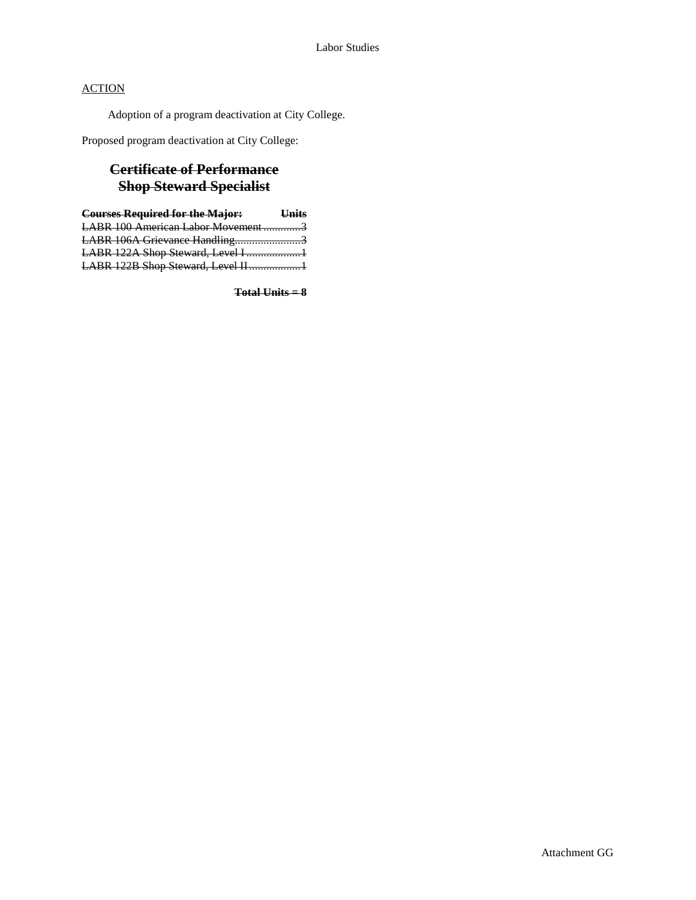Adoption of a program deactivation at City College.

Proposed program deactivation at City College:

# **Certificate of Performance Shop Steward Specialist**

| <b>Courses Required for the Major: Units</b> |  |
|----------------------------------------------|--|
| LABR 100 American Labor Movement3            |  |
| LABR 106A Grievance Handling3                |  |
| LABR 122A Shop Steward, Level I1             |  |
| LABR 122B Shop Steward, Level II1            |  |
|                                              |  |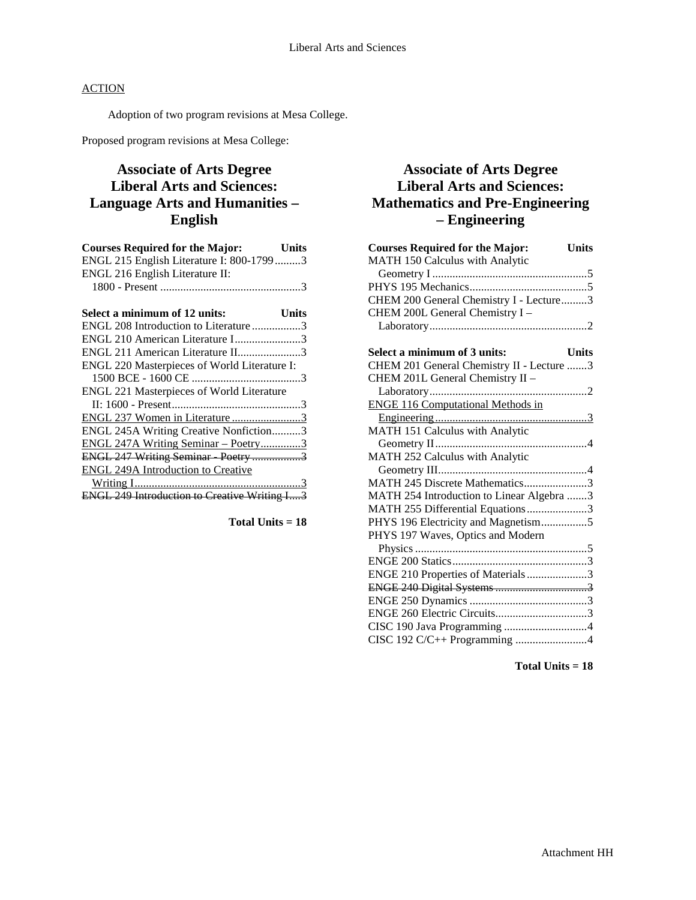Adoption of two program revisions at Mesa College.

Proposed program revisions at Mesa College:

# **Associate of Arts Degree Liberal Arts and Sciences: Language Arts and Humanities – English**

| <b>Courses Required for the Major:</b>   | Units |
|------------------------------------------|-------|
| ENGL 215 English Literature I: 800-17993 |       |
| ENGL 216 English Literature II:          |       |
|                                          |       |
|                                          |       |

| Select a minimum of 12 units:                       | Units |
|-----------------------------------------------------|-------|
| ENGL 208 Introduction to Literature3                |       |
| ENGL 210 American Literature I3                     |       |
| ENGL 211 American Literature II3                    |       |
| ENGL 220 Masterpieces of World Literature I:        |       |
|                                                     |       |
| ENGL 221 Masterpieces of World Literature           |       |
|                                                     |       |
| ENGL 237 Women in Literature 3                      |       |
| ENGL 245A Writing Creative Nonfiction3              |       |
| ENGL 247A Writing Seminar - Poetry3                 |       |
| ENGL 247 Writing Seminar Poetry 3                   |       |
| <b>ENGL 249A Introduction to Creative</b>           |       |
|                                                     |       |
| <b>ENGL 249 Introduction to Creative Writing I3</b> |       |

**Total Units = 18**

# **Associate of Arts Degree Liberal Arts and Sciences: Mathematics and Pre-Engineering – Engineering**

| <b>Courses Required for the Major:</b>    | <b>Units</b> |
|-------------------------------------------|--------------|
| MATH 150 Calculus with Analytic           |              |
|                                           |              |
|                                           |              |
| CHEM 200 General Chemistry I - Lecture3   |              |
| CHEM 200L General Chemistry I-            |              |
|                                           |              |
| Select a minimum of 3 units:              | <b>Units</b> |
| CHEM 201 General Chemistry II - Lecture 3 |              |
| CHEM 201L General Chemistry II -          |              |
|                                           |              |
| <b>ENGE 116 Computational Methods in</b>  |              |
|                                           |              |
| MATH 151 Calculus with Analytic           |              |
|                                           |              |
| MATH 252 Calculus with Analytic           |              |
|                                           |              |
| MATH 245 Discrete Mathematics3            |              |
| MATH 254 Introduction to Linear Algebra 3 |              |
| MATH 255 Differential Equations 3         |              |
| PHYS 196 Electricity and Magnetism5       |              |
| PHYS 197 Waves, Optics and Modern         |              |
|                                           |              |
|                                           |              |
| ENGE 210 Properties of Materials3         |              |
|                                           |              |
|                                           |              |
|                                           |              |
| CISC 190 Java Programming 4               |              |
| CISC 192 C/C++ Programming 4              |              |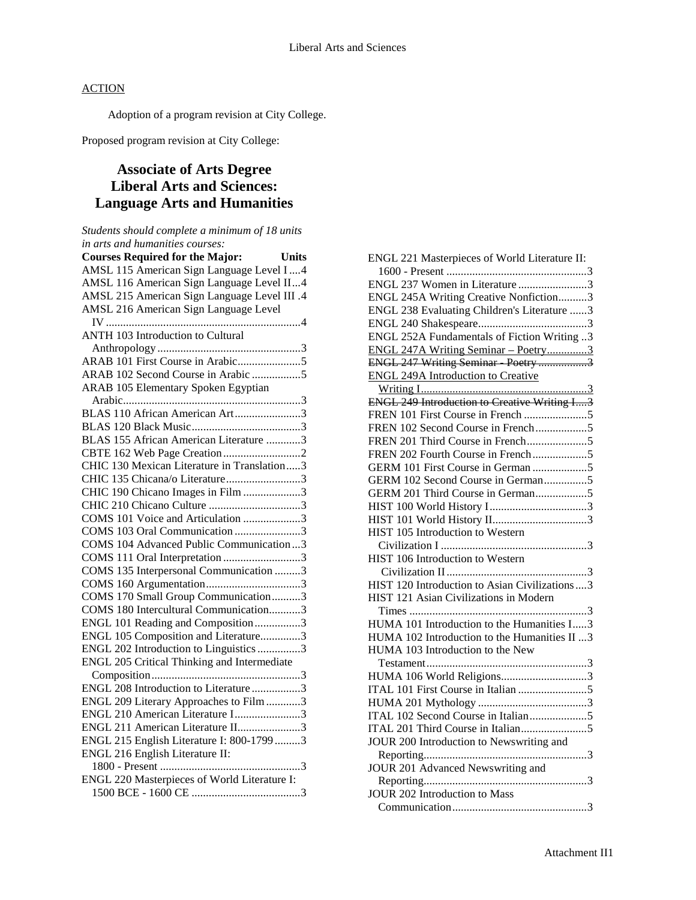Adoption of a program revision at City College.

Proposed program revision at City College:

# **Associate of Arts Degree Liberal Arts and Sciences: Language Arts and Humanities**

*Students should complete a minimum of 18 units in arts and humanities courses:* **Courses Required for the Major: Units** AMSL 115 American Sign Language Level I....4 AMSL 116 American Sign Language Level II...4 AMSL 215 American Sign Language Level III .4 AMSL 216 American Sign Language Level IV ....................................................................4 ANTH 103 Introduction to Cultural Anthropology ..................................................3 ARAB 101 First Course in Arabic......................5 ARAB 102 Second Course in Arabic .................5 ARAB 105 Elementary Spoken Egyptian Arabic..............................................................3 BLAS 110 African American Art.......................3 BLAS 120 Black Music......................................3 BLAS 155 African American Literature ............3 CBTE 162 Web Page Creation ...........................2 CHIC 130 Mexican Literature in Translation.....3 CHIC 135 Chicana/o Literature..........................3 CHIC 190 Chicano Images in Film ....................3 CHIC 210 Chicano Culture ................................3 COMS 101 Voice and Articulation ....................3 COMS 103 Oral Communication .......................3 COMS 104 Advanced Public Communication ...3 COMS 111 Oral Interpretation ...........................3 COMS 135 Interpersonal Communication .........3 COMS 160 Argumentation.................................3 COMS 170 Small Group Communication..........3 COMS 180 Intercultural Communication...........3 ENGL 101 Reading and Composition................3 ENGL 105 Composition and Literature..............3 ENGL 202 Introduction to Linguistics...............3 ENGL 205 Critical Thinking and Intermediate Composition....................................................3 ENGL 208 Introduction to Literature .................3 ENGL 209 Literary Approaches to Film............3 ENGL 210 American Literature I.......................3 ENGL 211 American Literature II......................3 ENGL 215 English Literature I: 800-1799 .........3 ENGL 216 English Literature II: 1800 - Present .................................................3 ENGL 220 Masterpieces of World Literature I: 1500 BCE - 1600 CE ......................................3

| ENGL 221 Masterpieces of World Literature II:   |
|-------------------------------------------------|
|                                                 |
| ENGL 237 Women in Literature 3                  |
| ENGL 245A Writing Creative Nonfiction3          |
| ENGL 238 Evaluating Children's Literature 3     |
|                                                 |
| ENGL 252A Fundamentals of Fiction Writing 3     |
| ENGL 247A Writing Seminar - Poetry3             |
| ENGL 247 Writing Seminar Poetry 3               |
| <b>ENGL 249A Introduction to Creative</b>       |
|                                                 |
|                                                 |
|                                                 |
| FREN 102 Second Course in French5               |
| FREN 201 Third Course in French5                |
| FREN 202 Fourth Course in French5               |
|                                                 |
| GERM 102 Second Course in German5               |
| GERM 201 Third Course in German5                |
|                                                 |
|                                                 |
| HIST 105 Introduction to Western                |
|                                                 |
| HIST 106 Introduction to Western                |
|                                                 |
| HIST 120 Introduction to Asian Civilizations  3 |
| HIST 121 Asian Civilizations in Modern          |
|                                                 |
| HUMA 101 Introduction to the Humanities I3      |
| HUMA 102 Introduction to the Humanities II 3    |
| HUMA 103 Introduction to the New                |
|                                                 |
| HUMA 106 World Religions3                       |
|                                                 |
|                                                 |
| ITAL 102 Second Course in Italian5              |
|                                                 |
| JOUR 200 Introduction to Newswriting and        |
|                                                 |
| JOUR 201 Advanced Newswriting and               |
|                                                 |
| <b>JOUR 202 Introduction to Mass</b>            |
|                                                 |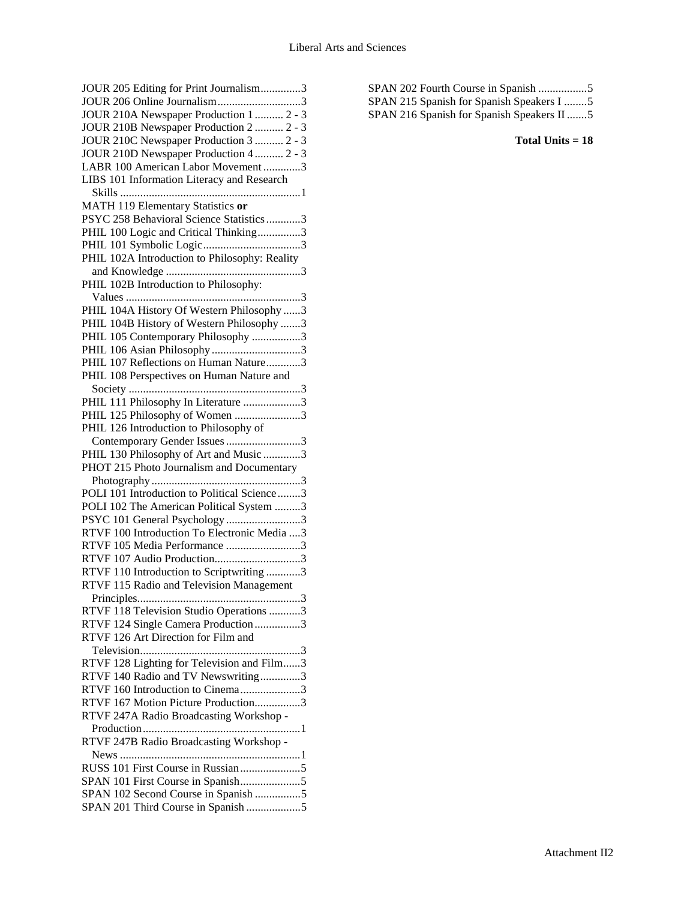| JOUR 205 Editing for Print Journalism3                                    |
|---------------------------------------------------------------------------|
|                                                                           |
| JOUR 206 Online Journalism3                                               |
| JOUR 210A Newspaper Production 1  2 - 3                                   |
| JOUR 210B Newspaper Production 2  2 - 3                                   |
| JOUR 210C Newspaper Production 3  2 - 3                                   |
| JOUR 210D Newspaper Production 4  2 - 3                                   |
| LABR 100 American Labor Movement 3                                        |
| LIBS 101 Information Literacy and Research                                |
|                                                                           |
| MATH 119 Elementary Statistics or                                         |
| PSYC 258 Behavioral Science Statistics 3                                  |
| PHIL 100 Logic and Critical Thinking3                                     |
|                                                                           |
|                                                                           |
| PHIL 102A Introduction to Philosophy: Reality                             |
|                                                                           |
| PHIL 102B Introduction to Philosophy:                                     |
|                                                                           |
| PHIL 104A History Of Western Philosophy 3                                 |
| PHIL 104B History of Western Philosophy 3                                 |
| PHIL 105 Contemporary Philosophy 3                                        |
| PHIL 106 Asian Philosophy3                                                |
| PHIL 107 Reflections on Human Nature3                                     |
| PHIL 108 Perspectives on Human Nature and                                 |
|                                                                           |
| PHIL 111 Philosophy In Literature 3                                       |
| PHIL 125 Philosophy of Women 3                                            |
| PHIL 126 Introduction to Philosophy of                                    |
| Contemporary Gender Issues 3                                              |
|                                                                           |
|                                                                           |
| PHIL 130 Philosophy of Art and Music 3                                    |
| PHOT 215 Photo Journalism and Documentary                                 |
|                                                                           |
| POLI 101 Introduction to Political Science3                               |
| POLI 102 The American Political System 3                                  |
| PSYC 101 General Psychology 3                                             |
| RTVF 100 Introduction To Electronic Media 3                               |
| RTVF 105 Media Performance 3                                              |
| RTVF 107 Audio Production3                                                |
| RTVF 110 Introduction to Scriptwriting 3                                  |
| RTVF 115 Radio and Television Management                                  |
|                                                                           |
|                                                                           |
| RTVF 118 Television Studio Operations 3                                   |
| RTVF 124 Single Camera Production 3                                       |
| RTVF 126 Art Direction for Film and                                       |
|                                                                           |
| RTVF 128 Lighting for Television and Film3                                |
| RTVF 140 Radio and TV Newswriting3                                        |
| RTVF 160 Introduction to Cinema3                                          |
| RTVF 167 Motion Picture Production3                                       |
| RTVF 247A Radio Broadcasting Workshop -                                   |
|                                                                           |
| RTVF 247B Radio Broadcasting Workshop -                                   |
|                                                                           |
|                                                                           |
|                                                                           |
| SPAN 102 Second Course in Spanish 5<br>SPAN 201 Third Course in Spanish 5 |

| SPAN 215 Spanish for Spanish Speakers I 5 |
|-------------------------------------------|
| SPAN 216 Spanish for Spanish Speakers II  |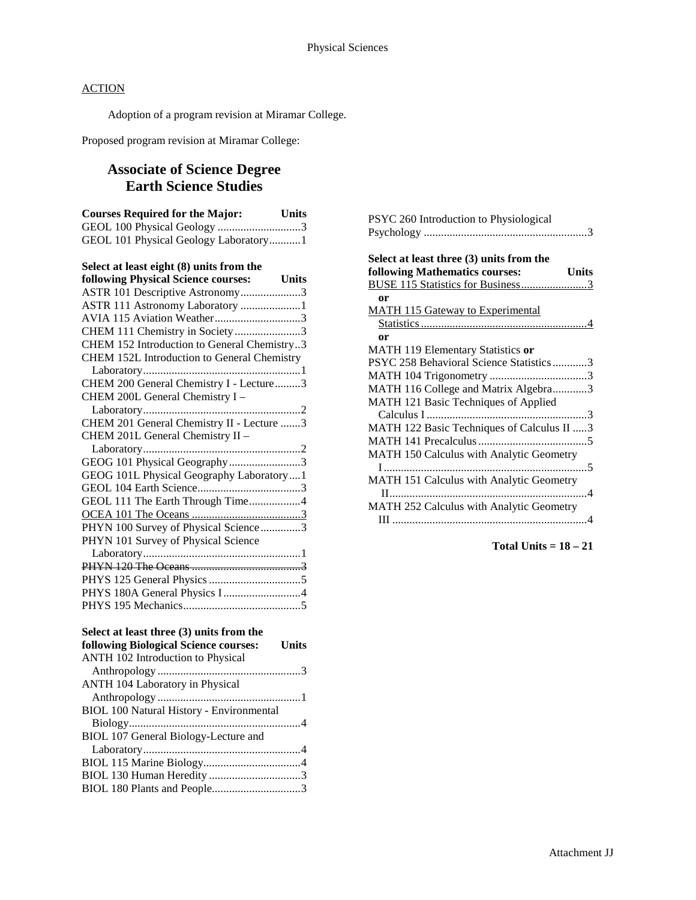Adoption of a program revision at Miramar College.

Proposed program revision at Miramar College:

# **Associate of Science Degree Earth Science Studies**

| <b>Courses Required for the Major:</b> | Units |
|----------------------------------------|-------|
|                                        |       |
| GEOL 101 Physical Geology Laboratory1  |       |
|                                        |       |

| Select at least eight (8) units from the    |
|---------------------------------------------|
| following Physical Science courses: Units   |
| ASTR 101 Descriptive Astronomy3             |
| ASTR 111 Astronomy Laboratory 1             |
| AVIA 115 Aviation Weather3                  |
| CHEM 111 Chemistry in Society 3             |
| CHEM 152 Introduction to General Chemistry3 |
| CHEM 152L Introduction to General Chemistry |
|                                             |
| CHEM 200 General Chemistry I - Lecture3     |
| CHEM 200L General Chemistry I -             |
|                                             |
| CHEM 201 General Chemistry II - Lecture 3   |
| CHEM 201L General Chemistry II -            |
|                                             |
| GEOG 101 Physical Geography3                |
| GEOG 101L Physical Geography Laboratory1    |
|                                             |
| GEOL 111 The Earth Through Time4            |
|                                             |
| PHYN 100 Survey of Physical Science3        |
| PHYN 101 Survey of Physical Science         |
|                                             |
|                                             |
|                                             |
| PHYS 180A General Physics I 4               |
|                                             |

### **Select at least three (3) units from the**

| following Biological Science courses:           | <b>Units</b> |
|-------------------------------------------------|--------------|
| <b>ANTH 102 Introduction to Physical</b>        |              |
|                                                 |              |
| ANTH 104 Laboratory in Physical                 |              |
|                                                 |              |
| <b>BIOL 100 Natural History - Environmental</b> |              |
|                                                 |              |
| BIOL 107 General Biology-Lecture and            |              |
|                                                 |              |
|                                                 |              |
|                                                 |              |
|                                                 |              |

| PSYC 260 Introduction to Physiological         |
|------------------------------------------------|
|                                                |
| Select at least three (3) units from the       |
| following Mathematics courses:<br><b>Units</b> |
| BUSE 115 Statistics for Business3              |
| <sub>or</sub>                                  |
| <b>MATH 115 Gateway to Experimental</b>        |
|                                                |
| or                                             |
| MATH 119 Elementary Statistics or              |
| PSYC 258 Behavioral Science Statistics3        |
|                                                |
| MATH 116 College and Matrix Algebra3           |
| MATH 121 Basic Techniques of Applied           |
|                                                |
| MATH 122 Basic Techniques of Calculus II 3     |
|                                                |
| MATH 150 Calculus with Analytic Geometry       |
|                                                |
| MATH 151 Calculus with Analytic Geometry       |
|                                                |
| MATH 252 Calculus with Analytic Geometry       |
|                                                |
|                                                |

**Total Units = 18 – 21**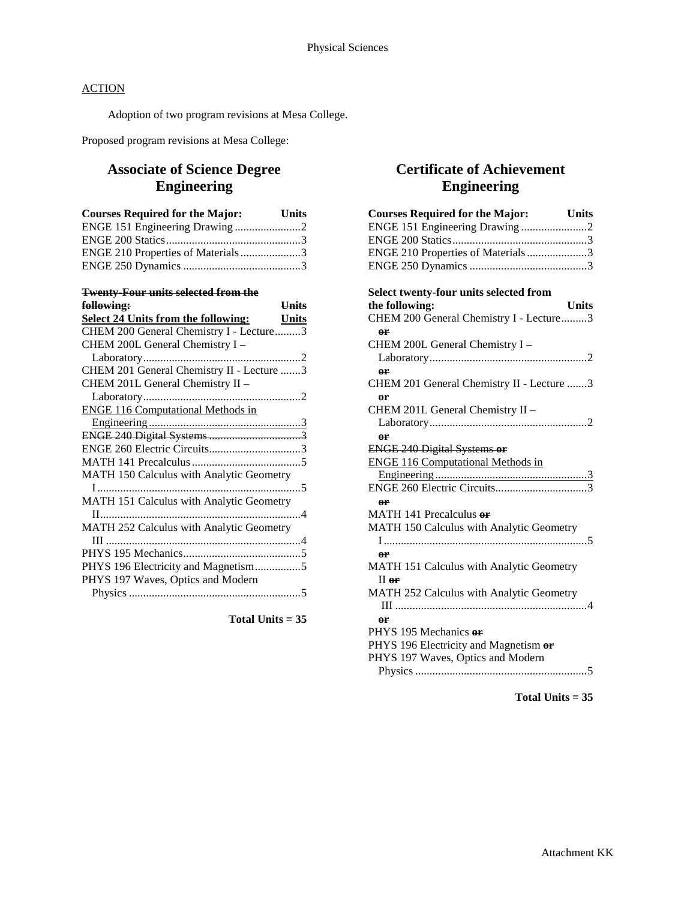Adoption of two program revisions at Mesa College.

Proposed program revisions at Mesa College:

# **Associate of Science Degree Engineering**

| <b>Courses Required for the Major:</b> | <b>Units</b> |
|----------------------------------------|--------------|
|                                        |              |
|                                        |              |
| ENGE 210 Properties of Materials3      |              |
|                                        |              |

# **Twenty-Four units selected from the**

| <b>Units</b><br>f <del>ollowing:</del>              |  |
|-----------------------------------------------------|--|
| <b>Select 24 Units from the following:</b><br>Units |  |
| CHEM 200 General Chemistry I - Lecture3             |  |
| CHEM 200L General Chemistry I -                     |  |
|                                                     |  |
| CHEM 201 General Chemistry II - Lecture 3           |  |
| CHEM 201L General Chemistry II -                    |  |
|                                                     |  |
| <b>ENGE 116 Computational Methods in</b>            |  |
|                                                     |  |
|                                                     |  |
| ENGE 260 Electric Circuits3                         |  |
|                                                     |  |
| <b>MATH 150 Calculus with Analytic Geometry</b>     |  |
|                                                     |  |
| MATH 151 Calculus with Analytic Geometry            |  |
|                                                     |  |
| MATH 252 Calculus with Analytic Geometry            |  |
|                                                     |  |
|                                                     |  |
| PHYS 196 Electricity and Magnetism5                 |  |
| PHYS 197 Waves, Optics and Modern                   |  |
|                                                     |  |

**Total Units = 35**

# **Certificate of Achievement Engineering**

| <b>Courses Required for the Major:</b>        | Units        |
|-----------------------------------------------|--------------|
| ENGE 151 Engineering Drawing 2                |              |
|                                               |              |
| ENGE 210 Properties of Materials3             |              |
|                                               |              |
| <b>Select twenty-four units selected from</b> |              |
| the following:                                | <b>Units</b> |
| CHEM 200 General Chemistry I - Lecture3       |              |
| or                                            |              |
| CHEM 200L General Chemistry I -               |              |
|                                               |              |
| 0 <sup>r</sup>                                |              |
| CHEM 201 General Chemistry II - Lecture 3     |              |
| or                                            |              |
| CHEM 201L General Chemistry II -              |              |
|                                               |              |
| 0 <sup>r</sup>                                |              |
| <b>ENGE 240 Digital Systems or</b>            |              |
| <b>ENGE 116 Computational Methods in</b>      |              |
|                                               |              |
|                                               |              |
| 0 <sup>r</sup>                                |              |
| MATH 141 Precalculus or                       |              |
| MATH 150 Calculus with Analytic Geometry      |              |
|                                               |              |
| or                                            |              |
| MATH 151 Calculus with Analytic Geometry      |              |
| $II$ or                                       |              |
| MATH 252 Calculus with Analytic Geometry      |              |
|                                               |              |
| or                                            |              |
| PHYS 195 Mechanics or                         |              |
| PHYS 196 Electricity and Magnetism or         |              |
| PHYS 197 Waves, Optics and Modern             |              |
|                                               |              |
|                                               |              |